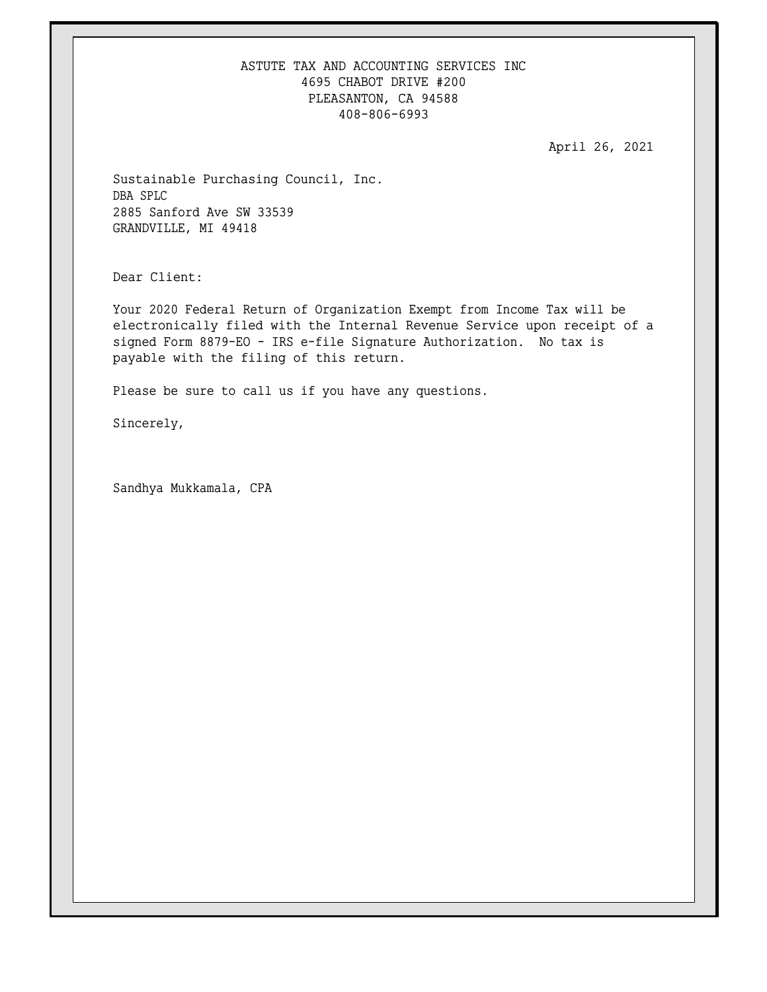### ASTUTE TAX AND ACCOUNTING SERVICES INC 4695 CHABOT DRIVE #200 PLEASANTON, CA 94588 408-806-6993

April 26, 2021

Sustainable Purchasing Council, Inc. DBA SPLC 2885 Sanford Ave SW 33539 GRANDVILLE, MI 49418

Dear Client:

Your 2020 Federal Return of Organization Exempt from Income Tax will be electronically filed with the Internal Revenue Service upon receipt of a signed Form 8879-EO - IRS e-file Signature Authorization. No tax is payable with the filing of this return.

Please be sure to call us if you have any questions.

Sincerely,

Sandhya Mukkamala, CPA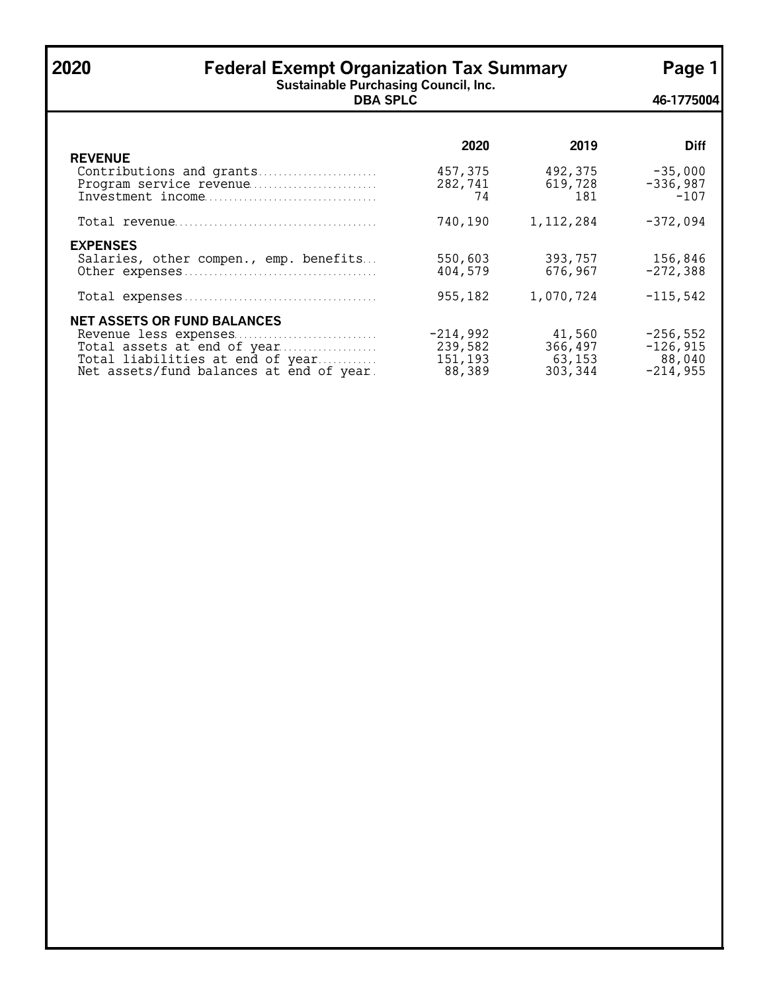| 2020<br><b>Federal Exempt Organization Tax Summary</b>                                                                                                                     |                                            |                                        | Page 1                                           |
|----------------------------------------------------------------------------------------------------------------------------------------------------------------------------|--------------------------------------------|----------------------------------------|--------------------------------------------------|
| <b>Sustainable Purchasing Council, Inc.</b><br><b>DBA SPLC</b>                                                                                                             |                                            |                                        | 46-1775004                                       |
|                                                                                                                                                                            | 2020                                       | 2019                                   | <b>Diff</b>                                      |
| <b>REVENUE</b><br>Contributions and grants<br>Program service revenue                                                                                                      | 457,375<br>282,741<br>74                   | 492,375<br>619,728<br>181              | $-35,000$<br>$-336,987$<br>$-107$                |
|                                                                                                                                                                            | 740,190                                    | 1, 112, 284                            | $-372,094$                                       |
| <b>EXPENSES</b><br>Salaries, other compen., emp. benefits                                                                                                                  | 550,603<br>404,579                         | 393,757<br>676,967                     | 156,846<br>$-272,388$                            |
|                                                                                                                                                                            | 955,182                                    | 1,070,724                              | $-115,542$                                       |
| <b>NET ASSETS OR FUND BALANCES</b><br>Revenue less expenses<br>Total assets at end of year<br>Total liabilities at end of year<br>Net assets/fund balances at end of year. | $-214,992$<br>239,582<br>151,193<br>88,389 | 41,560<br>366,497<br>63,153<br>303,344 | $-256,552$<br>$-126,915$<br>88,040<br>$-214,955$ |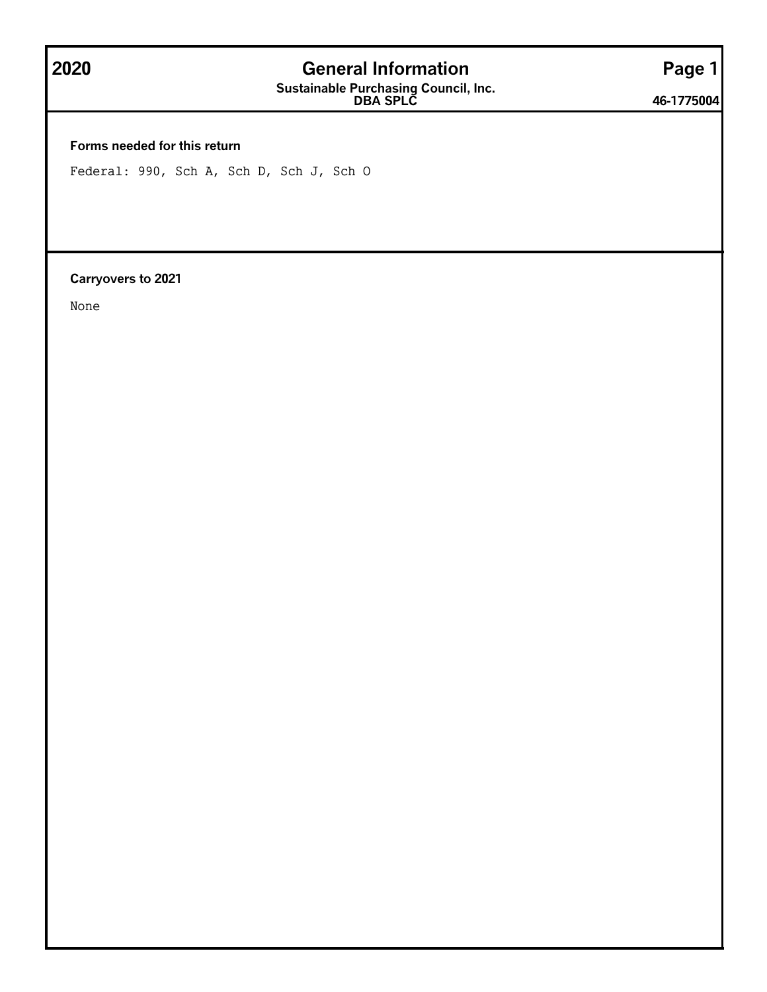# **2020 General Information Page 1**

**Sustainable Purchasing Council, Inc. DBA SPLC 46-1775004**

### **Forms needed for this return**

Federal: 990, Sch A, Sch D, Sch J, Sch O

**Carryovers to 2021**

None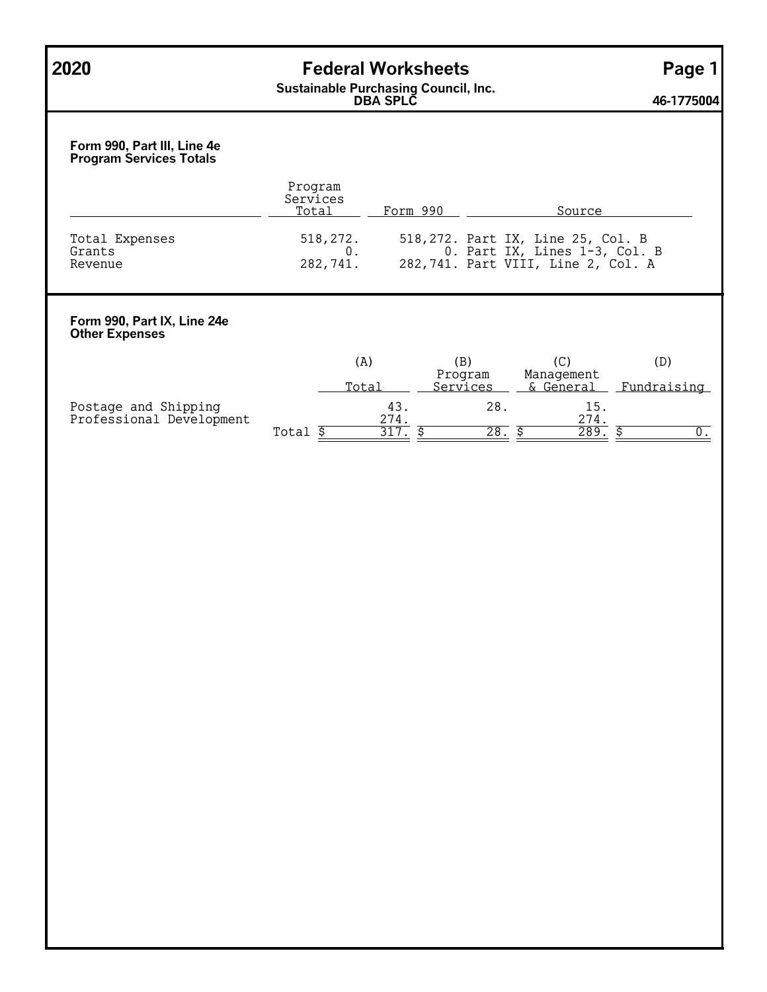# **2020 Federal Worksheets Page 1**

**Sustainable Purchasing Council, Inc.**

**DBA SPLC 46-1775004**

#### **Form 990, Part III, Line 4e Program Services Totals**

|                                     | Program<br>Services<br>Total | Form 990 | Source                                                                                                   |
|-------------------------------------|------------------------------|----------|----------------------------------------------------------------------------------------------------------|
| Total Expenses<br>Grants<br>Revenue | 518,272.<br>282,741.         |          | 518,272. Part IX, Line 25, Col. B<br>0. Part IX, Lines 1-3, Col. B<br>282,741. Part VIII, Line 2, Col. A |

#### **Form 990, Part IX, Line 24e Other Expenses**

|                                                  |       | (A)         | ΈB.                 |                         | (D)         |
|--------------------------------------------------|-------|-------------|---------------------|-------------------------|-------------|
|                                                  |       | Total       | Program<br>Services | Management<br>& General | Fundraising |
| Postage and Shipping<br>Professional Development |       | -43.<br>274 | 28.                 | 274                     |             |
|                                                  | Total |             | 28                  | 289                     |             |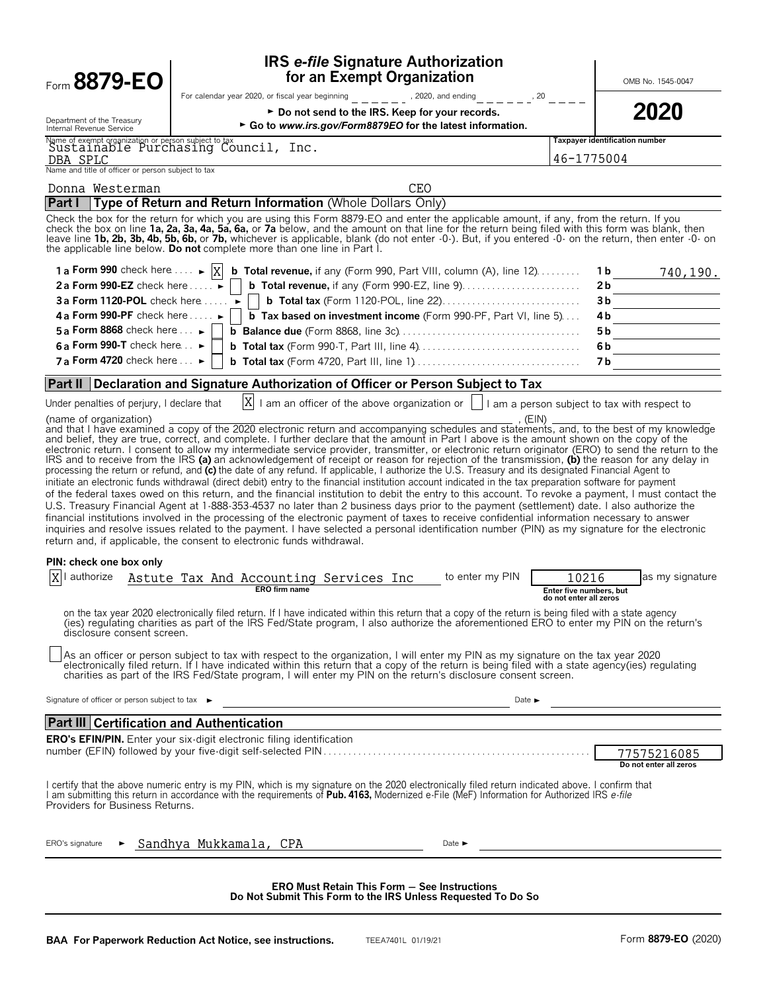| Form 8879-EO                                                           | <b>IRS e-file Signature Authorization</b><br>for an Exempt Organization                                                                                                                                                                                                                                                                                                                                                                                                                                                                                                                                                                                                                                                                                                                                                                                                                                                                                                                                                                                                                                                                                                                                                                                                                                                                                                                                                                                 |                                                            | OMB No. 1545-0047                     |
|------------------------------------------------------------------------|---------------------------------------------------------------------------------------------------------------------------------------------------------------------------------------------------------------------------------------------------------------------------------------------------------------------------------------------------------------------------------------------------------------------------------------------------------------------------------------------------------------------------------------------------------------------------------------------------------------------------------------------------------------------------------------------------------------------------------------------------------------------------------------------------------------------------------------------------------------------------------------------------------------------------------------------------------------------------------------------------------------------------------------------------------------------------------------------------------------------------------------------------------------------------------------------------------------------------------------------------------------------------------------------------------------------------------------------------------------------------------------------------------------------------------------------------------|------------------------------------------------------------|---------------------------------------|
|                                                                        | For calendar year 2020, or fiscal year beginning For calendar year 2020, and ending                                                                                                                                                                                                                                                                                                                                                                                                                                                                                                                                                                                                                                                                                                                                                                                                                                                                                                                                                                                                                                                                                                                                                                                                                                                                                                                                                                     | , 20                                                       |                                       |
| Department of the Treasury<br>Internal Revenue Service                 | Do not send to the IRS. Keep for your records.<br>► Go to www.irs.gov/Form8879EO for the latest information.                                                                                                                                                                                                                                                                                                                                                                                                                                                                                                                                                                                                                                                                                                                                                                                                                                                                                                                                                                                                                                                                                                                                                                                                                                                                                                                                            |                                                            | 2020                                  |
|                                                                        | Name of exempt organization or person subject to tax<br>Sustainable Purchasing Council, Inc.                                                                                                                                                                                                                                                                                                                                                                                                                                                                                                                                                                                                                                                                                                                                                                                                                                                                                                                                                                                                                                                                                                                                                                                                                                                                                                                                                            |                                                            | Taxpayer identification number        |
| DBA SPLC<br>Name and title of officer or person subject to tax         |                                                                                                                                                                                                                                                                                                                                                                                                                                                                                                                                                                                                                                                                                                                                                                                                                                                                                                                                                                                                                                                                                                                                                                                                                                                                                                                                                                                                                                                         | 46-1775004                                                 |                                       |
| Donna Westerman                                                        | <b>CEO</b>                                                                                                                                                                                                                                                                                                                                                                                                                                                                                                                                                                                                                                                                                                                                                                                                                                                                                                                                                                                                                                                                                                                                                                                                                                                                                                                                                                                                                                              |                                                            |                                       |
| <b>Part I</b>                                                          | Type of Return and Return Information (Whole Dollars Only)                                                                                                                                                                                                                                                                                                                                                                                                                                                                                                                                                                                                                                                                                                                                                                                                                                                                                                                                                                                                                                                                                                                                                                                                                                                                                                                                                                                              |                                                            |                                       |
|                                                                        | Check the box for the return for which you are using this Form 8879-EO and enter the applicable amount, if any, from the return. If you<br>check the box on line 1a, 2a, 3a, 4a, 5a, 6a, or 7a below, and the amount on that line for the return being filed with this form was blank, then leave line 1b, 2b, 3b, 4b, 5b, 6b, or 7b, whichever is applicable, blank (do<br>the applicable line below. Do not complete more than one line in Part I.                                                                                                                                                                                                                                                                                                                                                                                                                                                                                                                                                                                                                                                                                                                                                                                                                                                                                                                                                                                                    |                                                            |                                       |
| 1 a Form 990 check here $\ldots$ $\blacktriangleright$ $ X $           | <b>b Total revenue,</b> if any (Form 990, Part VIII, column (A), line $12$ )                                                                                                                                                                                                                                                                                                                                                                                                                                                                                                                                                                                                                                                                                                                                                                                                                                                                                                                                                                                                                                                                                                                                                                                                                                                                                                                                                                            |                                                            | 1 b<br>740, 190.                      |
| 2 a Form 990-EZ check here $\ldots$                                    |                                                                                                                                                                                                                                                                                                                                                                                                                                                                                                                                                                                                                                                                                                                                                                                                                                                                                                                                                                                                                                                                                                                                                                                                                                                                                                                                                                                                                                                         |                                                            | 2b                                    |
| 3a Form 1120-POL check here $\dots$ .                                  |                                                                                                                                                                                                                                                                                                                                                                                                                                                                                                                                                                                                                                                                                                                                                                                                                                                                                                                                                                                                                                                                                                                                                                                                                                                                                                                                                                                                                                                         |                                                            | Зb                                    |
| 4 a Form 990-PF check here $\dots$                                     | <b>b</b> Tax based on investment income (Form 990-PF, Part VI, line 5)                                                                                                                                                                                                                                                                                                                                                                                                                                                                                                                                                                                                                                                                                                                                                                                                                                                                                                                                                                                                                                                                                                                                                                                                                                                                                                                                                                                  |                                                            | 4 b                                   |
| 5a Form 8868 check here $\ldots$<br>6 a Form 990-T check here $\ldots$ |                                                                                                                                                                                                                                                                                                                                                                                                                                                                                                                                                                                                                                                                                                                                                                                                                                                                                                                                                                                                                                                                                                                                                                                                                                                                                                                                                                                                                                                         |                                                            | 5 b                                   |
| 7 a Form 4720 check here $\ldots$                                      | <b>b</b> Total tax (Form 990-T, Part III, line 4) $\ldots$ $\ldots$ $\ldots$ $\ldots$ $\ldots$ $\ldots$                                                                                                                                                                                                                                                                                                                                                                                                                                                                                                                                                                                                                                                                                                                                                                                                                                                                                                                                                                                                                                                                                                                                                                                                                                                                                                                                                 |                                                            | 6b<br>7 b                             |
|                                                                        |                                                                                                                                                                                                                                                                                                                                                                                                                                                                                                                                                                                                                                                                                                                                                                                                                                                                                                                                                                                                                                                                                                                                                                                                                                                                                                                                                                                                                                                         |                                                            |                                       |
|                                                                        | Part II Declaration and Signature Authorization of Officer or Person Subject to Tax                                                                                                                                                                                                                                                                                                                                                                                                                                                                                                                                                                                                                                                                                                                                                                                                                                                                                                                                                                                                                                                                                                                                                                                                                                                                                                                                                                     |                                                            |                                       |
| Under penalties of perjury, I declare that<br>(name of organization)   | $ X $ I am an officer of the above organization or $ $ I am a person subject to tax with respect to                                                                                                                                                                                                                                                                                                                                                                                                                                                                                                                                                                                                                                                                                                                                                                                                                                                                                                                                                                                                                                                                                                                                                                                                                                                                                                                                                     | , (EIN)                                                    |                                       |
|                                                                        | and belief, they are true, correct, and complete. I further declare that the amount in Part I above is the amount shown on the copy of the<br>electronic return. I consent to allow my intermediate service provider, transmitter, or electronic return originator (ERO) to send the return to the<br>IRS and to receive from the IRS (a) an acknowledgement of receipt or reason for rejection of the transmission, (b) the reason for any delay in<br>processing the return or refund, and (c) the date of any refund. If applicable, I authorize the U.S. Treasury and its designated Financial Agent to<br>initiate an electronic funds withdrawal (direct debit) entry to the financial institution account indicated in the tax preparation software for payment<br>of the federal taxes owed on this return, and the financial institution to debit the entry to this account. To revoke a payment, I must contact the<br>U.S. Treasury Financial Agent at 1-888-353-4537 no later than 2 business days prior to the payment (settlement) date. I also authorize the<br>financial institutions involved in the processing of the electronic payment of taxes to receive confidential information necessary to answer<br>inquiries and resolve issues related to the payment. I have selected a personal identification number (PIN) as my signature for the electronic<br>return and, if applicable, the consent to electronic funds withdrawal. |                                                            |                                       |
| PIN: check one box only<br>X١<br>authorize                             | to enter my PIN<br>Astute Tax And Accounting Services Inc<br><b>ERO</b> firm name                                                                                                                                                                                                                                                                                                                                                                                                                                                                                                                                                                                                                                                                                                                                                                                                                                                                                                                                                                                                                                                                                                                                                                                                                                                                                                                                                                       | 10216<br>Enter five numbers, but<br>do not enter all zeros | as my signature                       |
| disclosure consent screen.                                             | on the tax year 2020 electronically filed return. If I have indicated within this return that a copy of the return is being filed with a state agency<br>(ies) requiating charities as part of the IRS Fed/State program, I also authorize the aforementioned ERO to enter my PIN on the return's                                                                                                                                                                                                                                                                                                                                                                                                                                                                                                                                                                                                                                                                                                                                                                                                                                                                                                                                                                                                                                                                                                                                                       |                                                            |                                       |
|                                                                        | As an officer or person subject to tax with respect to the organization, I will enter my PIN as my signature on the tax year 2020<br>electronically filed return. If I have indicated within this return that a copy of the return is being filed with a state agency(ies) regulating<br>charities as part of the IRS Fed/State program, I will enter my PIN on the return's disclosure consent screen.                                                                                                                                                                                                                                                                                                                                                                                                                                                                                                                                                                                                                                                                                                                                                                                                                                                                                                                                                                                                                                                 |                                                            |                                       |
| Signature of officer or person subject to tax ►                        |                                                                                                                                                                                                                                                                                                                                                                                                                                                                                                                                                                                                                                                                                                                                                                                                                                                                                                                                                                                                                                                                                                                                                                                                                                                                                                                                                                                                                                                         | Date $\blacktriangleright$                                 |                                       |
| Part III Certification and Authentication                              |                                                                                                                                                                                                                                                                                                                                                                                                                                                                                                                                                                                                                                                                                                                                                                                                                                                                                                                                                                                                                                                                                                                                                                                                                                                                                                                                                                                                                                                         |                                                            |                                       |
|                                                                        | <b>ERO's EFIN/PIN.</b> Enter your six-digit electronic filing identification                                                                                                                                                                                                                                                                                                                                                                                                                                                                                                                                                                                                                                                                                                                                                                                                                                                                                                                                                                                                                                                                                                                                                                                                                                                                                                                                                                            |                                                            | 77575216085<br>Do not enter all zeros |
|                                                                        |                                                                                                                                                                                                                                                                                                                                                                                                                                                                                                                                                                                                                                                                                                                                                                                                                                                                                                                                                                                                                                                                                                                                                                                                                                                                                                                                                                                                                                                         |                                                            |                                       |
| Providers for Business Returns.                                        | I certify that the above numeric entry is my PIN, which is my signature on the 2020 electronically filed return indicated above. I confirm that<br>I am submitting this return in accordance with the requirements of Pub. 4163, Modernized e-File (MeF) Information for Authorized IRS e-file                                                                                                                                                                                                                                                                                                                                                                                                                                                                                                                                                                                                                                                                                                                                                                                                                                                                                                                                                                                                                                                                                                                                                          |                                                            |                                       |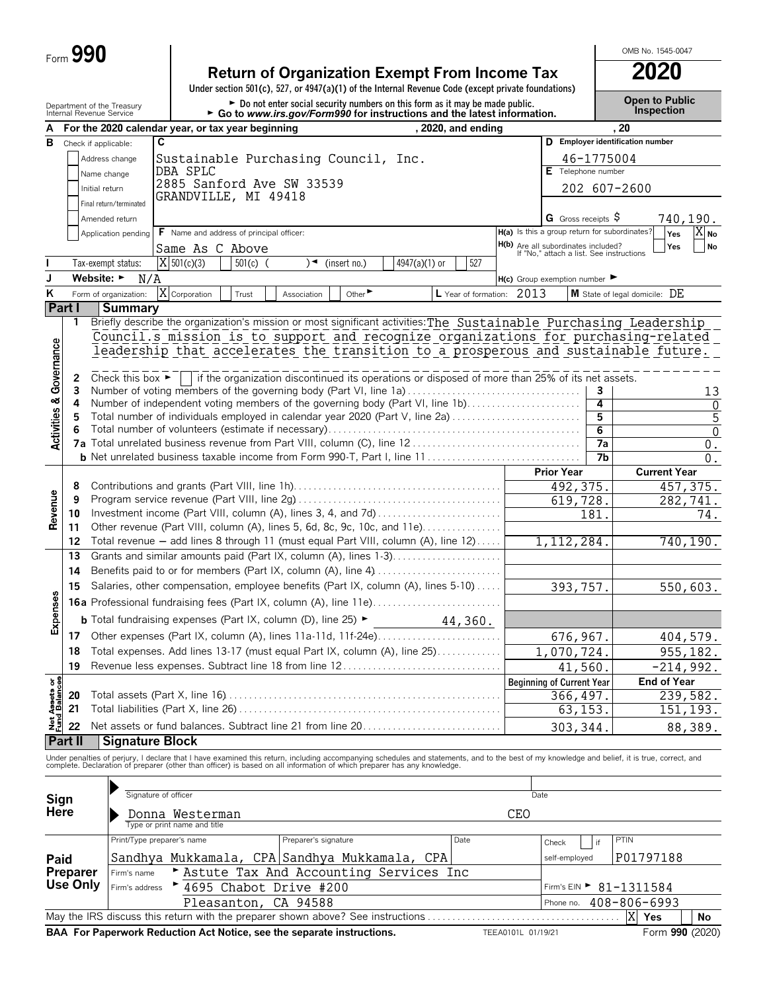| Form $\boldsymbol{J}$ | 990 |
|-----------------------|-----|
|-----------------------|-----|

# **Return of Organization Exempt From Income Tax** 2020<br>
Under section 501(c), 527, or 4947(a)(1) of the Internal Revenue Code (except private foundations)

Department of the Treasury **Depent to Public**<br>Internal Revenue Service **Depent to Public Control of Control of the Service Control of Control of Control of Control of Control of Control of Control of Control of Control of** 

OMB No. 1545-0047

|                                        | ппения кеуение эегvке         | $\sim$ Go to www.irs.gov/Forms90 for instructions and the latest information.                                                                                                                                                     |                                                                                 |                                  |                               |
|----------------------------------------|-------------------------------|-----------------------------------------------------------------------------------------------------------------------------------------------------------------------------------------------------------------------------------|---------------------------------------------------------------------------------|----------------------------------|-------------------------------|
| A                                      |                               | For the 2020 calendar year, or tax year beginning<br>, 2020, and ending                                                                                                                                                           |                                                                                 | . 20                             |                               |
|                                        | <b>B</b> Check if applicable: | C                                                                                                                                                                                                                                 |                                                                                 | D Employer identification number |                               |
|                                        |                               | Address change<br>Sustainable Purchasing Council, Inc.                                                                                                                                                                            |                                                                                 | 46-1775004                       |                               |
|                                        |                               | DBA SPLC<br>Name change                                                                                                                                                                                                           | E Telephone number                                                              |                                  |                               |
|                                        |                               | 2885 Sanford Ave SW 33539<br>Initial return<br>GRANDVILLE, MI 49418                                                                                                                                                               |                                                                                 | 202 607-2600                     |                               |
|                                        |                               | Final return/terminated                                                                                                                                                                                                           |                                                                                 |                                  |                               |
|                                        |                               | Amended return                                                                                                                                                                                                                    | G Gross receipts \$                                                             |                                  | 740,190.                      |
|                                        |                               | F Name and address of principal officer:<br>Application pending                                                                                                                                                                   | H(a) Is this a group return for subordinates?                                   |                                  | $X_{No}$<br>Yes               |
|                                        |                               | Same As C Above                                                                                                                                                                                                                   | H(b) Are all subordinates included?<br>If "No," attach a list. See instructions |                                  | Yes<br><b>No</b>              |
|                                        |                               | $X$ 501(c)(3)<br>Tax-exempt status:<br>$501(c)$ (<br>4947(a)(1) or<br>527<br>)◄<br>(insert no.)                                                                                                                                   |                                                                                 |                                  |                               |
| J                                      | Website: ►                    | N/A                                                                                                                                                                                                                               | $H(c)$ Group exemption number $\blacktriangleright$                             |                                  |                               |
| Κ                                      |                               | Χ<br>L Year of formation: 2013<br>Form of organization:<br>Other <sup>&gt;</sup><br>Corporation<br>Trust<br>Association                                                                                                           |                                                                                 |                                  | M State of legal domicile: DE |
|                                        | Part I                        | <b>Summary</b>                                                                                                                                                                                                                    |                                                                                 |                                  |                               |
|                                        | 1                             | Briefly describe the organization's mission or most significant activities: The Sustainable Purchasing Leadership                                                                                                                 |                                                                                 |                                  |                               |
|                                        |                               | Council.s mission is to support and recognize organizations for purchasing-related                                                                                                                                                |                                                                                 |                                  |                               |
|                                        |                               | leadership that accelerates the transition to a prosperous and sustainable future.                                                                                                                                                |                                                                                 |                                  |                               |
| <b>Activities &amp; Governance</b>     |                               |                                                                                                                                                                                                                                   |                                                                                 |                                  |                               |
|                                        | 2<br>3                        | if the organization discontinued its operations or disposed of more than 25% of its net assets.<br>Check this box $\blacktriangleright$  <br>Number of voting members of the governing body (Part VI, line 1a)                    |                                                                                 | 3                                |                               |
|                                        | 4                             | Number of independent voting members of the governing body (Part VI, line 1b)                                                                                                                                                     |                                                                                 | 4                                | 13<br>$\mathbf 0$             |
|                                        | 5                             | Total number of individuals employed in calendar year 2020 (Part V, line 2a)                                                                                                                                                      |                                                                                 | 5                                | $\overline{5}$                |
|                                        | 6                             |                                                                                                                                                                                                                                   |                                                                                 | 6                                | $\overline{0}$                |
|                                        |                               |                                                                                                                                                                                                                                   |                                                                                 | $\overline{7a}$                  | $\boldsymbol{0}$ .            |
|                                        |                               |                                                                                                                                                                                                                                   |                                                                                 | 7b                               | 0.                            |
|                                        |                               |                                                                                                                                                                                                                                   | <b>Prior Year</b>                                                               |                                  | <b>Current Year</b>           |
|                                        | 8                             |                                                                                                                                                                                                                                   | 492, 375.                                                                       |                                  | 457, 375.                     |
|                                        | 9                             |                                                                                                                                                                                                                                   | 619,728.                                                                        |                                  | 282,741.                      |
| Revenue                                | 10                            | Investment income (Part VIII, column (A), lines 3, 4, and 7d)                                                                                                                                                                     |                                                                                 | 181.                             | 74.                           |
|                                        | 11                            | Other revenue (Part VIII, column (A), lines 5, 6d, 8c, 9c, 10c, and 11e)                                                                                                                                                          |                                                                                 |                                  |                               |
|                                        | 12<br>13                      | Total revenue - add lines 8 through 11 (must equal Part VIII, column (A), line 12)<br>Grants and similar amounts paid (Part IX, column (A), lines 1-3)                                                                            | 1, 112, 284.                                                                    |                                  | 740,190.                      |
|                                        | 14                            | Benefits paid to or for members (Part IX, column (A), line 4)                                                                                                                                                                     |                                                                                 |                                  |                               |
|                                        | 15                            | Salaries, other compensation, employee benefits (Part IX, column (A), lines 5-10)                                                                                                                                                 |                                                                                 |                                  |                               |
|                                        |                               |                                                                                                                                                                                                                                   | 393,757.                                                                        |                                  | 550,603.                      |
| Expenses                               |                               |                                                                                                                                                                                                                                   |                                                                                 |                                  |                               |
|                                        |                               | <b>b</b> Total fundraising expenses (Part IX, column (D), line 25) $\blacktriangleright$<br>44,360.                                                                                                                               |                                                                                 |                                  |                               |
|                                        | 17                            |                                                                                                                                                                                                                                   | 676,967.                                                                        |                                  | 404,579.                      |
|                                        | 18                            | Total expenses. Add lines 13-17 (must equal Part IX, column (A), line 25)                                                                                                                                                         | 1,070,724.                                                                      |                                  | 955,182.                      |
|                                        | 19                            | Revenue less expenses. Subtract line 18 from line 12                                                                                                                                                                              | 41,560.                                                                         |                                  | $-214,992.$                   |
| <b>Net Assets or<br/>Fund Balances</b> |                               |                                                                                                                                                                                                                                   | <b>Beginning of Current Year</b>                                                |                                  | <b>End of Year</b>            |
|                                        | 20<br>21                      |                                                                                                                                                                                                                                   | 366, 497.                                                                       |                                  | 239,582.                      |
|                                        |                               |                                                                                                                                                                                                                                   | 63, 153.                                                                        |                                  | 151,193.                      |
|                                        | 22                            | Net assets or fund balances. Subtract line 21 from line 20                                                                                                                                                                        | 303, 344.                                                                       |                                  | 88,389.                       |
|                                        | <b>Part II</b>                | <b>Signature Block</b>                                                                                                                                                                                                            |                                                                                 |                                  |                               |
|                                        |                               | Under penalties of perjury, I declare that I have examined this return, including accompanying schedules and statements, and to the best of my knowledge and belief, it is true, correct, and<br>complete. Declaration of prepare |                                                                                 |                                  |                               |
|                                        |                               |                                                                                                                                                                                                                                   |                                                                                 |                                  |                               |
|                                        |                               | Signature of officer                                                                                                                                                                                                              | Date                                                                            |                                  |                               |
| Sign<br>Here                           |                               |                                                                                                                                                                                                                                   | <b>CEO</b>                                                                      |                                  |                               |
|                                        |                               | Donna Westerman<br>Type or print name and title                                                                                                                                                                                   |                                                                                 |                                  |                               |
|                                        |                               | Preparer's signature<br>Print/Type preparer's name<br>Date                                                                                                                                                                        | Check                                                                           | PTIN<br>if                       |                               |
| Paid                                   |                               | Sandhya Mukkamala, CPA Sandhya Mukkamala, CPA                                                                                                                                                                                     | self-employed                                                                   |                                  | P01797188                     |
|                                        | Preparer                      | Astute Tax And Accounting Services Inc<br>Firm's name                                                                                                                                                                             |                                                                                 |                                  |                               |
|                                        | Use Only                      | * 4695 Chabot Drive #200<br>Firm's address                                                                                                                                                                                        |                                                                                 | Firm's $EN > 81 - 1311584$       |                               |
|                                        |                               | Pleasanton, CA 94588                                                                                                                                                                                                              | Phone no.                                                                       |                                  | 408-806-6993                  |
|                                        |                               | May the IRS discuss this return with the preparer shown above? See instructions                                                                                                                                                   |                                                                                 |                                  | X Yes<br>No                   |
|                                        |                               | BAA For Paperwork Reduction Act Notice, see the separate instructions.                                                                                                                                                            | TEEA0101L 01/19/21                                                              |                                  | Form 990 (2020)               |
|                                        |                               |                                                                                                                                                                                                                                   |                                                                                 |                                  |                               |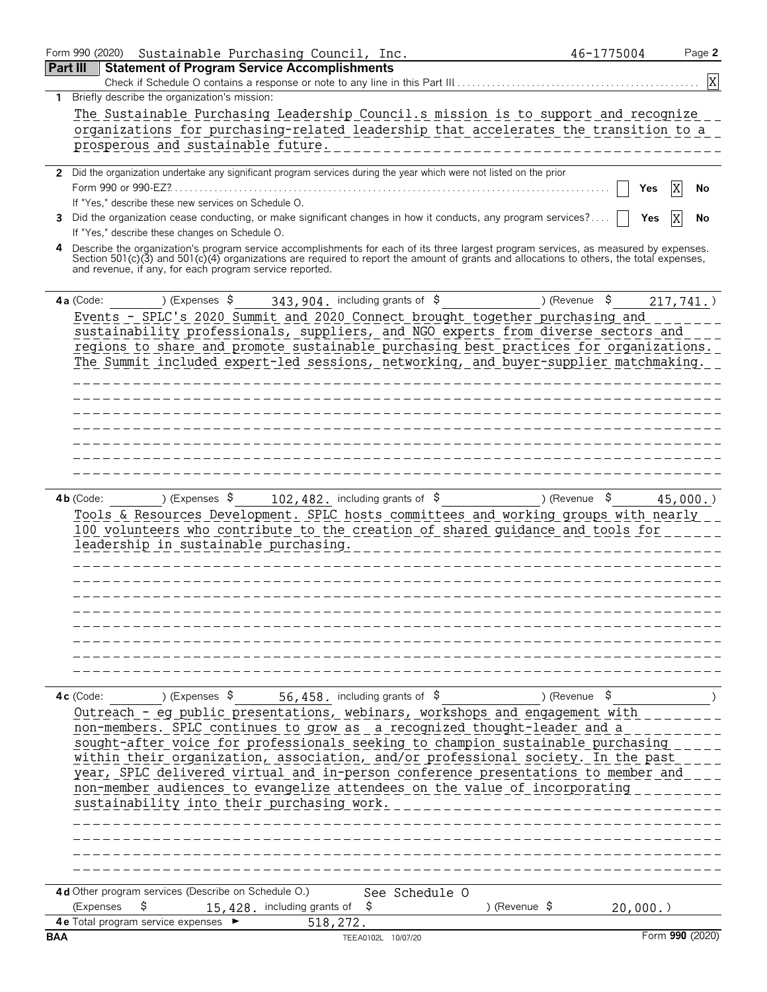|              | Form 990 (2020)<br>Sustainable Purchasing Council, Inc.                                                                                                                                                                                                                          | 46-1775004               | Page 2          |
|--------------|----------------------------------------------------------------------------------------------------------------------------------------------------------------------------------------------------------------------------------------------------------------------------------|--------------------------|-----------------|
| l Part III   | <b>Statement of Program Service Accomplishments</b><br>Check if Schedule O contains a response or note to any line in this Part III                                                                                                                                              |                          | $\mathbf x$     |
| $\mathbf{1}$ | Briefly describe the organization's mission:                                                                                                                                                                                                                                     |                          |                 |
|              | The Sustainable Purchasing Leadership Council.s mission is to support and recognize                                                                                                                                                                                              |                          |                 |
|              | organizations for purchasing-related leadership that accelerates the transition to a                                                                                                                                                                                             |                          |                 |
|              | prosperous and sustainable future.                                                                                                                                                                                                                                               |                          |                 |
|              | 2 Did the organization undertake any significant program services during the year which were not listed on the prior                                                                                                                                                             |                          |                 |
|              |                                                                                                                                                                                                                                                                                  | Yes                      | No              |
|              | If "Yes," describe these new services on Schedule O.                                                                                                                                                                                                                             |                          |                 |
| 3            | Did the organization cease conducting, or make significant changes in how it conducts, any program services?<br>If "Yes," describe these changes on Schedule O.                                                                                                                  | Yes                      | No              |
| 4            | Describe the organization's program service accomplishments for each of its three largest program services, as measured by expenses.<br>Section 501(c)(3) and 501(c)(4) organizations are required to report the amount of grants and allocations to others, the total expenses, |                          |                 |
|              | and revenue, if any, for each program service reported.                                                                                                                                                                                                                          |                          |                 |
|              | ) (Expenses \$<br>343, 904. including grants of \$<br>$4a$ (Code:                                                                                                                                                                                                                | ) (Revenue \$            | 217,741.        |
|              | Events - SPLC's 2020 Summit and 2020 Connect brought together purchasing and                                                                                                                                                                                                     |                          |                 |
|              | sustainability professionals, suppliers, and NGO experts from diverse sectors and                                                                                                                                                                                                |                          |                 |
|              | regions to share and promote sustainable purchasing best practices for organizations.                                                                                                                                                                                            |                          |                 |
|              | The Summit included expert-led sessions, networking, and buyer-supplier matchmaking.                                                                                                                                                                                             |                          |                 |
|              |                                                                                                                                                                                                                                                                                  |                          |                 |
|              |                                                                                                                                                                                                                                                                                  |                          |                 |
|              |                                                                                                                                                                                                                                                                                  |                          |                 |
|              |                                                                                                                                                                                                                                                                                  |                          |                 |
|              |                                                                                                                                                                                                                                                                                  |                          |                 |
|              |                                                                                                                                                                                                                                                                                  |                          |                 |
|              |                                                                                                                                                                                                                                                                                  |                          |                 |
|              | ) (Expenses \$<br>102, 482. including grants of $$$<br>$4b$ (Code:<br>Tools & Resources Development. SPLC hosts committees and working groups with nearly<br>100 volunteers who contribute to the creation of shared guidance and tools for                                      | ) (Revenue $\frac{1}{2}$ | $45,000.$ )     |
|              | leadership in sustainable purchasing.                                                                                                                                                                                                                                            |                          |                 |
|              |                                                                                                                                                                                                                                                                                  |                          |                 |
|              |                                                                                                                                                                                                                                                                                  |                          |                 |
|              |                                                                                                                                                                                                                                                                                  |                          |                 |
|              |                                                                                                                                                                                                                                                                                  |                          |                 |
|              | 56, 458. including grants of \$<br>$4c$ (Code:<br>) (Expenses $\sqrt{5}$                                                                                                                                                                                                         | ) (Revenue $\sqrt{5}$    |                 |
|              | Outreach - eg public presentations, webinars, workshops and engagement with                                                                                                                                                                                                      |                          |                 |
|              | non-members. SPLC continues to grow as a recognized thought-leader and a                                                                                                                                                                                                         |                          |                 |
|              | sought-after voice for professionals seeking to champion sustainable purchasing                                                                                                                                                                                                  |                          |                 |
|              | within their organization, association, and/or professional society. In the past                                                                                                                                                                                                 |                          |                 |
|              | year, SPLC delivered virtual and in-person conference presentations to member and                                                                                                                                                                                                |                          |                 |
|              | non-member audiences to evangelize attendees on the value of incorporating                                                                                                                                                                                                       |                          |                 |
|              | sustainability into their purchasing work.                                                                                                                                                                                                                                       |                          |                 |
|              |                                                                                                                                                                                                                                                                                  |                          |                 |
|              |                                                                                                                                                                                                                                                                                  |                          |                 |
|              |                                                                                                                                                                                                                                                                                  |                          |                 |
|              | 4d Other program services (Describe on Schedule O.)<br>See Schedule O                                                                                                                                                                                                            |                          |                 |
|              | \$<br>\$<br>) (Revenue $\sqrt{5}$<br>(Expenses<br>15, 428. including grants of                                                                                                                                                                                                   | 20,000.                  |                 |
| <b>BAA</b>   | 4e Total program service expenses<br>518,272.<br>TEEA0102L 10/07/20                                                                                                                                                                                                              |                          | Form 990 (2020) |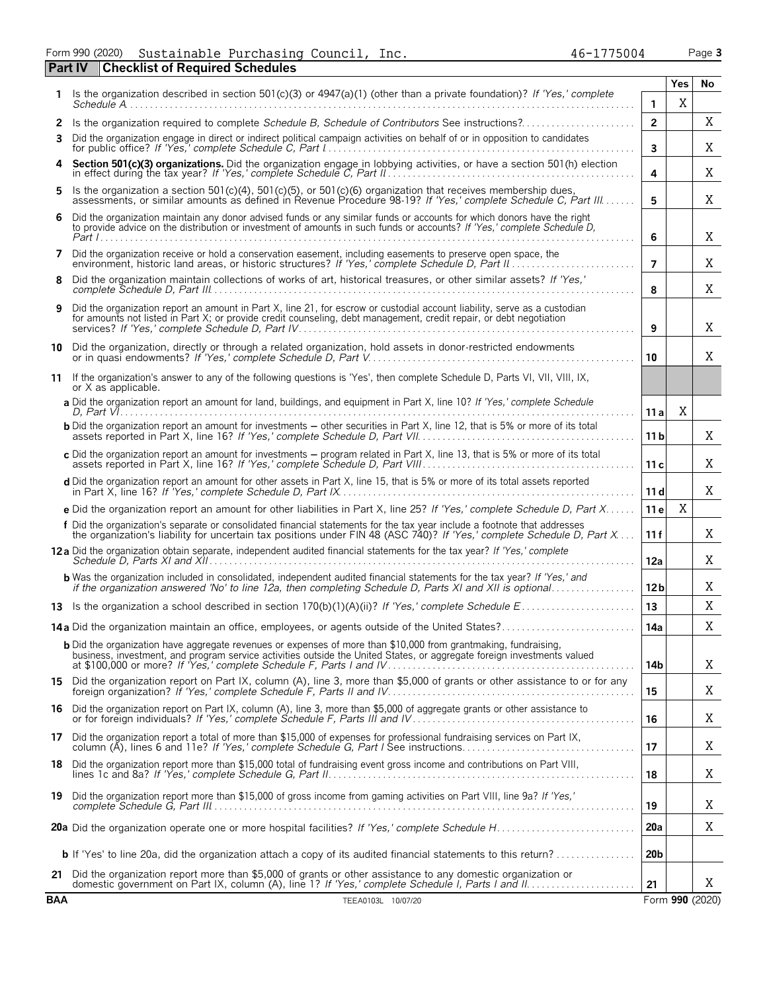Form 990 (2020) Page **3** Sustainable Purchasing Council, Inc. 46-1775004

|            | <b>Checklist of Required Schedules</b><br><b>Part IV</b>                                                                                                                                                                                            |                 |             |                 |
|------------|-----------------------------------------------------------------------------------------------------------------------------------------------------------------------------------------------------------------------------------------------------|-----------------|-------------|-----------------|
| 1.         | Is the organization described in section 501(c)(3) or 4947(a)(1) (other than a private foundation)? If 'Yes,' complete                                                                                                                              |                 | <b>Yes</b>  | No              |
|            |                                                                                                                                                                                                                                                     | 1.              | X           |                 |
| 2<br>3     | Is the organization required to complete Schedule B. Schedule of Contributors See instructions?<br>Did the organization engage in direct or indirect political campaign activities on behalf of or in opposition to candidates                      | $\overline{2}$  |             | Χ               |
| 4          |                                                                                                                                                                                                                                                     | 3               |             | Χ               |
|            | Section 501(c)(3) organizations. Did the organization engage in lobbying activities, or have a section 501(h) election in effect during the tax year? If 'Yes,' complete Schedule C, Part II.                                                       | 4               |             | Χ               |
| 5          | Is the organization a section 501(c)(4), 501(c)(5), or 501(c)(6) organization that receives membership dues,<br>assessments, or similar amounts as defined in Revenue Procedure 98-19? If 'Yes,' complete Schedule C, Part III                      | 5               |             | Χ               |
| 6          | Did the organization maintain any donor advised funds or any similar funds or accounts for which donors have the right<br>to provide advice on the distribution or investment of amounts in such funds or accounts? If 'Yes,' complete Schedule D,  | 6               |             | Χ               |
| 7          | Did the organization receive or hold a conservation easement, including easements to preserve open space, the<br>environment, historic land areas, or historic structures? If 'Yes,' complete Schedule D, Part II.                                  | $\overline{7}$  |             | X               |
| 8          | Did the organization maintain collections of works of art, historical treasures, or other similar assets? If 'Yes,'                                                                                                                                 | 8               |             | Χ               |
| 9          | Did the organization report an amount in Part X, line 21, for escrow or custodial account liability, serve as a custodian<br>for amounts not listed in Part X; or provide credit counseling, debt management, credit repair, or debt negotiation    | 9               |             | Χ               |
|            | 10 Did the organization, directly or through a related organization, hold assets in donor-restricted endowments                                                                                                                                     | 10              |             | Χ               |
|            | 11 If the organization's answer to any of the following questions is 'Yes', then complete Schedule D, Parts VI, VII, VIII, IX,<br>or X as applicable.                                                                                               |                 |             |                 |
|            | a Did the organization report an amount for land, buildings, and equipment in Part X, line 10? If 'Yes,' complete Schedule                                                                                                                          | 11 a            | Χ           |                 |
|            | <b>b</b> Did the organization report an amount for investments – other securities in Part X, line 12, that is 5% or more of its total                                                                                                               | 11 <sub>b</sub> |             | Χ               |
|            | c Did the organization report an amount for investments - program related in Part X, line 13, that is 5% or more of its total                                                                                                                       | 11c             |             | Χ               |
|            | d Did the organization report an amount for other assets in Part X, line 15, that is 5% or more of its total assets reported                                                                                                                        | 11d             |             | X               |
|            | e Did the organization report an amount for other liabilities in Part X, line 25? If 'Yes,' complete Schedule D, Part X                                                                                                                             | 11 e            | $\mathbf X$ |                 |
|            | f Did the organization's separate or consolidated financial statements for the tax year include a footnote that addresses<br>the organization's liability for uncertain tax positions under FIN 48 (ASC 740)? If 'Yes,' complete Schedule D, Part X | 11 f            |             | Χ               |
|            | 12a Did the organization obtain separate, independent audited financial statements for the tax year? If 'Yes,' complete                                                                                                                             | 12a             |             | Χ               |
|            | <b>b</b> Was the organization included in consolidated, independent audited financial statements for the tax year? If 'Yes,' and if the organization answered 'No' to line 12a, then completing Schedule D, Parts XI and XII is opt                 | 12 <sub>b</sub> |             | Χ               |
|            |                                                                                                                                                                                                                                                     | 13              |             | X               |
|            |                                                                                                                                                                                                                                                     | 14a             |             | Χ               |
|            | <b>b</b> Did the organization have aggregate revenues or expenses of more than \$10,000 from grantmaking, fundraising,<br>business, investment, and program service activities outside the United States, or aggregate foreign investments valued   | 14b             |             | Χ               |
|            | 15 Did the organization report on Part IX, column (A), line 3, more than \$5,000 of grants or other assistance to or for any                                                                                                                        | 15              |             | Χ               |
|            | 16 Did the organization report on Part IX, column (A), line 3, more than \$5,000 of aggregate grants or other assistance to                                                                                                                         | 16              |             | X               |
|            | 17 Did the organization report a total of more than \$15,000 of expenses for professional fundraising services on Part IX,<br>column (A), lines 6 and 11e? If 'Yes,' complete Schedule G, Part I See instructions                                   | 17              |             | Χ               |
|            | 18 Did the organization report more than \$15,000 total of fundraising event gross income and contributions on Part VIII,                                                                                                                           | 18              |             | Χ               |
|            | 19 Did the organization report more than \$15,000 of gross income from gaming activities on Part VIII, line 9a? If 'Yes,'                                                                                                                           | 19              |             | Χ               |
|            |                                                                                                                                                                                                                                                     | 20a             |             | X               |
|            |                                                                                                                                                                                                                                                     | 20 <sub>b</sub> |             |                 |
| 21         | Did the organization report more than \$5,000 of grants or other assistance to any domestic organization or                                                                                                                                         | 21              |             | Χ               |
| <b>BAA</b> | TEEA0103L 10/07/20                                                                                                                                                                                                                                  |                 |             | Form 990 (2020) |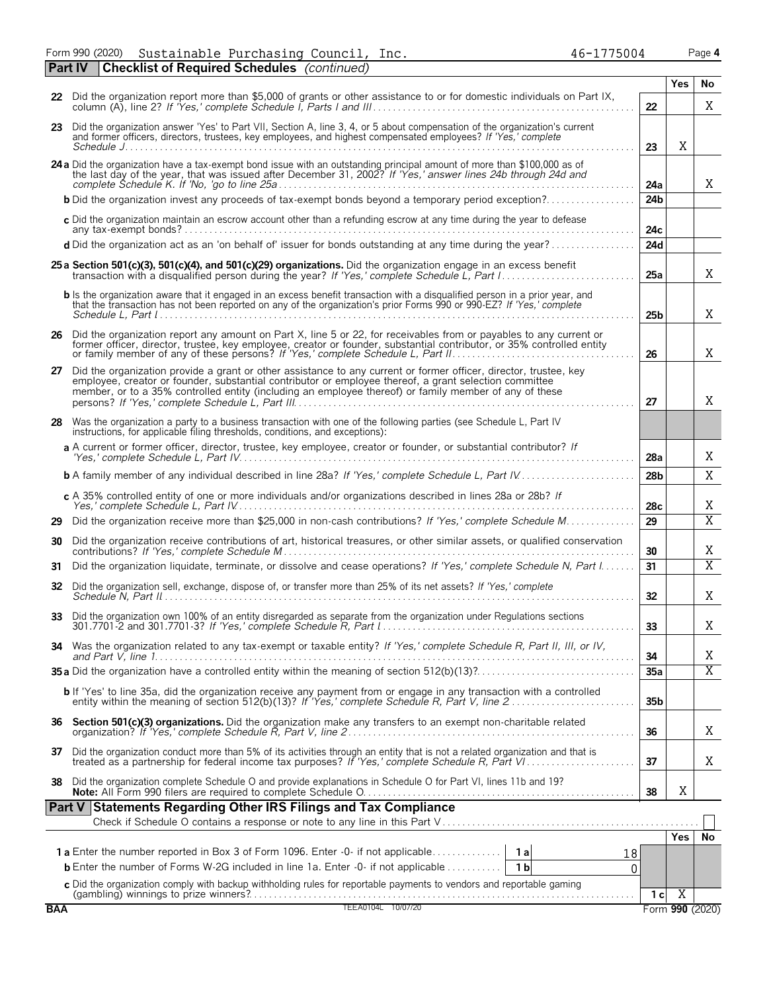Form 990 (2020) Sustainable Purchasing Council,Inc. 46-1775004 Page **4** Sustainable Purchasing Council, Inc. 46-1775004

|    | <b>Part IV</b> | <b>Checklist of Required Schedules</b> (continued)                                                                                                                                                                                                                                                                                    |                 |        |                |
|----|----------------|---------------------------------------------------------------------------------------------------------------------------------------------------------------------------------------------------------------------------------------------------------------------------------------------------------------------------------------|-----------------|--------|----------------|
|    |                |                                                                                                                                                                                                                                                                                                                                       |                 | Yes    | No             |
|    |                | 22 Did the organization report more than \$5,000 of grants or other assistance to or for domestic individuals on Part IX,                                                                                                                                                                                                             | 22              |        | X              |
|    |                | 23 Did the organization answer 'Yes' to Part VII, Section A, line 3, 4, or 5 about compensation of the organization's current<br>and former officers, directors, trustees, key employees, and highest compensated employees? If 'Yes,' complete                                                                                       | 23              | X      |                |
|    |                | 24 a Did the organization have a tax-exempt bond issue with an outstanding principal amount of more than \$100,000 as of the last day of the year, that was issued after December 31, 2002? If 'Yes,' answer lines 24b through                                                                                                        | 24a             |        | X              |
|    |                | <b>b</b> Did the organization invest any proceeds of tax-exempt bonds beyond a temporary period exception?                                                                                                                                                                                                                            | 24 <sub>b</sub> |        |                |
|    |                | c Did the organization maintain an escrow account other than a refunding escrow at any time during the year to defease                                                                                                                                                                                                                | 24с             |        |                |
|    |                | d Did the organization act as an 'on behalf of' issuer for bonds outstanding at any time during the year?                                                                                                                                                                                                                             | 24d             |        |                |
|    |                | 25 a Section 501(c)(3), 501(c)(4), and 501(c)(29) organizations. Did the organization engage in an excess benefit                                                                                                                                                                                                                     | 25a             |        | X              |
|    |                | b Is the organization aware that it engaged in an excess benefit transaction with a disqualified person in a prior year, and<br>that the transaction has not been reported on any of the organization's prior Forms 990 or 990-EZ? If 'Yes,' complete                                                                                 | 25 <sub>b</sub> |        | Χ              |
|    |                | 26 Did the organization report any amount on Part X, line 5 or 22, for receivables from or payables to any current or<br>former officer, director, trustee, key employee, creator or founder, substantial contributor, or 35% controlled entity<br>or family member of any of these persons? If 'Yes,' complete Schedule L, Part II.  | 26              |        | Χ              |
| 27 |                | Did the organization provide a grant or other assistance to any current or former officer, director, trustee, key<br>employee, creator or founder, substantial contributor or employee thereof, a grant selection committee<br>member, or to a 35% controlled entity (including an employee thereof) or family member of any of these | 27              |        | X              |
| 28 |                | Was the organization a party to a business transaction with one of the following parties (see Schedule L, Part IV<br>instructions, for applicable filing thresholds, conditions, and exceptions):                                                                                                                                     |                 |        |                |
|    |                | a A current or former officer, director, trustee, key employee, creator or founder, or substantial contributor? If                                                                                                                                                                                                                    | 28a             |        | X              |
|    |                |                                                                                                                                                                                                                                                                                                                                       | 28 <sub>b</sub> |        | X              |
|    |                | c A 35% controlled entity of one or more individuals and/or organizations described in lines 28a or 28b? If                                                                                                                                                                                                                           | 28c             |        | Χ              |
| 29 |                | Did the organization receive more than \$25,000 in non-cash contributions? If 'Yes,' complete Schedule M                                                                                                                                                                                                                              | $\overline{29}$ |        | X              |
| 30 |                | Did the organization receive contributions of art, historical treasures, or other similar assets, or qualified conservation                                                                                                                                                                                                           | 30              |        | Χ              |
| 31 |                | Did the organization liquidate, terminate, or dissolve and cease operations? If 'Yes,' complete Schedule N, Part I                                                                                                                                                                                                                    | 31              |        | X              |
| 32 |                | Did the organization sell, exchange, dispose of, or transfer more than 25% of its net assets? If 'Yes,' complete                                                                                                                                                                                                                      | 32              |        | X              |
|    |                | 33 Did the organization own 100% of an entity disregarded as separate from the organization under Regulations sections                                                                                                                                                                                                                | 33              |        | Χ              |
| 34 |                | Was the organization related to any tax-exempt or taxable entity? If 'Yes,' complete Schedule R, Part II, III, or IV,                                                                                                                                                                                                                 | 34              |        | Χ              |
|    |                |                                                                                                                                                                                                                                                                                                                                       | 35a             |        | $\overline{X}$ |
|    |                | <b>b</b> If 'Yes' to line 35a, did the organization receive any payment from or engage in any transaction with a controlled entity within the meaning of section 512(b)(13)? If 'Yes,' complete Schedule R, Part V, line 2                                                                                                            | 35 <sub>b</sub> |        |                |
|    |                |                                                                                                                                                                                                                                                                                                                                       | 36              |        | Χ              |
|    |                | 37 Did the organization conduct more than 5% of its activities through an entity that is not a related organization and that is treated as a partnership for federal income tax purposes? If 'Yes,' complete Schedule R, Part                                                                                                         | 37              |        | Χ              |
| 38 |                | Did the organization complete Schedule O and provide explanations in Schedule O for Part VI, lines 11b and 19?                                                                                                                                                                                                                        | 38              | Χ      |                |
|    |                | Part V Statements Regarding Other IRS Filings and Tax Compliance                                                                                                                                                                                                                                                                      |                 |        |                |
|    |                |                                                                                                                                                                                                                                                                                                                                       |                 | Yes No |                |
|    |                | 18                                                                                                                                                                                                                                                                                                                                    |                 |        |                |
|    |                | <b>b</b> Enter the number of Forms W-2G included in line 1a. Enter $-0$ - if not applicable<br>1 <sub>b</sub><br>$\Omega$                                                                                                                                                                                                             |                 |        |                |
|    |                | c Did the organization comply with backup withholding rules for reportable payments to vendors and reportable qaminq                                                                                                                                                                                                                  | 1 с             | Χ      |                |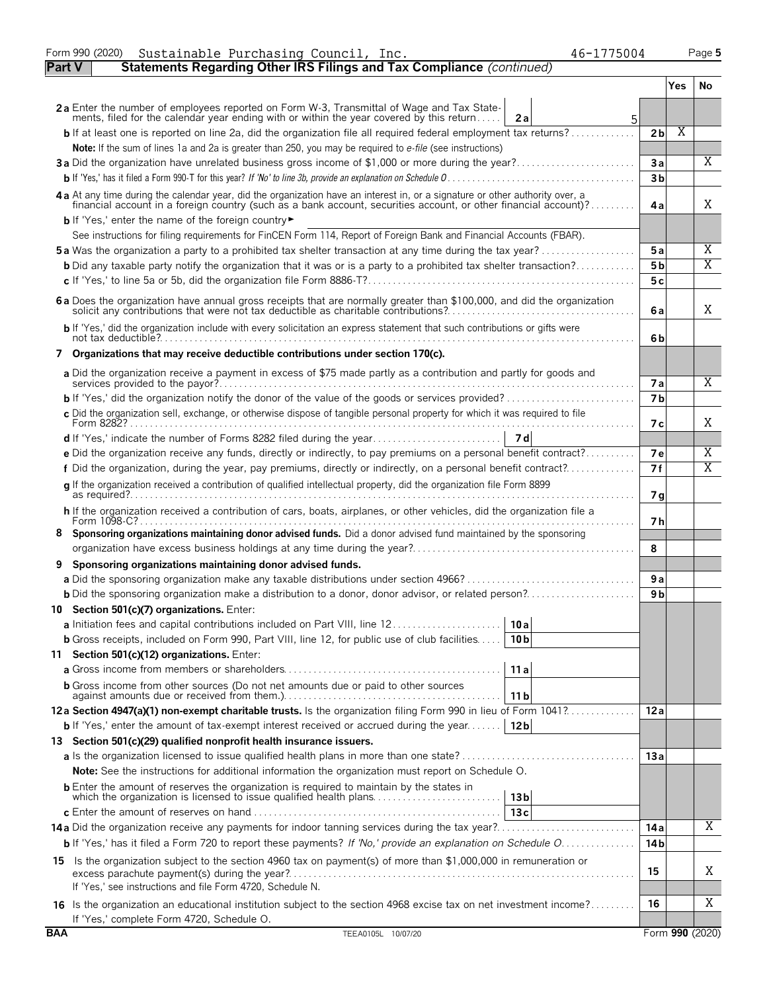|               | Sustainable Purchasing Council, Inc.<br>46-1775004<br>Form 990 (2020)                                                                                                                                       |                |     | Page 5          |
|---------------|-------------------------------------------------------------------------------------------------------------------------------------------------------------------------------------------------------------|----------------|-----|-----------------|
| <b>Part V</b> | Statements Regarding Other IRS Filings and Tax Compliance (continued)                                                                                                                                       |                |     |                 |
|               |                                                                                                                                                                                                             |                | Yes | No              |
|               | 2a Enter the number of employees reported on Form W-3, Transmittal of Wage and Tax State-                                                                                                                   |                |     |                 |
|               | ments, filed for the calendar year ending with or within the year covered by this return<br>2a<br>5                                                                                                         |                |     |                 |
|               | <b>b</b> If at least one is reported on line 2a, did the organization file all required federal employment tax returns?                                                                                     | 2 <sub>b</sub> | X   |                 |
|               | Note: If the sum of lines 1a and 2a is greater than 250, you may be required to e-file (see instructions)                                                                                                   |                |     |                 |
|               | 3a Did the organization have unrelated business gross income of \$1,000 or more during the year?                                                                                                            | 3a             |     | $\overline{X}$  |
|               |                                                                                                                                                                                                             | 3 <sub>b</sub> |     |                 |
|               | 4 a At any time during the calendar year, did the organization have an interest in, or a signature or other authority over, a                                                                               |                |     |                 |
|               | financial account in a foreign country (such as a bank account, securities account, or other financial account)?                                                                                            | 4a             |     | Χ               |
|               | <b>b</b> If 'Yes,' enter the name of the foreign country                                                                                                                                                    |                |     |                 |
|               | See instructions for filing requirements for FinCEN Form 114, Report of Foreign Bank and Financial Accounts (FBAR).                                                                                         |                |     |                 |
|               | <b>5a</b> Was the organization a party to a prohibited tax shelter transaction at any time during the tax year?                                                                                             | 5a             |     | Χ               |
|               | <b>b</b> Did any taxable party notify the organization that it was or is a party to a prohibited tax shelter transaction?                                                                                   | 5 <sub>b</sub> |     | Χ               |
|               |                                                                                                                                                                                                             | 5с             |     |                 |
|               |                                                                                                                                                                                                             |                |     |                 |
|               | 6 a Does the organization have annual gross receipts that are normally greater than \$100,000, and did the organization solicit any contributions that were not tax deductible as charitable contributions? | 6a             |     | Χ               |
|               | b If 'Yes,' did the organization include with every solicitation an express statement that such contributions or gifts were                                                                                 |                |     |                 |
|               |                                                                                                                                                                                                             | 6b             |     |                 |
|               | 7 Organizations that may receive deductible contributions under section 170(c).                                                                                                                             |                |     |                 |
|               | a Did the organization receive a payment in excess of \$75 made partly as a contribution and partly for goods and                                                                                           | <b>7a</b>      |     | Χ               |
|               |                                                                                                                                                                                                             | 7 <sub>b</sub> |     |                 |
|               | c Did the organization sell, exchange, or otherwise dispose of tangible personal property for which it was required to file                                                                                 |                |     |                 |
|               |                                                                                                                                                                                                             | 7 с            |     | Χ               |
|               |                                                                                                                                                                                                             |                |     |                 |
|               | e Did the organization receive any funds, directly or indirectly, to pay premiums on a personal benefit contract?                                                                                           | <b>7e</b>      |     | Χ               |
|               | f Did the organization, during the year, pay premiums, directly or indirectly, on a personal benefit contract?                                                                                              | 7f             |     | Χ               |
|               | g If the organization received a contribution of qualified intellectual property, did the organization file Form 8899                                                                                       |                |     |                 |
|               |                                                                                                                                                                                                             | 7 <sub>q</sub> |     |                 |
|               | h If the organization received a contribution of cars, boats, airplanes, or other vehicles, did the organization file a                                                                                     | 7 h            |     |                 |
| 8             | Sponsoring organizations maintaining donor advised funds. Did a donor advised fund maintained by the sponsoring                                                                                             |                |     |                 |
|               |                                                                                                                                                                                                             | 8              |     |                 |
| 9             | Sponsoring organizations maintaining donor advised funds.                                                                                                                                                   |                |     |                 |
|               |                                                                                                                                                                                                             | 9 a            |     |                 |
|               |                                                                                                                                                                                                             | 9 <sub>b</sub> |     |                 |
|               | 10 Section 501(c)(7) organizations. Enter:                                                                                                                                                                  |                |     |                 |
|               | 10 a                                                                                                                                                                                                        |                |     |                 |
|               | <b>b</b> Gross receipts, included on Form 990, Part VIII, line 12, for public use of club facilities<br>10 <sub>b</sub>                                                                                     |                |     |                 |
|               | 11 Section 501(c)(12) organizations. Enter:                                                                                                                                                                 |                |     |                 |
|               | 11a                                                                                                                                                                                                         |                |     |                 |
|               | <b>b</b> Gross income from other sources (Do not net amounts due or paid to other sources                                                                                                                   |                |     |                 |
|               | 11 b                                                                                                                                                                                                        |                |     |                 |
|               | 12a Section 4947(a)(1) non-exempt charitable trusts. Is the organization filing Form 990 in lieu of Form 1041?                                                                                              | 12a            |     |                 |
|               | <b>b</b> If 'Yes,' enter the amount of tax-exempt interest received or accrued during the year<br>12 <sub>b</sub>                                                                                           |                |     |                 |
|               | 13 Section 501(c)(29) qualified nonprofit health insurance issuers.                                                                                                                                         |                |     |                 |
|               |                                                                                                                                                                                                             | 13a            |     |                 |
|               | <b>Note:</b> See the instructions for additional information the organization must report on Schedule O.                                                                                                    |                |     |                 |
|               | <b>b</b> Enter the amount of reserves the organization is required to maintain by the states in                                                                                                             |                |     |                 |
|               | which the organization is licensed to issue qualified health plans<br>13 <sub>b</sub>                                                                                                                       |                |     |                 |
|               | 13c                                                                                                                                                                                                         |                |     |                 |
|               | 14a Did the organization receive any payments for indoor tanning services during the tax year?                                                                                                              | 14 a           |     | Χ               |
|               | b If 'Yes,' has it filed a Form 720 to report these payments? If 'No,' provide an explanation on Schedule O                                                                                                 | 14 b           |     |                 |
|               | 15 Is the organization subject to the section 4960 tax on payment(s) of more than \$1,000,000 in remuneration or                                                                                            | 15             |     | Χ               |
|               | If 'Yes,' see instructions and file Form 4720, Schedule N.                                                                                                                                                  |                |     |                 |
|               |                                                                                                                                                                                                             |                |     |                 |
|               | 16 Is the organization an educational institution subject to the section 4968 excise tax on net investment income?                                                                                          | 16             |     | Χ               |
| <b>BAA</b>    | If 'Yes,' complete Form 4720, Schedule O.                                                                                                                                                                   |                |     | Form 990 (2020) |
|               | TEEA0105L 10/07/20                                                                                                                                                                                          |                |     |                 |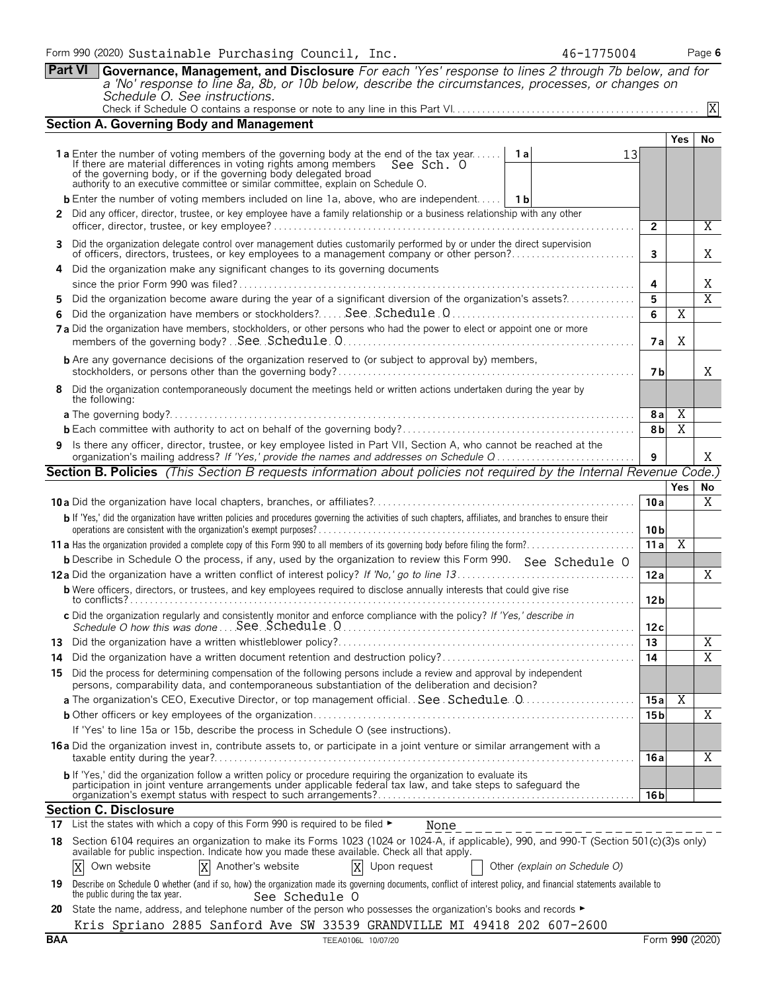**Part VI Governance, Management, and Disclosure** *For each 'Yes' response to lines 2 through 7b below, and for a 'No' response to line 8a, 8b, or 10b below, describe the circumstances, processes, or changes on Schedule O. See instructions.*

|--|

|    | <b>Section A. Governing Body and Management</b>                                                                                                                                                                                         |                 |                         |                |
|----|-----------------------------------------------------------------------------------------------------------------------------------------------------------------------------------------------------------------------------------------|-----------------|-------------------------|----------------|
|    |                                                                                                                                                                                                                                         |                 | Yes                     | No.            |
|    | <b>1a</b> Enter the number of voting members of the governing body at the end of the tax year<br>1 a<br>13<br>If there are material differences in voting rights among members See Sch. O                                               |                 |                         |                |
|    | of the governing body, or if the governing body delegated broad                                                                                                                                                                         |                 |                         |                |
|    | authority to an executive committee or similar committee, explain on Schedule O.                                                                                                                                                        |                 |                         |                |
|    | <b>b</b> Enter the number of voting members included on line 1a, above, who are independent   1b                                                                                                                                        |                 |                         |                |
|    | 2 Did any officer, director, trustee, or key employee have a family relationship or a business relationship with any other                                                                                                              | $\overline{2}$  |                         | $\overline{X}$ |
|    | 3 Did the organization delegate control over management duties customarily performed by or under the direct supervision                                                                                                                 |                 |                         |                |
|    | of officers, directors, trustees, or key employees to a management company or other person?                                                                                                                                             | 3               |                         | Χ              |
|    | 4 Did the organization make any significant changes to its governing documents                                                                                                                                                          |                 |                         |                |
|    |                                                                                                                                                                                                                                         | 4               |                         | X              |
| 5. | Did the organization become aware during the year of a significant diversion of the organization's assets?                                                                                                                              | 5               |                         | $\overline{X}$ |
| 6  |                                                                                                                                                                                                                                         | 6               | Χ                       |                |
|    | 7a Did the organization have members, stockholders, or other persons who had the power to elect or appoint one or more                                                                                                                  | 7al             | Χ                       |                |
|    | <b>b</b> Are any governance decisions of the organization reserved to (or subject to approval by) members,                                                                                                                              | 7 b             |                         | X              |
|    | 8 Did the organization contemporaneously document the meetings held or written actions undertaken during the year by<br>the following:                                                                                                  |                 |                         |                |
|    |                                                                                                                                                                                                                                         | 8al             | X                       |                |
|    |                                                                                                                                                                                                                                         | 8 <sub>b</sub>  | Χ                       |                |
|    | 9 Is there any officer, director, trustee, or key employee listed in Part VII, Section A, who cannot be reached at the<br>organization's mailing address? If 'Yes,' provide the names and addresses on Schedule Q                       | 9               |                         | X              |
|    | Section B. Policies (This Section B requests information about policies not required by the Internal Revenue Code.)                                                                                                                     |                 |                         |                |
|    |                                                                                                                                                                                                                                         |                 | <b>Yes</b>              | No             |
|    |                                                                                                                                                                                                                                         | 10a             |                         | X              |
|    | b If 'Yes,' did the organization have written policies and procedures governing the activities of such chapters, affiliates, and branches to ensure their                                                                               | 10 <sub>b</sub> |                         |                |
|    |                                                                                                                                                                                                                                         | 11a             | $\overline{\mathbf{X}}$ |                |
|    | <b>b</b> Describe in Schedule O the process, if any, used by the organization to review this Form 990. See Schedule O                                                                                                                   |                 |                         |                |
|    |                                                                                                                                                                                                                                         | 12a             |                         | X              |
|    | <b>b</b> Were officers, directors, or trustees, and key employees required to disclose annually interests that could give rise                                                                                                          | 12 <sub>b</sub> |                         |                |
|    |                                                                                                                                                                                                                                         | 12c             |                         |                |
|    |                                                                                                                                                                                                                                         | 13              |                         | Χ              |
| 14 |                                                                                                                                                                                                                                         | 14              |                         | $\overline{X}$ |
|    | 15 Did the process for determining compensation of the following persons include a review and approval by independent<br>persons, comparability data, and contemporaneous substantiation of the deliberation and decision?              |                 |                         |                |
|    | a The organization's CEO, Executive Director, or top management official. See Schedule. 0                                                                                                                                               | 15 a            | $\overline{X}$          |                |
|    |                                                                                                                                                                                                                                         | 15 <sub>b</sub> |                         | Χ              |
|    | If 'Yes' to line 15a or 15b, describe the process in Schedule O (see instructions).                                                                                                                                                     |                 |                         |                |
|    | <b>16a</b> Did the organization invest in, contribute assets to, or participate in a joint venture or similar arrangement with a<br>taxable entity during the year?                                                                     | 16 a            |                         | Χ              |
|    | b If 'Yes,' did the organization follow a written policy or procedure requiring the organization to evaluate its                                                                                                                        |                 |                         |                |
|    | participation in joint venture arrangements under applicable federal tax law, and take steps to safeguard the                                                                                                                           | 16 b            |                         |                |
|    | <b>Section C. Disclosure</b>                                                                                                                                                                                                            |                 |                         |                |
| 17 | List the states with which a copy of this Form 990 is required to be filed ►<br>None                                                                                                                                                    |                 |                         |                |
| 18 | Section 6104 requires an organization to make its Forms 1023 (1024 or 1024-A, if applicable), 990, and 990-T (Section 501(c)(3)s only)<br>available for public inspection. Indicate how you made these available. Check all that apply. |                 |                         |                |
|    | Own website<br>X Another's website<br>Upon request<br>Other (explain on Schedule O)<br>X                                                                                                                                                |                 |                         |                |
| 19 | Describe on Schedule O whether (and if so, how) the organization made its governing documents, conflict of interest policy, and financial statements available to<br>the public during the tax year.<br>See Schedule O                  |                 |                         |                |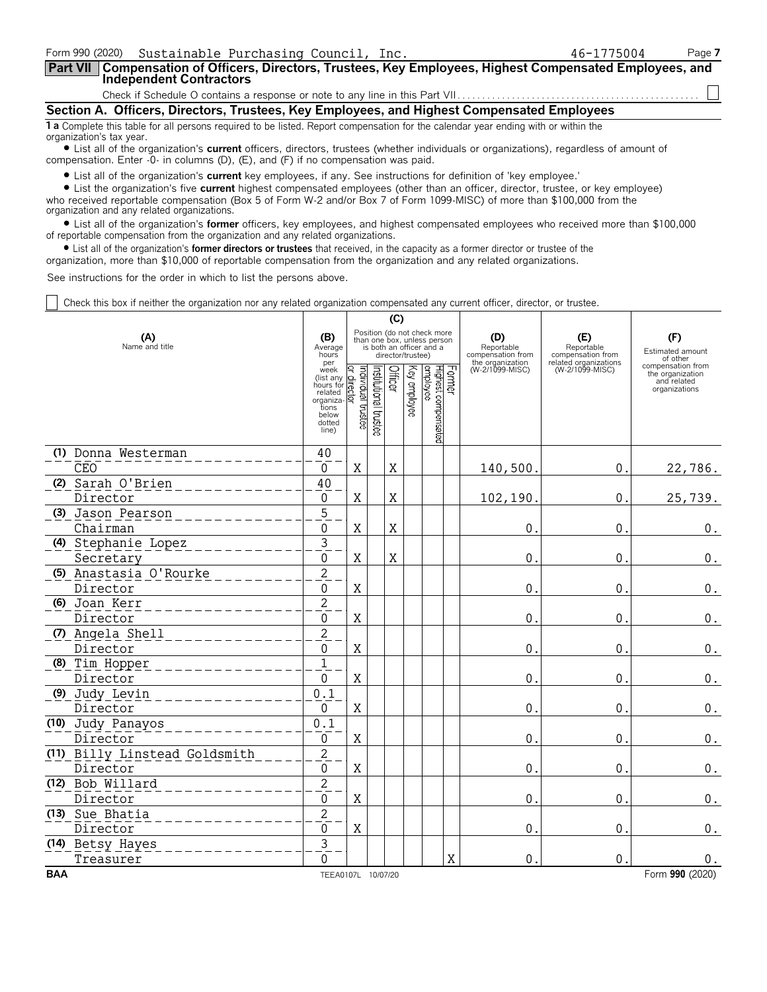| Form 990 (2020) Sustainable Purchasing Council, Inc.                                                                                                           | 46-1775004 | Page 7 |
|----------------------------------------------------------------------------------------------------------------------------------------------------------------|------------|--------|
|                                                                                                                                                                |            |        |
|                                                                                                                                                                |            |        |
| Section A. Officers, Directors, Trustees, Key Employees, and Highest Compensated Employees                                                                     |            |        |
| 1 a Complete this table for all persons required to be listed. Report compensation for the calendar year ending with or within the<br>organization's tax year. |            |        |

? List all of the organization's **current** officers, directors, trustees (whether individuals or organizations), regardless of amount of compensation. Enter -0- in columns (D), (E), and (F) if no compensation was paid.

? List all of the organization's **current** key employees, if any. See instructions for definition of 'key employee.'

? List the organization's five **current** highest compensated employees (other than an officer, director, trustee, or key employee) who received reportable compensation (Box 5 of Form W-2 and/or Box 7 of Form 1099-MISC) of more than \$100,000 from the organization and any related organizations.

? List all of the organization's **former** officers, key employees, and highest compensated employees who received more than \$100,000 of reportable compensation from the organization and any related organizations.

? List all of the organization's **former directors or trustees** that received, in the capacity as a former director or trustee of the

organization, more than \$10,000 of reportable compensation from the organization and any related organizations.

See instructions for the order in which to list the persons above.

Check this box if neither the organization nor any related organization compensated any current officer, director, or trustee.

|                               |                                                                                                                                 |                   |                      | (C)         |                   |                                                                                        |   |                                                            |                                          |                                                                       |
|-------------------------------|---------------------------------------------------------------------------------------------------------------------------------|-------------------|----------------------|-------------|-------------------|----------------------------------------------------------------------------------------|---|------------------------------------------------------------|------------------------------------------|-----------------------------------------------------------------------|
| (A)<br>Name and title         | (B)<br>Average<br>hours<br>per                                                                                                  |                   |                      |             | director/trustee) | Position (do not check more<br>than one box, unless person<br>is both an officer and a |   | (D)<br>Reportable<br>compensation from<br>the organization | (E)<br>Reportable<br>compensation from   | (F)<br>Estimated amount<br>of other                                   |
|                               | week<br>week<br>(list any $\frac{Q}{R}$<br>hours for $\frac{Q}{R}$<br>related<br>organiza-<br>tions<br>below<br>dotted<br>line) | ndividual trustee | nstitutional trustee | Officer     | Key employee      | Former<br>Highest compensated<br>employee                                              |   | (W-2/1099-MISC)                                            | related organizations<br>(W-2/1099-MISC) | compensation from<br>the organization<br>and related<br>organizations |
| (1) Donna Westerman           | $40\,$                                                                                                                          |                   |                      |             |                   |                                                                                        |   |                                                            |                                          |                                                                       |
| <b>CEO</b>                    | $\mathbf{0}$                                                                                                                    | X                 |                      | $\mathbf X$ |                   |                                                                                        |   | 140,500                                                    | $\mathbf 0$ .                            | 22,786.                                                               |
| (2) Sarah O'Brien             | 40                                                                                                                              |                   |                      |             |                   |                                                                                        |   |                                                            |                                          |                                                                       |
| Director                      | 0                                                                                                                               | X                 |                      | Χ           |                   |                                                                                        |   | 102,190                                                    | $0$ .                                    | 25,739.                                                               |
| (3) Jason Pearson             | $\overline{5}$                                                                                                                  |                   |                      |             |                   |                                                                                        |   |                                                            |                                          |                                                                       |
| Chairman                      | $\Omega$                                                                                                                        | $\rm X$           |                      | $\rm X$     |                   |                                                                                        |   | $\mathbf 0$                                                | $\mathbf 0$                              | 0.                                                                    |
| (4) Stephanie Lopez           | $\overline{3}$                                                                                                                  |                   |                      |             |                   |                                                                                        |   |                                                            |                                          |                                                                       |
| Secretary                     | $\mathbf 0$                                                                                                                     | $\rm X$           |                      | X           |                   |                                                                                        |   | $\mathsf{O}\,$ .                                           | $\mathbf{0}$                             | $\boldsymbol{0}$ .                                                    |
| (5) Anastasia O'Rourke        | $\overline{2}$                                                                                                                  |                   |                      |             |                   |                                                                                        |   |                                                            |                                          |                                                                       |
| Director                      | 0                                                                                                                               | X                 |                      |             |                   |                                                                                        |   | $\mathbf 0$ .                                              | $\mathbf{0}$                             | 0.                                                                    |
| (6) Joan Kerr                 | $\overline{2}$                                                                                                                  |                   |                      |             |                   |                                                                                        |   |                                                            |                                          |                                                                       |
| Director                      | $\mathbf 0$                                                                                                                     | $\rm X$           |                      |             |                   |                                                                                        |   | $\mathbf{0}$                                               | $\mathbf{0}$                             | $\boldsymbol{0}$ .                                                    |
| (7) Angela Shell              | $\overline{2}$                                                                                                                  |                   |                      |             |                   |                                                                                        |   |                                                            |                                          |                                                                       |
| Director                      | $\mathbf 0$                                                                                                                     | X                 |                      |             |                   |                                                                                        |   | $\mathbf 0$                                                | $\mathbf 0$                              | $0_{.}$                                                               |
| (8) Tim Hopper                | $\mathbf{1}$                                                                                                                    |                   |                      |             |                   |                                                                                        |   |                                                            |                                          |                                                                       |
| Director                      | $\mathbf 0$                                                                                                                     | $\rm X$           |                      |             |                   |                                                                                        |   | $\mathbf 0$                                                | $\mathbf 0$                              | $\boldsymbol{0}$ .                                                    |
| (9) Judy Levin                | 0.1                                                                                                                             |                   |                      |             |                   |                                                                                        |   |                                                            |                                          |                                                                       |
| Director                      | $\mathbf 0$                                                                                                                     | $\rm X$           |                      |             |                   |                                                                                        |   | $\mathbf 0$                                                | $\mathbf 0$                              | $\boldsymbol{0}$ .                                                    |
| (10) Judy Panayos             | 0.1                                                                                                                             |                   |                      |             |                   |                                                                                        |   |                                                            |                                          |                                                                       |
| Director                      | $\pmb{0}$                                                                                                                       | X                 |                      |             |                   |                                                                                        |   | $\mathbf{0}$                                               | $\mathbf 0$ .                            | $\boldsymbol{0}$ .                                                    |
| (11) Billy Linstead Goldsmith | $\overline{2}$                                                                                                                  |                   |                      |             |                   |                                                                                        |   |                                                            |                                          |                                                                       |
| Director                      | $\mathbf 0$                                                                                                                     | $\rm X$           |                      |             |                   |                                                                                        |   | $\mathbf{0}$ .                                             | $\mathbf{0}$ .                           | $\boldsymbol{0}$ .                                                    |
| (12) Bob Willard              | $\overline{2}$                                                                                                                  |                   |                      |             |                   |                                                                                        |   |                                                            |                                          |                                                                       |
| Director                      | $\overline{0}$                                                                                                                  | $\mathbf X$       |                      |             |                   |                                                                                        |   | $\mathbf{0}$ .                                             | $\mathbf{0}$ .                           | $\boldsymbol{0}$ .                                                    |
| (13) Sue Bhatia               | $\overline{2}$                                                                                                                  |                   |                      |             |                   |                                                                                        |   |                                                            |                                          |                                                                       |
| Director                      | $\mathbf 0$                                                                                                                     | X                 |                      |             |                   |                                                                                        |   | $\mathbf{0}$ .                                             | $\mathbf{0}$ .                           | $\boldsymbol{0}$ .                                                    |
| (14) Betsy Hayes              | $\overline{\mathbf{3}}$                                                                                                         |                   |                      |             |                   |                                                                                        |   |                                                            |                                          |                                                                       |
| Treasurer                     | $\Omega$                                                                                                                        |                   |                      |             |                   |                                                                                        | X | $\mathbf{0}$                                               | $\mathbf{0}$                             | $\boldsymbol{0}$ .                                                    |
| <b>BAA</b>                    | TEEA0107L 10/07/20                                                                                                              |                   |                      |             |                   |                                                                                        |   |                                                            |                                          | Form 990 (2020)                                                       |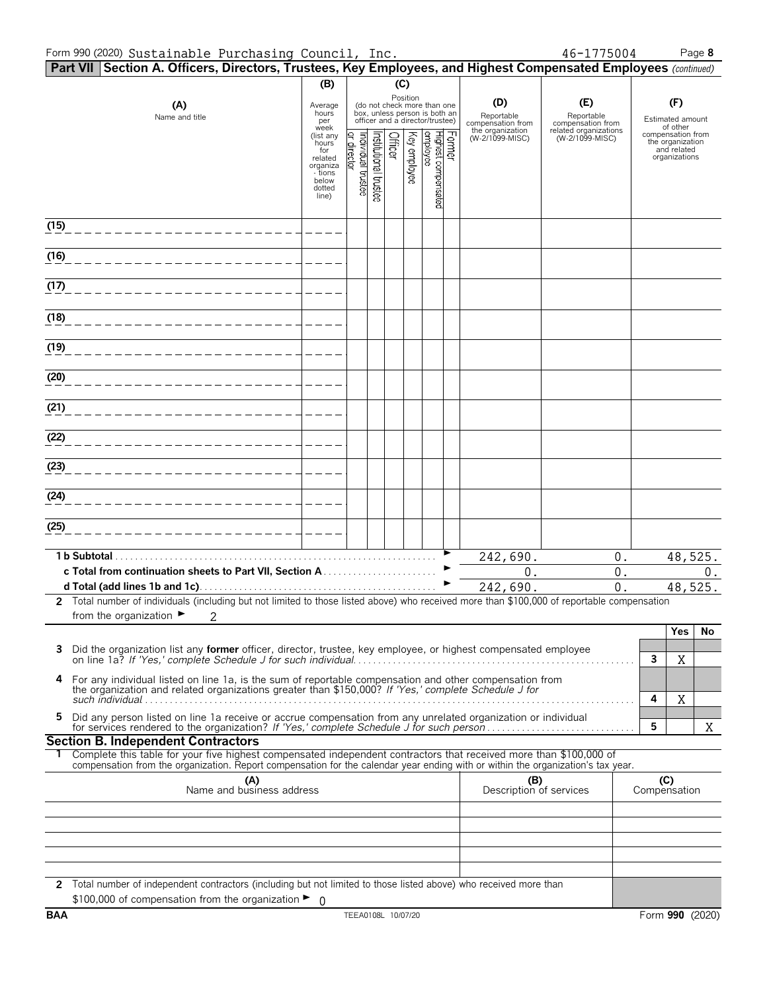#### Form 990 (2020) Page **8** Sustainable Purchasing Council, Inc. 46-1775004

| 46-1775004 |  |
|------------|--|
|            |  |

|            |               | <b>Part VII Section A. Officers, Directors, Trustees, Key Employees, and Highest Compensated Employees (continued)</b>                                                                                          |                                                                           |                                |                      |         |              |                                                                                                                         |        |                                                                               |                                                                                    |                                                                                             |
|------------|---------------|-----------------------------------------------------------------------------------------------------------------------------------------------------------------------------------------------------------------|---------------------------------------------------------------------------|--------------------------------|----------------------|---------|--------------|-------------------------------------------------------------------------------------------------------------------------|--------|-------------------------------------------------------------------------------|------------------------------------------------------------------------------------|---------------------------------------------------------------------------------------------|
|            |               |                                                                                                                                                                                                                 | (B)                                                                       |                                |                      | (C)     |              |                                                                                                                         |        |                                                                               |                                                                                    |                                                                                             |
|            |               | (A)<br>Name and title                                                                                                                                                                                           | Average<br>hours<br>per<br>week<br>(list any<br>hours <sup>-</sup><br>for |                                |                      | Officer |              | Position<br>(do not check more than one<br>box, unless person is both an<br>officer and a director/trustee)<br>employee | Former | (D)<br>Reportable<br>compensation from<br>the organization<br>(W-2/1099-MISC) | (E)<br>Reportable<br>compensation from<br>related organizations<br>(W-2/1099-MISC) | (F)<br>Estimated amount<br>of other<br>compensation from<br>the organization<br>and related |
|            |               |                                                                                                                                                                                                                 | related<br>organiza<br>- tions<br>below<br>dotted<br>line)                | Individual trustee<br>director | nstitutional trustee |         | Key employee | Highest compensated                                                                                                     |        |                                                                               |                                                                                    | organizations                                                                               |
| (15)       |               |                                                                                                                                                                                                                 |                                                                           |                                |                      |         |              |                                                                                                                         |        |                                                                               |                                                                                    |                                                                                             |
| (16)       |               |                                                                                                                                                                                                                 |                                                                           |                                |                      |         |              |                                                                                                                         |        |                                                                               |                                                                                    |                                                                                             |
| (17)       |               |                                                                                                                                                                                                                 |                                                                           |                                |                      |         |              |                                                                                                                         |        |                                                                               |                                                                                    |                                                                                             |
| (18)       |               |                                                                                                                                                                                                                 |                                                                           |                                |                      |         |              |                                                                                                                         |        |                                                                               |                                                                                    |                                                                                             |
| (19)       |               | _______________________                                                                                                                                                                                         |                                                                           |                                |                      |         |              |                                                                                                                         |        |                                                                               |                                                                                    |                                                                                             |
| (20)       |               | _______________________                                                                                                                                                                                         |                                                                           |                                |                      |         |              |                                                                                                                         |        |                                                                               |                                                                                    |                                                                                             |
| (21)       |               | ________________________                                                                                                                                                                                        |                                                                           |                                |                      |         |              |                                                                                                                         |        |                                                                               |                                                                                    |                                                                                             |
| (22)       |               |                                                                                                                                                                                                                 |                                                                           |                                |                      |         |              |                                                                                                                         |        |                                                                               |                                                                                    |                                                                                             |
| (23)       |               |                                                                                                                                                                                                                 |                                                                           |                                |                      |         |              |                                                                                                                         |        |                                                                               |                                                                                    |                                                                                             |
| (24)       |               |                                                                                                                                                                                                                 |                                                                           |                                |                      |         |              |                                                                                                                         |        |                                                                               |                                                                                    |                                                                                             |
| (25)       |               |                                                                                                                                                                                                                 |                                                                           |                                |                      |         |              |                                                                                                                         |        |                                                                               |                                                                                    |                                                                                             |
|            | 1 b Subtotal. |                                                                                                                                                                                                                 |                                                                           |                                |                      |         |              |                                                                                                                         |        | 242,690.                                                                      | $0$ .                                                                              | 48,525.                                                                                     |
|            |               |                                                                                                                                                                                                                 |                                                                           |                                |                      |         |              |                                                                                                                         |        | 0.                                                                            | 0.                                                                                 | $0$ .                                                                                       |
|            |               |                                                                                                                                                                                                                 |                                                                           |                                |                      |         |              |                                                                                                                         |        | 242,690.                                                                      | 0.                                                                                 | 48,525.                                                                                     |
|            |               | 2 Total number of individuals (including but not limited to those listed above) who received more than \$100,000 of reportable compensation<br>from the organization $\blacktriangleright$                      |                                                                           |                                |                      |         |              |                                                                                                                         |        |                                                                               |                                                                                    |                                                                                             |
| 3          |               | Did the organization list any <b>former</b> officer, director, trustee, key employee, or highest compensated employee                                                                                           |                                                                           |                                |                      |         |              |                                                                                                                         |        |                                                                               |                                                                                    | Yes<br>No<br>X<br>3                                                                         |
| 4          |               | For any individual listed on line 1a, is the sum of reportable compensation and other compensation from<br>the organization and related organizations greater than \$150,000? If 'Yes,' complete Schedule J for |                                                                           |                                |                      |         |              |                                                                                                                         |        |                                                                               |                                                                                    |                                                                                             |
| 5          |               | Did any person listed on line 1a receive or accrue compensation from any unrelated organization or individual<br>for services rendered to the organization? If 'Yes,' complete Schedule J for such person       |                                                                           |                                |                      |         |              |                                                                                                                         |        |                                                                               |                                                                                    | X<br>4                                                                                      |
|            |               | <b>Section B. Independent Contractors</b>                                                                                                                                                                       |                                                                           |                                |                      |         |              |                                                                                                                         |        |                                                                               |                                                                                    | 5<br>X                                                                                      |
|            |               | Complete this table for your five highest compensated independent contractors that received more than \$100,000 of                                                                                              |                                                                           |                                |                      |         |              |                                                                                                                         |        |                                                                               |                                                                                    |                                                                                             |
|            |               | compensation from the organization. Report compensation for the calendar year ending with or within the organization's tax year.<br>(A)<br>Name and business address                                            |                                                                           |                                |                      |         |              |                                                                                                                         |        | (B)                                                                           |                                                                                    | (C)<br>Compensation                                                                         |
|            |               |                                                                                                                                                                                                                 |                                                                           |                                |                      |         |              |                                                                                                                         |        | Description of services                                                       |                                                                                    |                                                                                             |
|            |               |                                                                                                                                                                                                                 |                                                                           |                                |                      |         |              |                                                                                                                         |        |                                                                               |                                                                                    |                                                                                             |
|            |               |                                                                                                                                                                                                                 |                                                                           |                                |                      |         |              |                                                                                                                         |        |                                                                               |                                                                                    |                                                                                             |
|            |               | 2 Total number of independent contractors (including but not limited to those listed above) who received more than<br>\$100,000 of compensation from the organization $\blacktriangleright$ 0                   |                                                                           |                                |                      |         |              |                                                                                                                         |        |                                                                               |                                                                                    |                                                                                             |
| <b>BAA</b> |               |                                                                                                                                                                                                                 |                                                                           | TEEA0108L 10/07/20             |                      |         |              |                                                                                                                         |        |                                                                               |                                                                                    | Form 990 (2020)                                                                             |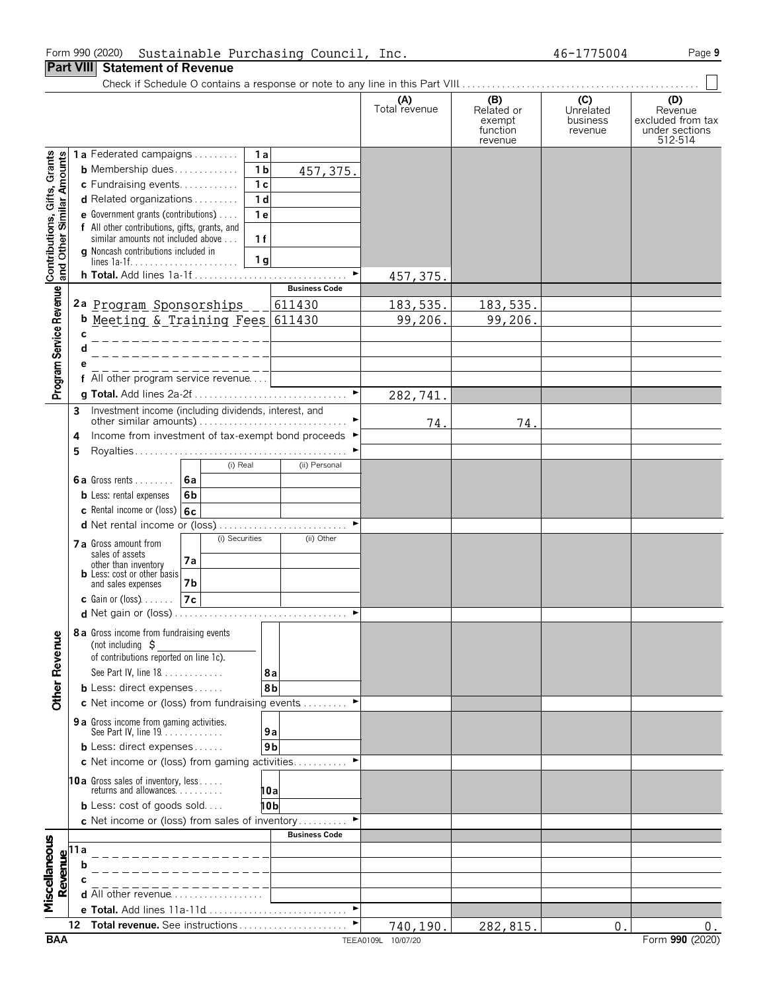#### Form 990 (2020) Page **9** Sustainable Purchasing Council, Inc. 46-1775004

#### **Part VIII Statement of Revenue**

Check if Schedule O contains a response or note to any line in this Part VIII.

|                                                           |      |                                                                                                                                                                    |                                | (A)<br>Total revenue | (B)<br>Related or<br>exempt<br>function<br>revenue | (C)<br>Unrelated<br>business<br>revenue | (D)<br>Revenue<br>excluded from tax<br>under sections<br>512-514 |
|-----------------------------------------------------------|------|--------------------------------------------------------------------------------------------------------------------------------------------------------------------|--------------------------------|----------------------|----------------------------------------------------|-----------------------------------------|------------------------------------------------------------------|
| Contributions, Gifts, Grants<br>and Other Similar Amounts |      | 1a Federated campaigns<br>1a<br>1 <sub>b</sub><br><b>b</b> Membership dues<br>c Fundraising events<br>1 <sub>c</sub><br>d Related organizations<br>1 <sub>d</sub>  | 457, 375.                      |                      |                                                    |                                         |                                                                  |
|                                                           |      | 1 <sub>e</sub><br><b>e</b> Government grants (contributions) $\ldots$<br>f All other contributions, gifts, grants, and<br>similar amounts not included above<br>1f |                                |                      |                                                    |                                         |                                                                  |
|                                                           |      | g Noncash contributions included in<br>lines $1a-1f$<br>1 q                                                                                                        |                                |                      |                                                    |                                         |                                                                  |
|                                                           |      |                                                                                                                                                                    | ▶                              | 457,375              |                                                    |                                         |                                                                  |
|                                                           |      |                                                                                                                                                                    | <b>Business Code</b><br>611430 | 183, 535.            |                                                    |                                         |                                                                  |
|                                                           |      | 2a Program Sponsorships<br>b Meeting & Training Fees 611430                                                                                                        |                                | 99,206.              | 183, 535.<br>99,206.                               |                                         |                                                                  |
|                                                           | C    |                                                                                                                                                                    |                                |                      |                                                    |                                         |                                                                  |
| Program Service Revenue                                   |      |                                                                                                                                                                    |                                |                      |                                                    |                                         |                                                                  |
|                                                           |      |                                                                                                                                                                    |                                |                      |                                                    |                                         |                                                                  |
|                                                           |      | f All other program service revenue                                                                                                                                | $\blacktriangleright$          |                      |                                                    |                                         |                                                                  |
|                                                           |      |                                                                                                                                                                    |                                | 282,741.             |                                                    |                                         |                                                                  |
|                                                           | 3    | Investment income (including dividends, interest, and                                                                                                              |                                | 74.                  | 74.                                                |                                         |                                                                  |
|                                                           | 4    | Income from investment of tax-exempt bond proceeds ▶                                                                                                               |                                |                      |                                                    |                                         |                                                                  |
|                                                           | 5    |                                                                                                                                                                    |                                |                      |                                                    |                                         |                                                                  |
|                                                           |      | (i) Real<br>6a<br><b>6a</b> Gross rents $\ldots$                                                                                                                   | (ii) Personal                  |                      |                                                    |                                         |                                                                  |
|                                                           |      | <b>b</b> Less: rental expenses<br>6 <sub>b</sub>                                                                                                                   |                                |                      |                                                    |                                         |                                                                  |
|                                                           |      | c Rental income or (loss) $6c$                                                                                                                                     |                                |                      |                                                    |                                         |                                                                  |
|                                                           |      | d Net rental income or (loss).                                                                                                                                     | $\blacktriangleright$          |                      |                                                    |                                         |                                                                  |
|                                                           |      | (i) Securities<br><b>7 a</b> Gross amount from                                                                                                                     | (ii) Other                     |                      |                                                    |                                         |                                                                  |
|                                                           |      | sales of assets<br>7a<br>other than inventory                                                                                                                      |                                |                      |                                                    |                                         |                                                                  |
|                                                           |      | <b>b</b> Less: cost or other basis<br>7b<br>and sales expenses                                                                                                     |                                |                      |                                                    |                                         |                                                                  |
|                                                           |      | 7c<br><b>c</b> Gain or (loss) $\ldots$                                                                                                                             |                                |                      |                                                    |                                         |                                                                  |
|                                                           |      |                                                                                                                                                                    |                                |                      |                                                    |                                         |                                                                  |
| ۰<br><b>Other Revenu</b>                                  |      | 8 a Gross income from fundraising events<br>(not including $\zeta$                                                                                                 |                                |                      |                                                    |                                         |                                                                  |
|                                                           |      | of contributions reported on line 1c).<br>See Part IV, line 18                                                                                                     | 8a                             |                      |                                                    |                                         |                                                                  |
|                                                           |      | <b>b</b> Less: direct expenses                                                                                                                                     | 8b                             |                      |                                                    |                                         |                                                                  |
|                                                           |      | c Net income or (loss) from fundraising events                                                                                                                     |                                |                      |                                                    |                                         |                                                                  |
|                                                           |      | <b>9 a</b> Gross income from gaming activities.<br>See Part IV, line 19                                                                                            | 9a                             |                      |                                                    |                                         |                                                                  |
|                                                           |      | <b>b</b> Less: direct expenses                                                                                                                                     | 9 <sub>b</sub>                 |                      |                                                    |                                         |                                                                  |
|                                                           |      | c Net income or (loss) from gaming activities                                                                                                                      | ٠                              |                      |                                                    |                                         |                                                                  |
|                                                           |      | <b>10a</b> Gross sales of inventory, less<br>returns and allowances                                                                                                | 10a                            |                      |                                                    |                                         |                                                                  |
|                                                           |      | <b>b</b> Less: cost of goods sold<br>c Net income or (loss) from sales of inventory                                                                                | ∣0b<br>▶                       |                      |                                                    |                                         |                                                                  |
|                                                           |      |                                                                                                                                                                    | <b>Business Code</b>           |                      |                                                    |                                         |                                                                  |
| Miscellaneous                                             | 11 a |                                                                                                                                                                    |                                |                      |                                                    |                                         |                                                                  |
|                                                           | b    |                                                                                                                                                                    |                                |                      |                                                    |                                         |                                                                  |
| Revenue                                                   |      |                                                                                                                                                                    |                                |                      |                                                    |                                         |                                                                  |
|                                                           |      | <b>d</b> All other revenue $\ldots \ldots \ldots \ldots \ldots$                                                                                                    | ▶                              |                      |                                                    |                                         |                                                                  |
|                                                           | 12   | Total revenue. See instructions                                                                                                                                    |                                | 740,190.             | 282,815                                            | 0                                       | 0.                                                               |
|                                                           |      |                                                                                                                                                                    |                                |                      |                                                    |                                         |                                                                  |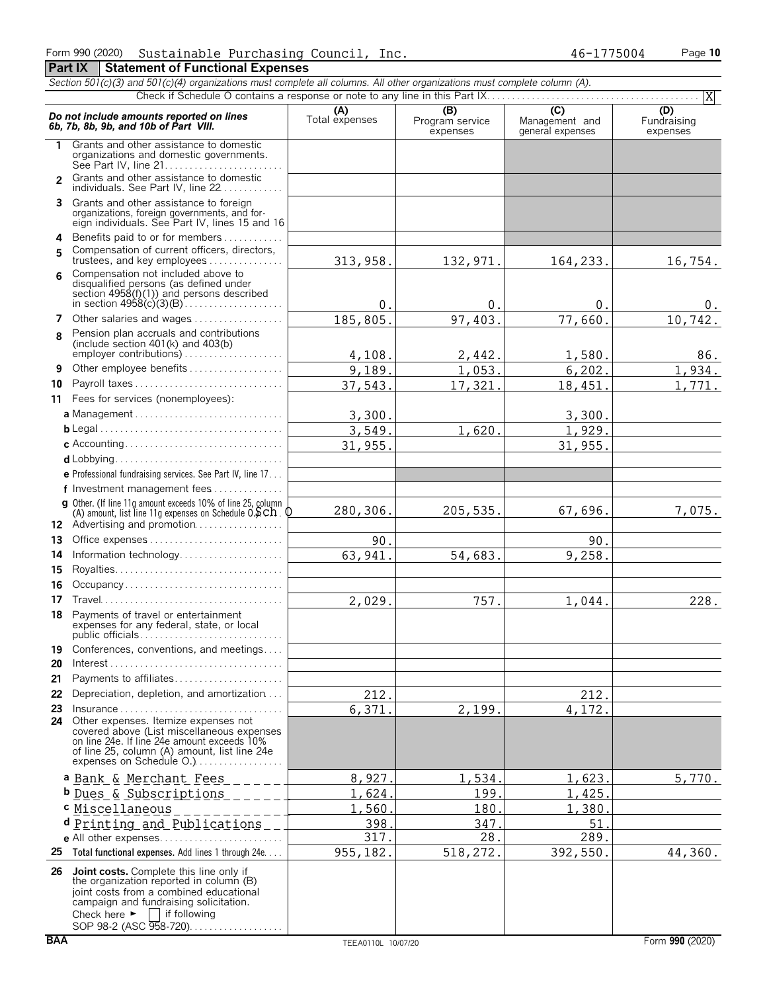| Section 501(c)(3) and 501(c)(4) organizations must complete all columns. All other organizations must complete column (A). |                                                                                                                                                                                                                               |                       |                                    |                                           |                                |  |  |  |  |  |
|----------------------------------------------------------------------------------------------------------------------------|-------------------------------------------------------------------------------------------------------------------------------------------------------------------------------------------------------------------------------|-----------------------|------------------------------------|-------------------------------------------|--------------------------------|--|--|--|--|--|
|                                                                                                                            | Check if Schedule O contains a response or note to any line in this Part IX                                                                                                                                                   |                       |                                    |                                           |                                |  |  |  |  |  |
|                                                                                                                            | Do not include amounts reported on lines<br>6b, 7b, 8b, 9b, and 10b of Part VIII.                                                                                                                                             | (A)<br>Total expenses | (B)<br>Program service<br>expenses | (C)<br>Management and<br>general expenses | (D)<br>Fundraising<br>expenses |  |  |  |  |  |
| 1.                                                                                                                         | Grants and other assistance to domestic<br>organizations and domestic governments.<br>See Part IV, line 21                                                                                                                    |                       |                                    |                                           |                                |  |  |  |  |  |
|                                                                                                                            | 2 Grants and other assistance to domestic<br>individuals. See Part IV, line 22                                                                                                                                                |                       |                                    |                                           |                                |  |  |  |  |  |
|                                                                                                                            | 3 Grants and other assistance to foreign<br>organizations, foreign governments, and for-<br>eign individuals. See Part IV, lines 15 and 16                                                                                    |                       |                                    |                                           |                                |  |  |  |  |  |
|                                                                                                                            | 4 Benefits paid to or for members                                                                                                                                                                                             |                       |                                    |                                           |                                |  |  |  |  |  |
| 5.                                                                                                                         | Compensation of current officers, directors,<br>trustees, and key employees                                                                                                                                                   | 313,958.              | 132, 971.                          | 164,233.                                  | 16,754.                        |  |  |  |  |  |
| 6                                                                                                                          | Compensation not included above to<br>disqualified persons (as defined under<br>section $4958(f)(1)$ and persons described                                                                                                    | 0.                    | 0.                                 | 0.                                        | 0.                             |  |  |  |  |  |
| 7                                                                                                                          | Other salaries and wages                                                                                                                                                                                                      | 185,805.              | 97,403.                            | 77,660.                                   | 10,742.                        |  |  |  |  |  |
| 8                                                                                                                          | Pension plan accruals and contributions<br>(include section $401(k)$ and $403(b)$ )<br>employer contributions)                                                                                                                | 4,108.                | 2,442.                             | 1,580.                                    | 86.                            |  |  |  |  |  |
| 9                                                                                                                          | Other employee benefits                                                                                                                                                                                                       | 9,189.                | 1,053.                             | 6, 202.                                   | 1,934.                         |  |  |  |  |  |
| 10.                                                                                                                        | Payroll taxes                                                                                                                                                                                                                 | 37,543.               | 17,321                             | 18,451.                                   | 1,771.                         |  |  |  |  |  |
|                                                                                                                            | 11 Fees for services (nonemployees):                                                                                                                                                                                          |                       |                                    |                                           |                                |  |  |  |  |  |
|                                                                                                                            |                                                                                                                                                                                                                               | 3,300.                |                                    | 3,300.                                    |                                |  |  |  |  |  |
|                                                                                                                            |                                                                                                                                                                                                                               | 3,549.                | 1,620.                             | 1,929.                                    |                                |  |  |  |  |  |
|                                                                                                                            |                                                                                                                                                                                                                               | 31,955.               |                                    | 31,955.                                   |                                |  |  |  |  |  |
|                                                                                                                            |                                                                                                                                                                                                                               |                       |                                    |                                           |                                |  |  |  |  |  |
|                                                                                                                            | e Professional fundraising services. See Part IV, line 17                                                                                                                                                                     |                       |                                    |                                           |                                |  |  |  |  |  |
|                                                                                                                            | f Investment management fees<br>g Other. (If line 11g amount exceeds 10% of line 25, column<br>(A) amount, list line 11g expenses on Schedule $0.5$ Ch. $0.5$<br>12 Advertising and promotion                                 | 280,306.              | 205,535.                           | 67,696.                                   | 7,075.                         |  |  |  |  |  |
| 13.                                                                                                                        | Office expenses                                                                                                                                                                                                               | 90.                   |                                    | 90.                                       |                                |  |  |  |  |  |
| 14                                                                                                                         | Information technology                                                                                                                                                                                                        | 63,941.               | 54,683.                            | 9,258.                                    |                                |  |  |  |  |  |
| 15                                                                                                                         |                                                                                                                                                                                                                               |                       |                                    |                                           |                                |  |  |  |  |  |
| 16                                                                                                                         | Occupancy                                                                                                                                                                                                                     |                       |                                    |                                           |                                |  |  |  |  |  |
| 17                                                                                                                         |                                                                                                                                                                                                                               | 2,029.                | 757.                               | 1,044.                                    | 228.                           |  |  |  |  |  |
| 18.                                                                                                                        | Payments of travel or entertainment<br>expenses for any federal, state, or local                                                                                                                                              |                       |                                    |                                           |                                |  |  |  |  |  |
| 19                                                                                                                         | Conferences, conventions, and meetings                                                                                                                                                                                        |                       |                                    |                                           |                                |  |  |  |  |  |
| 20                                                                                                                         | $Interest \dots \dots \dots \dots \dots \dots \dots \dots \dots \dots \dots \dots \dots$                                                                                                                                      |                       |                                    |                                           |                                |  |  |  |  |  |
| 21                                                                                                                         | Payments to affiliates                                                                                                                                                                                                        |                       |                                    |                                           |                                |  |  |  |  |  |
| 22                                                                                                                         | Depreciation, depletion, and amortization                                                                                                                                                                                     | 212.                  |                                    | 212.                                      |                                |  |  |  |  |  |
| 23                                                                                                                         | Insurance                                                                                                                                                                                                                     | 6,371.                | 2,199.                             | 4,172.                                    |                                |  |  |  |  |  |
| 24                                                                                                                         | Other expenses. Itemize expenses not<br>covered above (List miscellaneous expenses<br>on line 24e. If line 24e amount exceeds 10%<br>of line 25, column (A) amount, list line 24e<br>expenses on Schedule O.                  |                       |                                    |                                           |                                |  |  |  |  |  |
|                                                                                                                            | <sup>a</sup> Bank & Merchant Fees ______                                                                                                                                                                                      | 8,927                 | 1,534                              | 1,623                                     | 5,770.                         |  |  |  |  |  |
|                                                                                                                            | b Dues & Subscriptions _____                                                                                                                                                                                                  | 1,624                 | 199                                | 1,425                                     |                                |  |  |  |  |  |
|                                                                                                                            | c Miscellaneous                                                                                                                                                                                                               | 1,560                 | 180                                | 1,380                                     |                                |  |  |  |  |  |
|                                                                                                                            | d Printing and Publications                                                                                                                                                                                                   | 398                   | 347                                | 51                                        |                                |  |  |  |  |  |
|                                                                                                                            | e All other expenses                                                                                                                                                                                                          | 317.                  | 28.                                | 289.                                      |                                |  |  |  |  |  |
| 25                                                                                                                         | Total functional expenses. Add lines 1 through 24e                                                                                                                                                                            | 955,182.              | 518,272.                           | 392,550.                                  | 44,360.                        |  |  |  |  |  |
|                                                                                                                            | 26 Joint costs. Complete this line only if<br>the organization reported in column (B)<br>joint costs from a combined educational<br>campaign and fundraising solicitation.<br>Check here $\blacktriangleright$   if following |                       |                                    |                                           |                                |  |  |  |  |  |

SOP 98-2 (ASC 958-720). . . . . . . . . . . . . . . . .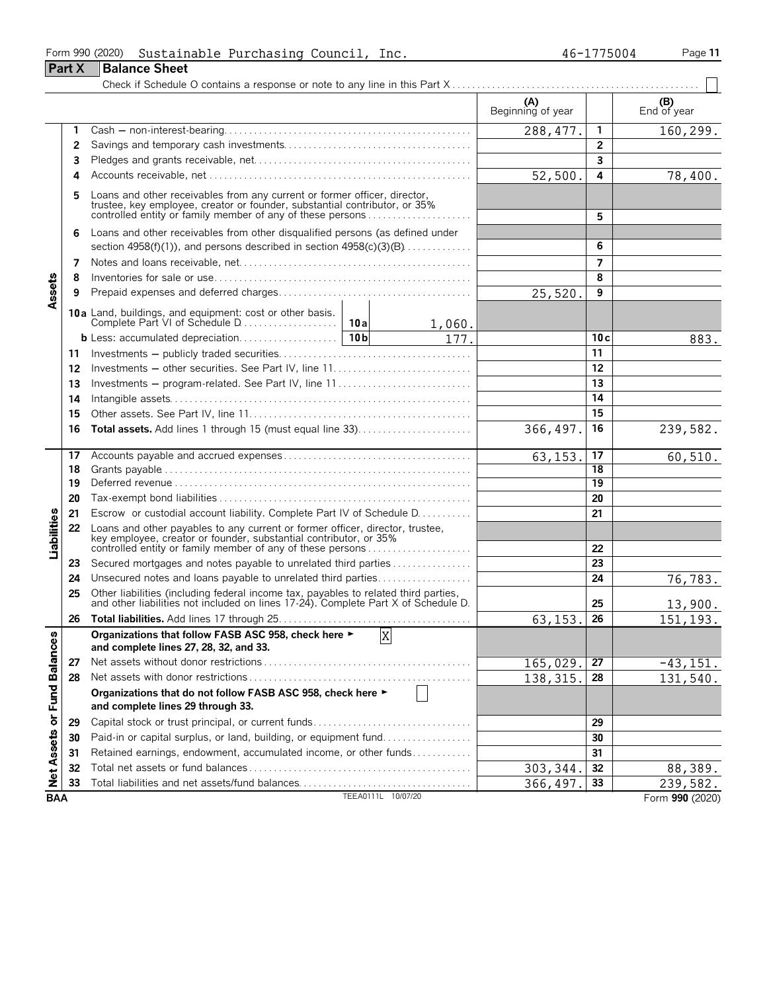|                             | Form 990 (2020)<br>Sustainable Purchasing Council, Inc.                                                                                                                                                          |                    |                    |                          | 46-1775004              | Page 11            |
|-----------------------------|------------------------------------------------------------------------------------------------------------------------------------------------------------------------------------------------------------------|--------------------|--------------------|--------------------------|-------------------------|--------------------|
| Part X                      | <b>Balance Sheet</b>                                                                                                                                                                                             |                    |                    |                          |                         |                    |
|                             |                                                                                                                                                                                                                  |                    |                    |                          |                         |                    |
|                             |                                                                                                                                                                                                                  |                    |                    | (A)<br>Beginning of year |                         | (B)<br>End of year |
|                             |                                                                                                                                                                                                                  |                    |                    | 288, 477.                | $\mathbf{1}$            | 160,299.           |
| 2                           |                                                                                                                                                                                                                  |                    |                    |                          | $\overline{2}$          |                    |
| 3                           |                                                                                                                                                                                                                  |                    |                    |                          | $\overline{\mathbf{3}}$ |                    |
| 4                           |                                                                                                                                                                                                                  |                    |                    | 52,500                   | 4                       | 78,400.            |
| 5                           | Loans and other receivables from any current or former officer, director, trustee, key employee, creator or founder, substantial contributor, or 35% controlled entity or family member of any of these persons  |                    | 5                  |                          |                         |                    |
| 6                           | Loans and other receivables from other disqualified persons (as defined under                                                                                                                                    |                    |                    |                          |                         |                    |
|                             | section $4958(f)(1)$ , and persons described in section $4958(c)(3)(B)$                                                                                                                                          |                    |                    |                          | 6                       |                    |
| 7                           |                                                                                                                                                                                                                  |                    |                    |                          | 7                       |                    |
| 8                           |                                                                                                                                                                                                                  |                    |                    |                          | 8                       |                    |
| Assets<br>9                 |                                                                                                                                                                                                                  |                    |                    | 25,520                   | 9                       |                    |
|                             |                                                                                                                                                                                                                  |                    |                    |                          |                         |                    |
|                             |                                                                                                                                                                                                                  |                    | 1,060.             |                          |                         |                    |
|                             |                                                                                                                                                                                                                  |                    | $\overline{1}$ 77. |                          | 10c                     | 883.               |
| 11                          |                                                                                                                                                                                                                  |                    |                    |                          | 11                      |                    |
| 12                          | Investments - other securities. See Part IV, line 11                                                                                                                                                             |                    |                    |                          | 12                      |                    |
| 13                          | Investments - program-related. See Part IV, line 11                                                                                                                                                              |                    |                    |                          | 13                      |                    |
| 14                          |                                                                                                                                                                                                                  |                    |                    |                          | 14                      |                    |
| 15                          |                                                                                                                                                                                                                  |                    |                    | 15                       |                         |                    |
| 16                          | <b>Total assets.</b> Add lines 1 through 15 (must equal line 33)                                                                                                                                                 |                    |                    | 366, 497.                | 16                      | 239,582.           |
| 17                          |                                                                                                                                                                                                                  |                    |                    | 63,153.                  | 17                      | 60, 510.           |
| 18                          |                                                                                                                                                                                                                  |                    |                    |                          | 18                      |                    |
| 19                          |                                                                                                                                                                                                                  |                    |                    |                          | 19                      |                    |
| 20                          |                                                                                                                                                                                                                  |                    |                    |                          | 20                      |                    |
| 21                          | Escrow or custodial account liability. Complete Part IV of Schedule D.                                                                                                                                           |                    |                    |                          | 21                      |                    |
| Liabilities<br>22           | Loans and other payables to any current or former officer, director, trustee,<br>key employee, creator or founder, substantial contributor, or 35%<br>controlled entity or family member of any of these persons |                    |                    |                          | 22                      |                    |
| 23                          | Secured mortgages and notes payable to unrelated third parties                                                                                                                                                   |                    |                    |                          | 23                      |                    |
| 24                          | Unsecured notes and loans payable to unrelated third parties                                                                                                                                                     |                    |                    |                          | 24                      | 76,783.            |
| 25                          | Other liabilities (including federal income tax, payables to related third parties, and other liabilities not included on lines 17-24). Complete Part X of Schedule D.                                           |                    |                    |                          | 25                      | 13,900.            |
| 26                          |                                                                                                                                                                                                                  |                    |                    | 63, 153.                 | 26                      | 151, 193.          |
|                             | Organizations that follow FASB ASC 958, check here ►<br>and complete lines 27, 28, 32, and 33.                                                                                                                   | $\overline{X}$     |                    |                          |                         |                    |
| 27                          |                                                                                                                                                                                                                  |                    |                    | 165,029.                 | 27                      | $-43, 151.$        |
| 28                          |                                                                                                                                                                                                                  |                    |                    | 138, 315.                | 28                      | 131,540.           |
| Net Assets or Fund Balances | Organizations that do not follow FASB ASC 958, check here ►<br>and complete lines 29 through 33.                                                                                                                 |                    |                    |                          |                         |                    |
| 29                          | Capital stock or trust principal, or current funds                                                                                                                                                               |                    |                    |                          | 29                      |                    |
| 30                          | Paid-in or capital surplus, or land, building, or equipment fund                                                                                                                                                 |                    |                    |                          | 30                      |                    |
| 31                          | Retained earnings, endowment, accumulated income, or other funds                                                                                                                                                 |                    |                    |                          | 31                      |                    |
| 32                          |                                                                                                                                                                                                                  |                    |                    | 303, 344.                | 32                      | 88,389.            |
| 33                          | Total liabilities and net assets/fund balances                                                                                                                                                                   |                    |                    | 366, 497.                | 33                      | 239,582.           |
| <b>BAA</b>                  |                                                                                                                                                                                                                  | TEEA0111L 10/07/20 |                    |                          |                         | Form 990 (2020)    |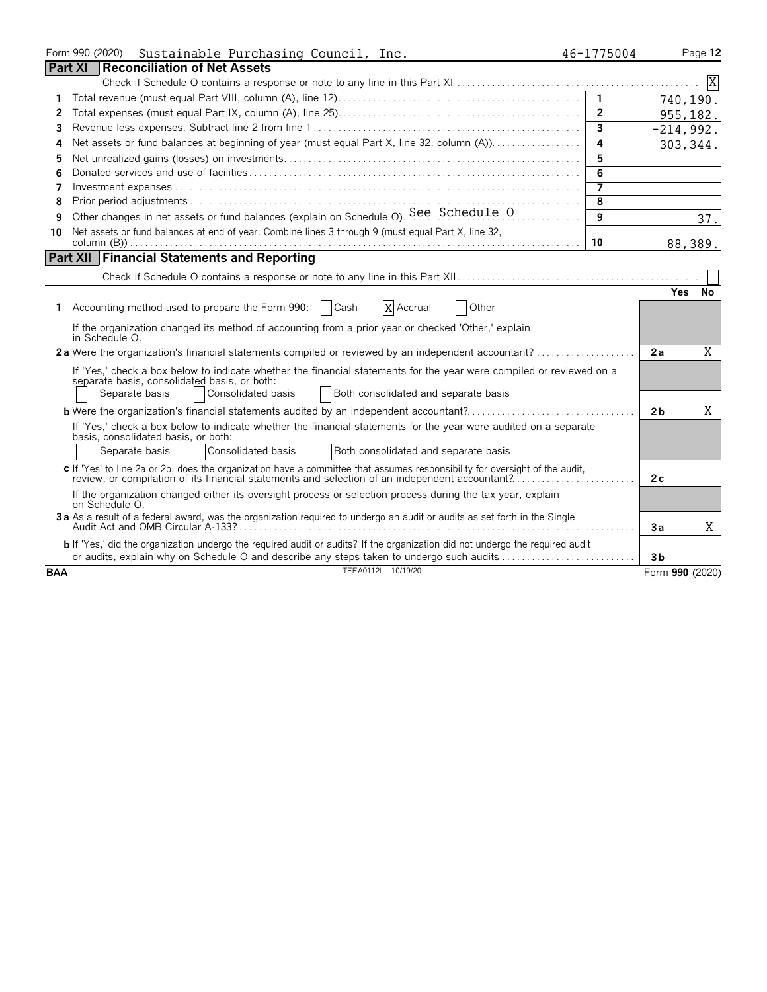|            | Form 990 (2020)<br>Sustainable Purchasing Council, Inc.                                                                                                                                                                       | 46-1775004              |                 |       | Page 12     |  |  |
|------------|-------------------------------------------------------------------------------------------------------------------------------------------------------------------------------------------------------------------------------|-------------------------|-----------------|-------|-------------|--|--|
|            | <b>Part XI</b><br><b>Reconciliation of Net Assets</b>                                                                                                                                                                         |                         |                 |       |             |  |  |
|            |                                                                                                                                                                                                                               |                         |                 |       | ΙX          |  |  |
| 1          |                                                                                                                                                                                                                               | $\overline{1}$          |                 |       | 740,190.    |  |  |
| 2          |                                                                                                                                                                                                                               | $\overline{2}$          |                 |       | 955,182.    |  |  |
| 3          |                                                                                                                                                                                                                               | $\overline{3}$          |                 |       | $-214,992.$ |  |  |
| 4          | Net assets or fund balances at beginning of year (must equal Part X, line 32, column (A))                                                                                                                                     | $\overline{\mathbf{4}}$ |                 |       | 303, 344.   |  |  |
| 5          |                                                                                                                                                                                                                               | 5                       |                 |       |             |  |  |
| 6          |                                                                                                                                                                                                                               | 6                       |                 |       |             |  |  |
| 7          |                                                                                                                                                                                                                               | $\overline{7}$          |                 |       |             |  |  |
| 8          |                                                                                                                                                                                                                               | 8                       |                 |       |             |  |  |
| 9          | Other changes in net assets or fund balances (explain on Schedule O). See: Schedule O                                                                                                                                         | 9                       |                 |       | 37.         |  |  |
| 10         | Net assets or fund balances at end of year. Combine lines 3 through 9 (must equal Part X, line 32,                                                                                                                            |                         |                 |       |             |  |  |
|            |                                                                                                                                                                                                                               | 10                      |                 |       | 88,389.     |  |  |
|            | <b>Part XII Financial Statements and Reporting</b>                                                                                                                                                                            |                         |                 |       |             |  |  |
|            |                                                                                                                                                                                                                               |                         |                 |       |             |  |  |
|            |                                                                                                                                                                                                                               |                         |                 | Yes I | No          |  |  |
|            | X Accrual<br>1 Accounting method used to prepare the Form 990:   Cash<br>Other                                                                                                                                                |                         |                 |       |             |  |  |
|            | If the organization changed its method of accounting from a prior year or checked 'Other,' explain<br>in Schedule O.                                                                                                          |                         |                 |       |             |  |  |
|            |                                                                                                                                                                                                                               |                         | 2a              |       | X           |  |  |
|            | If 'Yes,' check a box below to indicate whether the financial statements for the year were compiled or reviewed on a<br>separate basis, consolidated basis, or both:                                                          |                         |                 |       |             |  |  |
|            | Separate basis<br>Consolidated basis<br>Both consolidated and separate basis                                                                                                                                                  |                         |                 |       |             |  |  |
|            |                                                                                                                                                                                                                               |                         | 2 <sub>b</sub>  |       | Χ           |  |  |
|            | If 'Yes,' check a box below to indicate whether the financial statements for the year were audited on a separate                                                                                                              |                         |                 |       |             |  |  |
|            | basis, consolidated basis, or both:                                                                                                                                                                                           |                         |                 |       |             |  |  |
|            | Consolidated basis<br>Separate basis<br>Both consolidated and separate basis                                                                                                                                                  |                         |                 |       |             |  |  |
|            | c If 'Yes' to line 2a or 2b, does the organization have a committee that assumes responsibility for oversight of the audit,<br>review, or compilation of its financial statements and selection of an independent accountant? |                         | 2c              |       |             |  |  |
|            | If the organization changed either its oversight process or selection process during the tax year, explain<br>on Schedule O.                                                                                                  |                         |                 |       |             |  |  |
|            | 3a As a result of a federal award, was the organization required to undergo an audit or audits as set forth in the Single                                                                                                     |                         | Зa              |       | X           |  |  |
|            | <b>b</b> If 'Yes,' did the organization undergo the required audit or audits? If the organization did not undergo the required audit                                                                                          |                         |                 |       |             |  |  |
|            | or audits, explain why on Schedule O and describe any steps taken to undergo such audits                                                                                                                                      |                         | 3 <sub>b</sub>  |       |             |  |  |
| <b>BAA</b> | TEEA0112L 10/19/20                                                                                                                                                                                                            |                         | Form 990 (2020) |       |             |  |  |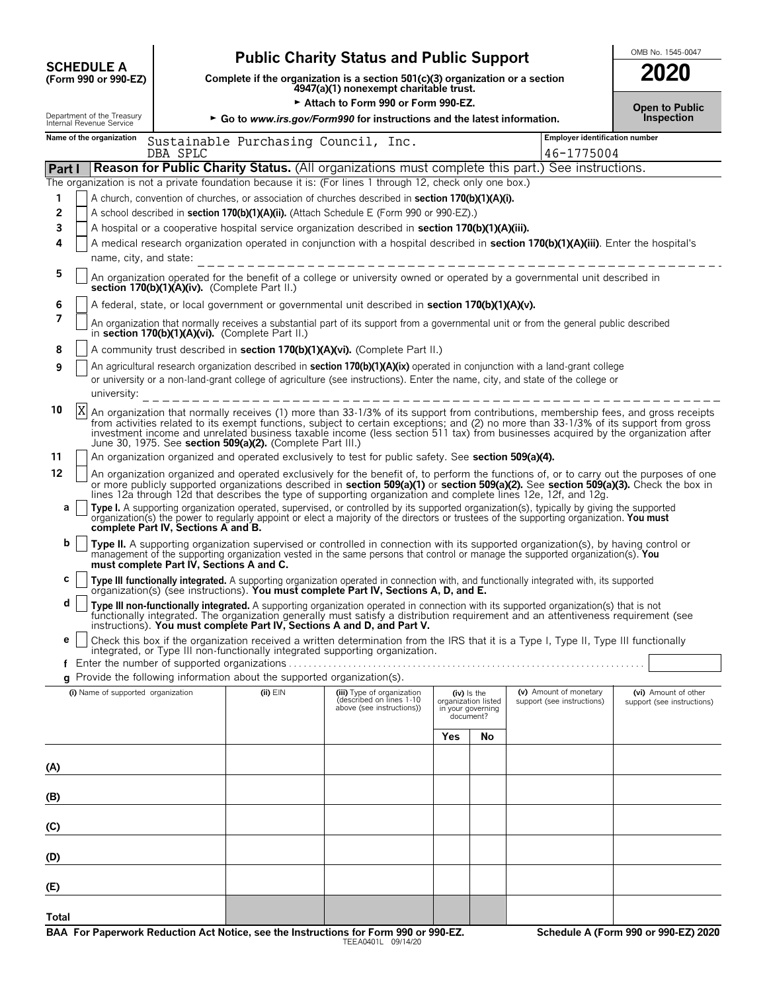|        | <b>SCHEDULE A</b>                                                                                                                                                                                                                                                                                                                                          |                                          |                                                                          | <b>Public Charity Status and Public Support</b>                                                                                                                                                                                                                                                                                                                                                                    |                                                                        |                                                      | OMB No. 1545-0047                                  |  |  |  |
|--------|------------------------------------------------------------------------------------------------------------------------------------------------------------------------------------------------------------------------------------------------------------------------------------------------------------------------------------------------------------|------------------------------------------|--------------------------------------------------------------------------|--------------------------------------------------------------------------------------------------------------------------------------------------------------------------------------------------------------------------------------------------------------------------------------------------------------------------------------------------------------------------------------------------------------------|------------------------------------------------------------------------|------------------------------------------------------|----------------------------------------------------|--|--|--|
|        | (Form 990 or 990-EZ)                                                                                                                                                                                                                                                                                                                                       |                                          |                                                                          | Complete if the organization is a section 501(c)(3) organization or a section<br>4947(a)(1) nonexempt charitable trust.                                                                                                                                                                                                                                                                                            |                                                                        |                                                      | 2020                                               |  |  |  |
|        |                                                                                                                                                                                                                                                                                                                                                            |                                          |                                                                          | Attach to Form 990 or Form 990-EZ.                                                                                                                                                                                                                                                                                                                                                                                 |                                                                        |                                                      | <b>Open to Public</b>                              |  |  |  |
|        | Department of the Treasury<br>Internal Revenue Service                                                                                                                                                                                                                                                                                                     |                                          |                                                                          | ► Go to www.irs.gov/Form990 for instructions and the latest information.                                                                                                                                                                                                                                                                                                                                           |                                                                        |                                                      | <b>Inspection</b>                                  |  |  |  |
|        | Name of the organization                                                                                                                                                                                                                                                                                                                                   | DBA SPLC                                 | Sustainable Purchasing Council, Inc.                                     |                                                                                                                                                                                                                                                                                                                                                                                                                    |                                                                        | <b>Employer identification number</b><br>46-1775004  |                                                    |  |  |  |
| Part I |                                                                                                                                                                                                                                                                                                                                                            |                                          |                                                                          | <b>Reason for Public Charity Status.</b> (All organizations must complete this part.) See instructions.                                                                                                                                                                                                                                                                                                            |                                                                        |                                                      |                                                    |  |  |  |
|        |                                                                                                                                                                                                                                                                                                                                                            |                                          |                                                                          | The organization is not a private foundation because it is: (For lines 1 through 12, check only one box.)                                                                                                                                                                                                                                                                                                          |                                                                        |                                                      |                                                    |  |  |  |
| 1      |                                                                                                                                                                                                                                                                                                                                                            |                                          |                                                                          | A church, convention of churches, or association of churches described in section 170(b)(1)(A)(i).                                                                                                                                                                                                                                                                                                                 |                                                                        |                                                      |                                                    |  |  |  |
| 2      |                                                                                                                                                                                                                                                                                                                                                            |                                          |                                                                          | A school described in section 170(b)(1)(A)(ii). (Attach Schedule E (Form 990 or 990-EZ).)                                                                                                                                                                                                                                                                                                                          |                                                                        |                                                      |                                                    |  |  |  |
| 3      |                                                                                                                                                                                                                                                                                                                                                            |                                          |                                                                          | A hospital or a cooperative hospital service organization described in section 170(b)(1)(A)(iii).                                                                                                                                                                                                                                                                                                                  |                                                                        |                                                      |                                                    |  |  |  |
| 4      |                                                                                                                                                                                                                                                                                                                                                            |                                          |                                                                          | A medical research organization operated in conjunction with a hospital described in section 170(b)(1)(A)(iii). Enter the hospital's                                                                                                                                                                                                                                                                               |                                                                        |                                                      |                                                    |  |  |  |
|        | name, city, and state:                                                                                                                                                                                                                                                                                                                                     |                                          |                                                                          |                                                                                                                                                                                                                                                                                                                                                                                                                    |                                                                        |                                                      |                                                    |  |  |  |
| 5      |                                                                                                                                                                                                                                                                                                                                                            |                                          | section 170(b)(1)(A)(iv). (Complete Part II.)                            | An organization operated for the benefit of a college or university owned or operated by a governmental unit described in                                                                                                                                                                                                                                                                                          |                                                                        |                                                      |                                                    |  |  |  |
| 6      |                                                                                                                                                                                                                                                                                                                                                            |                                          |                                                                          | A federal, state, or local government or governmental unit described in section 170(b)(1)(A)(v).                                                                                                                                                                                                                                                                                                                   |                                                                        |                                                      |                                                    |  |  |  |
| 7      |                                                                                                                                                                                                                                                                                                                                                            |                                          | in section 170(b)(1)(A)(vi). (Complete Part II.)                         | An organization that normally receives a substantial part of its support from a governmental unit or from the general public described                                                                                                                                                                                                                                                                             |                                                                        |                                                      |                                                    |  |  |  |
| 8      | A community trust described in section 170(b)(1)(A)(vi). (Complete Part II.)                                                                                                                                                                                                                                                                               |                                          |                                                                          |                                                                                                                                                                                                                                                                                                                                                                                                                    |                                                                        |                                                      |                                                    |  |  |  |
| 9      | An agricultural research organization described in section 170(b)(1)(A)(ix) operated in conjunction with a land-grant college                                                                                                                                                                                                                              |                                          |                                                                          |                                                                                                                                                                                                                                                                                                                                                                                                                    |                                                                        |                                                      |                                                    |  |  |  |
|        | university:                                                                                                                                                                                                                                                                                                                                                |                                          |                                                                          | or university or a non-land-grant college of agriculture (see instructions). Enter the name, city, and state of the college or                                                                                                                                                                                                                                                                                     |                                                                        |                                                      |                                                    |  |  |  |
| 10     | X                                                                                                                                                                                                                                                                                                                                                          |                                          | June 30, 1975. See section 509(a)(2). (Complete Part III.)               | An organization that normally receives (1) more than 33-1/3% of its support from contributions, membership fees, and gross receipts<br>from activities related to its exempt functions, subject to certain exceptions; and (2) no more than 33-1/3% of its support from gross<br>investment income and unrelated business taxable income (less section 511 tax) from businesses acquired by the organization after |                                                                        |                                                      |                                                    |  |  |  |
| 11     |                                                                                                                                                                                                                                                                                                                                                            |                                          |                                                                          | An organization organized and operated exclusively to test for public safety. See section 509(a)(4).                                                                                                                                                                                                                                                                                                               |                                                                        |                                                      |                                                    |  |  |  |
| 12     |                                                                                                                                                                                                                                                                                                                                                            |                                          |                                                                          | An organization organized and operated exclusively for the benefit of, to perform the functions of, or to carry out the purposes of one<br>or more publicly supported organizations described in section 509(a)(1) or section 509(a)(2). See section 509(a)(3). Check the box in<br>lines 12a through 12d that describes the type of supporting organization and complete lines 12e, 12f, and 12g.                 |                                                                        |                                                      |                                                    |  |  |  |
| а      |                                                                                                                                                                                                                                                                                                                                                            | complete Part IV, Sections A and B.      |                                                                          | Type I. A supporting organization operated, supervised, or controlled by its supported organization(s), typically by giving the supported<br>organization(s) the power to regularly appoint or elect a majority of the directors or trustees of the supporting organization. You must                                                                                                                              |                                                                        |                                                      |                                                    |  |  |  |
| b      |                                                                                                                                                                                                                                                                                                                                                            | must complete Part IV, Sections A and C. |                                                                          | Type II. A supporting organization supervised or controlled in connection with its supported organization(s), by having control or<br>management of the supporting organization vested in the same persons that control or manage the supported organization(s). You                                                                                                                                               |                                                                        |                                                      |                                                    |  |  |  |
| c      |                                                                                                                                                                                                                                                                                                                                                            |                                          |                                                                          | Type III functionally integrated. A supporting organization operated in connection with, and functionally integrated with, its supported organization(s) (see instructions). You must complete Part IV, Sections A, D, and E.                                                                                                                                                                                      |                                                                        |                                                      |                                                    |  |  |  |
|        | a<br>Type III non-functionally integrated. A supporting organization operated in connection with its supported organization(s) that is not<br>functionally integrated. The organization generally must satisfy a distribution requirement and an attentiveness requirement (see<br>instructions). You must complete Part IV, Sections A and D, and Part V. |                                          |                                                                          |                                                                                                                                                                                                                                                                                                                                                                                                                    |                                                                        |                                                      |                                                    |  |  |  |
| е      |                                                                                                                                                                                                                                                                                                                                                            |                                          |                                                                          | Check this box if the organization received a written determination from the IRS that it is a Type I, Type II, Type III functionally<br>integrated, or Type III non-functionally integrated supporting organization.                                                                                                                                                                                               |                                                                        |                                                      |                                                    |  |  |  |
|        |                                                                                                                                                                                                                                                                                                                                                            |                                          |                                                                          |                                                                                                                                                                                                                                                                                                                                                                                                                    |                                                                        |                                                      |                                                    |  |  |  |
|        |                                                                                                                                                                                                                                                                                                                                                            |                                          | g Provide the following information about the supported organization(s). |                                                                                                                                                                                                                                                                                                                                                                                                                    |                                                                        |                                                      |                                                    |  |  |  |
|        | (i) Name of supported organization                                                                                                                                                                                                                                                                                                                         |                                          | $(ii)$ $EIN$                                                             | (iii) Type of organization<br>described on lines 1-10<br>above (see instructions))                                                                                                                                                                                                                                                                                                                                 | $(iv)$ is the<br>organization listed<br>in your governing<br>document? | (v) Amount of monetary<br>support (see instructions) | (vi) Amount of other<br>support (see instructions) |  |  |  |
|        |                                                                                                                                                                                                                                                                                                                                                            |                                          |                                                                          |                                                                                                                                                                                                                                                                                                                                                                                                                    | Yes<br>No                                                              |                                                      |                                                    |  |  |  |

|                           |  | Yes | No |  |
|---------------------------|--|-----|----|--|
| (A)                       |  |     |    |  |
| (B)                       |  |     |    |  |
| (C)                       |  |     |    |  |
| (D)                       |  |     |    |  |
| $\left(\mathsf{E}\right)$ |  |     |    |  |
| <b>Total</b>              |  |     |    |  |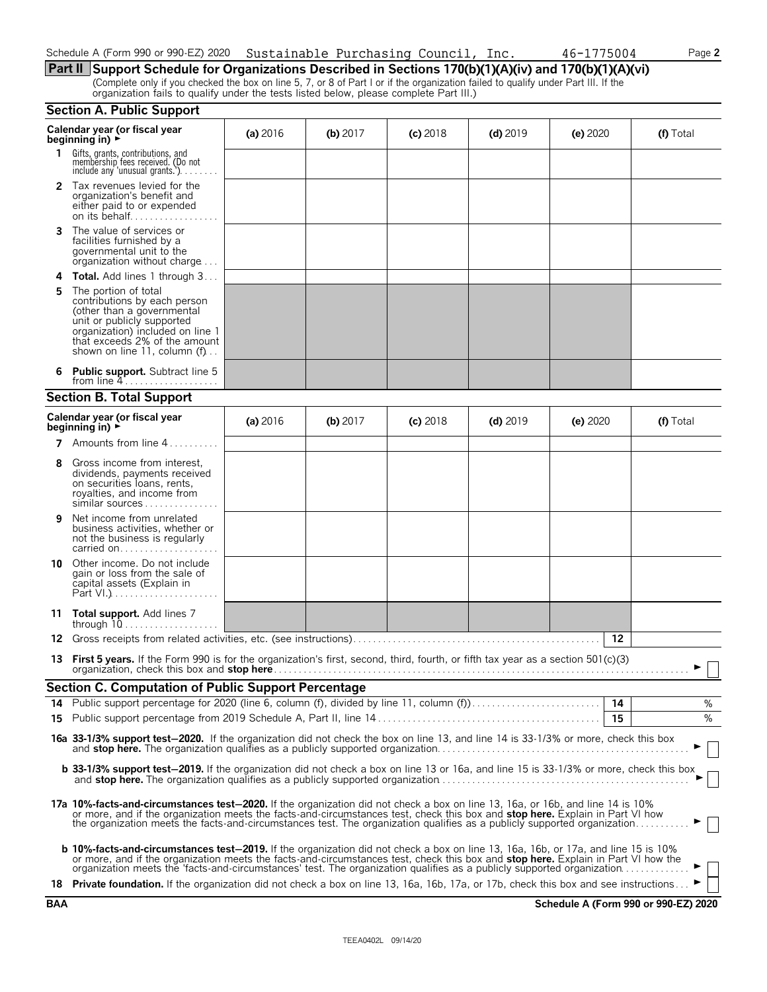| Schedule A (Form 990 or 990-EZ) 2020 | ` Sustainable Purchasing Council, |  | $\mathop{\text{Inc}}$ . | 46-1775004 | Page 2 |
|--------------------------------------|-----------------------------------|--|-------------------------|------------|--------|
|                                      |                                   |  |                         |            |        |

**Part II Support Schedule for Organizations Described in Sections 170(b)(1)(A)(iv) and 170(b)(1)(A)(vi)** (Complete only if you checked the box on line 5, 7, or 8 of Part I or if the organization failed to qualify under Part III. If the organization fails to qualify under the tests listed below, please complete Part III.)

#### **Section A. Public Support**

|    | Calendar year (or fiscal year<br>beainning in) >                                                                                                                                                                                                                                                                                                                                                        | (a) 2016   | (b) $2017$ | $(c)$ 2018 | $(d)$ 2019 | (e) $2020$ | (f) Total |  |  |
|----|---------------------------------------------------------------------------------------------------------------------------------------------------------------------------------------------------------------------------------------------------------------------------------------------------------------------------------------------------------------------------------------------------------|------------|------------|------------|------------|------------|-----------|--|--|
| 1. | Gifts, grants, contributions, and<br>membership fees received. (Do not<br>include any 'unusual grants.'). $\ldots$                                                                                                                                                                                                                                                                                      |            |            |            |            |            |           |  |  |
|    | 2 Tax revenues levied for the<br>organization's benefit and<br>either paid to or expended<br>on its behalf                                                                                                                                                                                                                                                                                              |            |            |            |            |            |           |  |  |
| 3  | The value of services or<br>facilities furnished by a<br>governmental unit to the<br>organization without charge                                                                                                                                                                                                                                                                                        |            |            |            |            |            |           |  |  |
|    | <b>Total.</b> Add lines 1 through 3                                                                                                                                                                                                                                                                                                                                                                     |            |            |            |            |            |           |  |  |
| 5  | The portion of total<br>contributions by each person<br>(other than a governmental<br>unit or publicly supported<br>organization) included on line 1<br>that exceeds 2% of the amount<br>shown on line 11, column (f)                                                                                                                                                                                   |            |            |            |            |            |           |  |  |
|    | <b>Public support.</b> Subtract line 5                                                                                                                                                                                                                                                                                                                                                                  |            |            |            |            |            |           |  |  |
|    | <b>Section B. Total Support</b>                                                                                                                                                                                                                                                                                                                                                                         |            |            |            |            |            |           |  |  |
|    | Calendar year (or fiscal year<br>beginning in) ►                                                                                                                                                                                                                                                                                                                                                        | (a) $2016$ | (b) $2017$ | $(c)$ 2018 | $(d)$ 2019 | (e) $2020$ | (f) Total |  |  |
|    | <b>7</b> Amounts from line $4, \ldots, \ldots$                                                                                                                                                                                                                                                                                                                                                          |            |            |            |            |            |           |  |  |
| 8  | Gross income from interest.<br>dividends, payments received<br>on securities loans, rents,<br>royalties, and income from<br>similar sources                                                                                                                                                                                                                                                             |            |            |            |            |            |           |  |  |
| 9  | Net income from unrelated<br>business activities, whether or<br>not the business is regularly<br>carried on                                                                                                                                                                                                                                                                                             |            |            |            |            |            |           |  |  |
| 10 | Other income. Do not include<br>gain or loss from the sale of<br>capital assets (Explain in                                                                                                                                                                                                                                                                                                             |            |            |            |            |            |           |  |  |
|    | 11 <b>Total support.</b> Add lines 7                                                                                                                                                                                                                                                                                                                                                                    |            |            |            |            |            |           |  |  |
| 12 |                                                                                                                                                                                                                                                                                                                                                                                                         |            |            |            |            | 12         |           |  |  |
|    | 13 First 5 years. If the Form 990 is for the organization's first, second, third, fourth, or fifth tax year as a section 501(c)(3)                                                                                                                                                                                                                                                                      |            |            |            |            |            |           |  |  |
|    | <b>Section C. Computation of Public Support Percentage</b>                                                                                                                                                                                                                                                                                                                                              |            |            |            |            |            |           |  |  |
|    |                                                                                                                                                                                                                                                                                                                                                                                                         |            |            |            |            |            | %         |  |  |
|    |                                                                                                                                                                                                                                                                                                                                                                                                         |            |            |            |            | 15         | %         |  |  |
|    | 16a 33-1/3% support test-2020. If the organization did not check the box on line 13, and line 14 is 33-1/3% or more, check this box                                                                                                                                                                                                                                                                     |            |            |            |            |            |           |  |  |
|    | <b>b 33-1/3% support test-2019.</b> If the organization did not check a box on line 13 or 16a, and line 15 is 33-1/3% or more, check this box                                                                                                                                                                                                                                                           |            |            |            |            |            |           |  |  |
|    | 17a 10%-facts-and-circumstances test-2020. If the organization did not check a box on line 13, 16a, or 16b, and line 14 is 10%<br>or more, and if the organization meets the facts-and-circumstances test, check this box and stop here. Explain in Part VI how<br>the organization meets the facts-and-circumstances test. The organization qualifies as a publicly supported organization             |            |            |            |            |            |           |  |  |
|    | <b>b 10%-facts-and-circumstances test-2019.</b> If the organization did not check a box on line 13, 16a, 16b, or 17a, and line 15 is 10%<br>or more, and if the organization meets the facts-and-circumstances test, check this box and stop here. Explain in Part VI how the<br>organization meets the 'facts-and-circumstances' test. The organization qualifies as a publicly supported organization |            |            |            |            |            |           |  |  |
|    | 18 Private foundation. If the organization did not check a box on line 13, 16a, 16b, 17a, or 17b, check this box and see instructions                                                                                                                                                                                                                                                                   |            |            |            |            |            |           |  |  |

**BAA Schedule A (Form 990 or 990-EZ) 2020**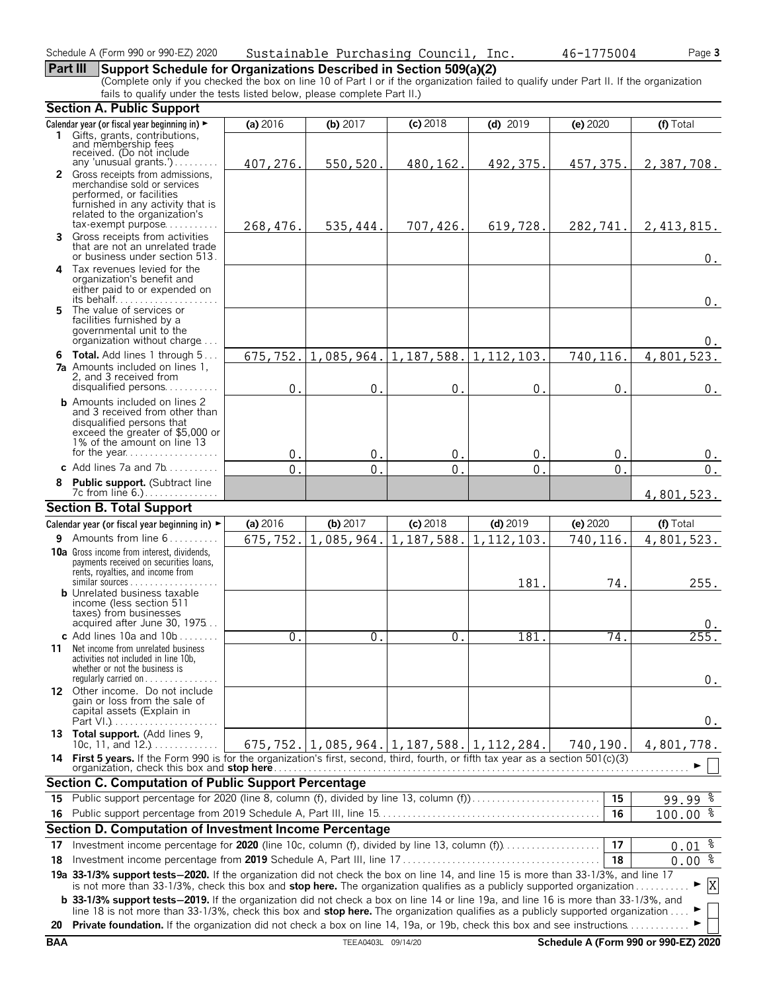### **Part III Support Schedule for Organizations Described in Section 509(a)(2)**

(Complete only if you checked the box on line 10 of Part I or if the organization failed to qualify under Part II. If the organization fails to qualify under the tests listed below, please complete Part II.)

|     | <b>Section A. Public Support</b>                                                                                                                                                 |              |                |                                               |                |                |                   |
|-----|----------------------------------------------------------------------------------------------------------------------------------------------------------------------------------|--------------|----------------|-----------------------------------------------|----------------|----------------|-------------------|
|     | Calendar year (or fiscal year beginning in) ►                                                                                                                                    | (a) 2016     | (b) $2017$     | (c) 2018                                      | $(d)$ 2019     | (e) 2020       | (f) Total         |
|     | 1 Gifts, grants, contributions,                                                                                                                                                  |              |                |                                               |                |                |                   |
|     | and membership fees<br>received. (Do not include<br>any 'unusual grants.')                                                                                                       |              |                |                                               |                |                |                   |
|     | 2 Gross receipts from admissions,                                                                                                                                                | 407,276.     | 550,520.       | 480,162.                                      | 492, 375.      | 457,375.       | 2,387,708.        |
|     | merchandise sold or services                                                                                                                                                     |              |                |                                               |                |                |                   |
|     | performed, or facilities<br>furnished in any activity that is                                                                                                                    |              |                |                                               |                |                |                   |
|     | related to the organization's                                                                                                                                                    |              |                |                                               |                |                |                   |
|     | $tax\text{-}exempt$ purpose                                                                                                                                                      | 268,476.     | 535,444.       | 707,426.                                      | 619,728.       | 282,741.       | 2, 413, 815.      |
|     | 3 Gross receipts from activities<br>that are not an unrelated trade                                                                                                              |              |                |                                               |                |                |                   |
|     | or business under section 513.                                                                                                                                                   |              |                |                                               |                |                | 0.                |
|     | 4 Tax revenues levied for the                                                                                                                                                    |              |                |                                               |                |                |                   |
|     | organization's benefit and<br>either paid to or expended on                                                                                                                      |              |                |                                               |                |                |                   |
|     |                                                                                                                                                                                  |              |                |                                               |                |                | 0.                |
|     | 5 The value of services or                                                                                                                                                       |              |                |                                               |                |                |                   |
|     | facilities furnished by a<br>governmental unit to the                                                                                                                            |              |                |                                               |                |                |                   |
|     | organization without charge                                                                                                                                                      |              |                |                                               |                |                | 0.                |
|     | 6 Total. Add lines 1 through 5                                                                                                                                                   | 675,752.     | 1,085,964.     | 1,187,588.                                    | 1, 112, 103    | 740,116.       | 4,801,523.        |
|     | <b>7a</b> Amounts included on lines 1,<br>2, and 3 received from                                                                                                                 |              |                |                                               |                |                |                   |
|     | disqualified persons                                                                                                                                                             | $\mathbf 0$  | $\mathbf 0$    | $\mathbf{0}$                                  | $\mathbf 0$    | $\mathbf{0}$ . | 0.                |
|     | <b>b</b> Amounts included on lines 2                                                                                                                                             |              |                |                                               |                |                |                   |
|     | and 3 received from other than                                                                                                                                                   |              |                |                                               |                |                |                   |
|     | disqualified persons that<br>exceed the greater of \$5,000 or                                                                                                                    |              |                |                                               |                |                |                   |
|     | 1% of the amount on line 13                                                                                                                                                      |              |                |                                               |                |                |                   |
|     |                                                                                                                                                                                  | $\mathbf{0}$ | $\mathbf 0$    | $\mathbf 0$ .                                 | $\mathbf{0}$   | 0.             | 0.                |
|     | c Add lines $7a$ and $7b$                                                                                                                                                        | $\Omega$     | 0              | $\mathbf 0$                                   | $\overline{0}$ | $\mathbf{0}$ . | 0.                |
|     | 8 Public support. (Subtract line                                                                                                                                                 |              |                |                                               |                |                | 4,801,523.        |
|     | <b>Section B. Total Support</b>                                                                                                                                                  |              |                |                                               |                |                |                   |
|     | Calendar year (or fiscal year beginning in) ►                                                                                                                                    | (a) 2016     | (b) 2017       | $(c)$ 2018                                    | $(d)$ 2019     | (e) 2020       | (f) Total         |
|     | <b>9</b> Amounts from line $6$                                                                                                                                                   | 675,752.     | 1,085,964.     | 1, 187, 588.                                  | 1, 112, 103.   | 740,116.       | 4,801,523.        |
|     | <b>10a</b> Gross income from interest, dividends,                                                                                                                                |              |                |                                               |                |                |                   |
|     | payments received on securities loans,<br>rents, royalties, and income from                                                                                                      |              |                |                                               |                |                |                   |
|     | similar sources                                                                                                                                                                  |              |                |                                               | 181            | 74.            | 255.              |
|     | <b>b</b> Unrelated business taxable                                                                                                                                              |              |                |                                               |                |                |                   |
|     | income (less section 511<br>taxes) from businesses                                                                                                                               |              |                |                                               |                |                |                   |
|     | acquired after June 30, 1975                                                                                                                                                     |              |                |                                               |                |                |                   |
|     | c Add lines $10a$ and $10b$                                                                                                                                                      | $\Omega$ .   | $\mathbf{0}$ . | $\mathbf{0}$ .                                | 181            | 74.            | 255.              |
|     | <b>11</b> Net income from unrelated business<br>activities not included in line 10b,                                                                                             |              |                |                                               |                |                |                   |
|     | whether or not the business is                                                                                                                                                   |              |                |                                               |                |                |                   |
|     | requiarly carried on $\dots\dots\dots$                                                                                                                                           |              |                |                                               |                |                | 0.                |
|     | 12 Other income. Do not include<br>gain or loss from the sale of                                                                                                                 |              |                |                                               |                |                |                   |
|     | capital assets (Explain in                                                                                                                                                       |              |                |                                               |                |                |                   |
|     | 13 Total support. (Add lines 9,                                                                                                                                                  |              |                |                                               |                |                | 0.                |
|     | 10c, 11, and $12.$ )                                                                                                                                                             |              |                | $675, 752.$  1,085,964. 1,187,588. 1,112,284. |                | 740,190.       | 4,801,778.        |
|     | 14 First 5 years. If the Form 990 is for the organization's first, second, third, fourth, or fifth tax year as a section 501(c)(3)<br>organization, check this box and stop here |              |                |                                               |                |                |                   |
|     | Section C. Computation of Public Support Percentage                                                                                                                              |              |                |                                               |                |                |                   |
| 15. | Public support percentage for 2020 (line 8, column (f), divided by line 13, column (f)                                                                                           |              |                |                                               |                | 15             | $99.99$ $%$       |
| 16  |                                                                                                                                                                                  |              |                |                                               |                | 16             | $100.00$ %        |
|     | Section D. Computation of Investment Income Percentage                                                                                                                           |              |                |                                               |                |                |                   |
| 17  |                                                                                                                                                                                  |              |                |                                               |                | 17             | $0.01$ $%$        |
| 18  |                                                                                                                                                                                  |              |                |                                               |                | 18             | $0.00\frac{8}{3}$ |
|     | 19a 33-1/3% support tests-2020. If the organization did not check the box on line 14, and line 15 is more than 33-1/3%, and line 17                                              |              |                |                                               |                |                |                   |
|     | is not more than 33-1/3%, check this box and stop here. The organization qualifies as a publicly supported organization                                                          |              |                |                                               |                |                | X                 |
|     | <b>b</b> 33-1/3% support tests-2019. If the organization did not check a box on line 14 or line 19a, and line 16 is more than 33-1/3%, and                                       |              |                |                                               |                |                |                   |
|     | line 18 is not more than 33-1/3%, check this box and stop here. The organization qualifies as a publicly supported organization                                                  |              |                |                                               |                |                |                   |
|     | 20 Private foundation. If the organization did not check a box on line 14, 19a, or 19b, check this box and see instructions                                                      |              |                |                                               |                |                |                   |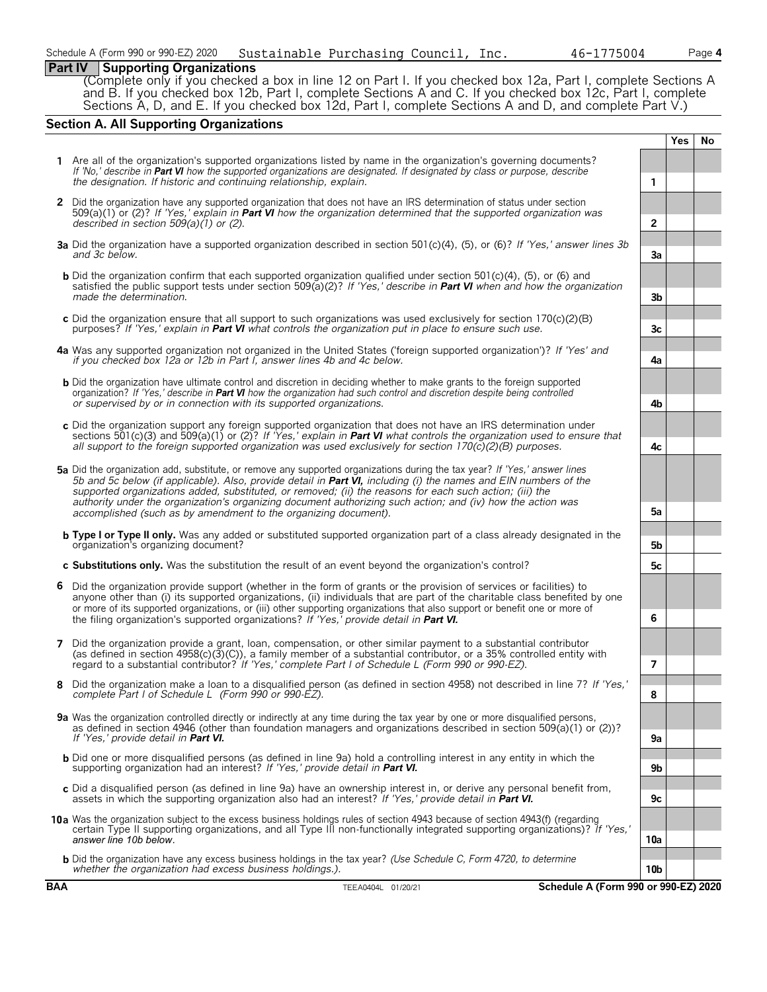#### **Part IV Supporting Organizations**

(Complete only if you checked a box in line 12 on Part I. If you checked box 12a, Part I, complete Sections A and B. If you checked box 12b, Part I, complete Sections A and C. If you checked box 12c, Part I, complete Sections A, D, and E. If you checked box 12d, Part I, complete Sections A and D, and complete Part V.)

### **Section A. All Supporting Organizations**

|   |                                                                                                                                                                                                                                                                                                                                                                                                                                                                                                                                              |                 | Yes. | No |
|---|----------------------------------------------------------------------------------------------------------------------------------------------------------------------------------------------------------------------------------------------------------------------------------------------------------------------------------------------------------------------------------------------------------------------------------------------------------------------------------------------------------------------------------------------|-----------------|------|----|
|   | 1 Are all of the organization's supported organizations listed by name in the organization's governing documents?<br>If 'No,' describe in Part VI how the supported organizations are designated. If designated by class or purpose, describe                                                                                                                                                                                                                                                                                                |                 |      |    |
|   | the designation. If historic and continuing relationship, explain.                                                                                                                                                                                                                                                                                                                                                                                                                                                                           | 1               |      |    |
|   | 2 Did the organization have any supported organization that does not have an IRS determination of status under section<br>$509(a)(1)$ or (2)? If 'Yes,' explain in Part VI how the organization determined that the supported organization was<br>described in section $509(a)(1)$ or (2).                                                                                                                                                                                                                                                   | $\overline{2}$  |      |    |
|   |                                                                                                                                                                                                                                                                                                                                                                                                                                                                                                                                              |                 |      |    |
|   | 3a Did the organization have a supported organization described in section 501(c)(4), (5), or (6)? If 'Yes,' answer lines 3b<br>and 3c below.                                                                                                                                                                                                                                                                                                                                                                                                | 3a              |      |    |
|   | <b>b</b> Did the organization confirm that each supported organization qualified under section 501(c)(4), (5), or (6) and<br>satisfied the public support tests under section 509(a)(2)? If 'Yes,' describe in Part VI when and how the organization<br>made the determination.                                                                                                                                                                                                                                                              | 3 <sub>b</sub>  |      |    |
|   | c Did the organization ensure that all support to such organizations was used exclusively for section $170(c)(2)(B)$<br>purposes? If 'Yes,' explain in <b>Part VI</b> what controls the organization put in place to ensure such use.                                                                                                                                                                                                                                                                                                        | 3c              |      |    |
|   | 4a Was any supported organization not organized in the United States ('foreign supported organization')? If 'Yes' and<br>if you checked box 12a or 12b in Part I, answer lines 4b and 4c below.                                                                                                                                                                                                                                                                                                                                              | 4a              |      |    |
|   | <b>b</b> Did the organization have ultimate control and discretion in deciding whether to make grants to the foreign supported<br>organization? If 'Yes,' describe in Part VI how the organization had such control and discretion despite being controlled<br>or supervised by or in connection with its supported organizations.                                                                                                                                                                                                           | 4b              |      |    |
|   | c Did the organization support any foreign supported organization that does not have an IRS determination under<br>sections 501(c)(3) and 509(a)(1) or (2)? If 'Yes,' explain in <b>Part VI</b> what controls the organization used to ensure that<br>all support to the foreign supported organization was used exclusively for section $170(c)(2)(B)$ purposes.                                                                                                                                                                            | 4c              |      |    |
|   | 5a Did the organization add, substitute, or remove any supported organizations during the tax year? If 'Yes,' answer lines<br>5b and 5c below (if applicable). Also, provide detail in Part VI, including (i) the names and EIN numbers of the<br>supported organizations added, substituted, or removed; (ii) the reasons for each such action; (iii) the<br>authority under the organization's organizing document authorizing such action; and (iv) how the action was<br>accomplished (such as by amendment to the organizing document). | 5a              |      |    |
|   | <b>b</b> Type I or Type II only. Was any added or substituted supported organization part of a class already designated in the<br>organization's organizing document?                                                                                                                                                                                                                                                                                                                                                                        | 5b              |      |    |
|   | c Substitutions only. Was the substitution the result of an event beyond the organization's control?                                                                                                                                                                                                                                                                                                                                                                                                                                         | 5с              |      |    |
|   | 6 Did the organization provide support (whether in the form of grants or the provision of services or facilities) to<br>anyone other than (i) its supported organizations, (ii) individuals that are part of the charitable class benefited by one<br>or more of its supported organizations, or (iii) other supporting organizations that also support or benefit one or more of<br>the filing organization's supported organizations? If 'Yes,' provide detail in Part VI.                                                                 | 6               |      |    |
| 7 | Did the organization provide a grant, loan, compensation, or other similar payment to a substantial contributor<br>(as defined in section 4958(c)( $3$ )(C)), a family member of a substantial contributor, or a 35% controlled entity with<br>regard to a substantial contributor? If 'Yes,' complete Part I of Schedule L (Form 990 or 990-EZ).                                                                                                                                                                                            | $\overline{7}$  |      |    |
| 8 | Did the organization make a loan to a disqualified person (as defined in section 4958) not described in line 7? If 'Yes,'<br>complete Part I of Schedule L (Form 990 or 990-EZ).                                                                                                                                                                                                                                                                                                                                                             | 8               |      |    |
|   | 9a Was the organization controlled directly or indirectly at any time during the tax year by one or more disqualified persons,<br>as defined in section 4946 (other than foundation managers and organizations described in section 509(a)(1) or (2))?<br>If 'Yes,' provide detail in <b>Part VI.</b>                                                                                                                                                                                                                                        | 9a              |      |    |
|   | <b>b</b> Did one or more disqualified persons (as defined in line 9a) hold a controlling interest in any entity in which the<br>supporting organization had an interest? If 'Yes,' provide detail in Part VI.                                                                                                                                                                                                                                                                                                                                | 9b              |      |    |
|   | c Did a disqualified person (as defined in line 9a) have an ownership interest in, or derive any personal benefit from,<br>assets in which the supporting organization also had an interest? If 'Yes,' provide detail in Part VI.                                                                                                                                                                                                                                                                                                            | 9c              |      |    |
|   | 10a Was the organization subject to the excess business holdings rules of section 4943 because of section 4943(f) (regarding<br>certain Type II supporting organizations, and all Type III non-functionally integrated supporting organizations)? If 'Yes,'                                                                                                                                                                                                                                                                                  |                 |      |    |
|   | answer line 10b below.                                                                                                                                                                                                                                                                                                                                                                                                                                                                                                                       | 10a             |      |    |
|   | <b>b</b> Did the organization have any excess business holdings in the tax year? (Use Schedule C, Form 4720, to determine<br>whether the organization had excess business holdings.).                                                                                                                                                                                                                                                                                                                                                        | 10 <sub>b</sub> |      |    |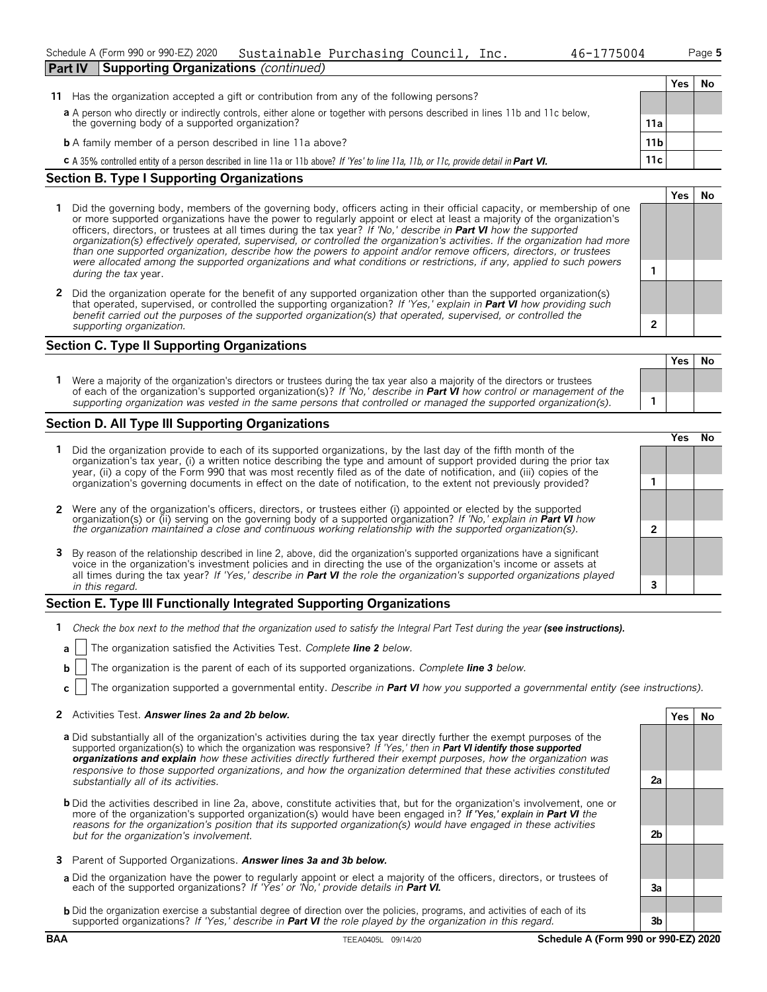| Schedule A (Form 990 or 990-EZ) 2020                | Sustainable Purchasing Council, Inc. |  | 46-1775004 | Page 5 |
|-----------------------------------------------------|--------------------------------------|--|------------|--------|
| <b>Part IV Supporting Organizations (continued)</b> |                                      |  |            |        |

**Yes No**

|                                                                                                                                                                             |                  | Yes | Nο |
|-----------------------------------------------------------------------------------------------------------------------------------------------------------------------------|------------------|-----|----|
| 11 Has the organization accepted a gift or contribution from any of the following persons?                                                                                  |                  |     |    |
| a A person who directly or indirectly controls, either alone or together with persons described in lines 11b and 11c below, the governing body of a supported organization? | 11a              |     |    |
| <b>b</b> A family member of a person described in line 11a above?                                                                                                           | 11 b             |     |    |
| C A 35% controlled entity of a person described in line 11a or 11b above? If 'Yes' to line 11a, 11b, or 11c, provide detail in Part VI.                                     | 11c <sub>1</sub> |     |    |

#### **Section B. Type I Supporting Organizations**

- **1** Did the governing body, members of the governing body, officers acting in their official capacity, or membership of one or more supported organizations have the power to regularly appoint or elect at least a majority of the organization's officers, directors, or trustees at all times during the tax year? *If 'No,' describe in Part VI how the supported organization(s) effectively operated, supervised, or controlled the organization's activities. If the organization had more than one supported organization, describe how the powers to appoint and/or remove officers, directors, or trustees were allocated among the supported organizations and what conditions or restrictions, if any, applied to such powers* **1** *during the tax* year.
- **2** Did the organization operate for the benefit of any supported organization other than the supported organization(s) that operated, supervised, or controlled the supporting organization? *If 'Yes,' explain in Part VI how providing such benefit carried out the purposes of the supported organization(s) that operated, supervised, or controlled the supporting organization.* **2**

### **Section C. Type II Supporting Organizations**

**Yes No 1** Were a majority of the organization's directors or trustees during the tax year also a majority of the directors or trustees of each of the organization's supported organization(s)? *If 'No,' describe in Part VI how control or management of the supporting organization was vested in the same persons that controlled or managed the supported organization(s).* **1**

### **Section D. All Type III Supporting Organizations**

|                                                                                                                                                                                                                                                                                                                                                                                       | res) |  |
|---------------------------------------------------------------------------------------------------------------------------------------------------------------------------------------------------------------------------------------------------------------------------------------------------------------------------------------------------------------------------------------|------|--|
| Did the organization provide to each of its supported organizations, by the last day of the fifth month of the<br>organization's tax year, (i) a written notice describing the type and amount of support provided during the prior tax<br>year, (ii) a copy of the Form 990 that was most recently filed as of the date of notification, and (iii) copies of the                     |      |  |
| organization's governing documents in effect on the date of notification, to the extent not previously provided?                                                                                                                                                                                                                                                                      |      |  |
| 2 Were any of the organization's officers, directors, or trustees either (i) appointed or elected by the supported organization(s) or (ii) serving on the governing body of a supported organization? If 'No,' explain in Part                                                                                                                                                        |      |  |
| the organization maintained a close and continuous working relationship with the supported organization(s).                                                                                                                                                                                                                                                                           |      |  |
| 3 By reason of the relationship described in line 2, above, did the organization's supported organizations have a significant<br>voice in the organization's investment policies and in directing the use of the organization's income or assets at<br>all times during the tax year? If 'Yes,' describe in <b>Part VI</b> the role the organization's supported organizations played |      |  |
| in this regard.                                                                                                                                                                                                                                                                                                                                                                       |      |  |
|                                                                                                                                                                                                                                                                                                                                                                                       |      |  |

### **Section E. Type III Functionally Integrated Supporting Organizations**

- **1** Check the box next to the method that the organization used to satisfy the Integral Part Test during the year (see instructions).
	- **a** The organization satisfied the Activities Test. *Complete line 2 below.*
	- **b** The organization is the parent of each of its supported organizations. *Complete line 3 below.*
	- **c** The organization supported a governmental entity. *Describe in Part VI how you supported a governmental entity (see instructions).*

#### **2** Activities Test. *Answer lines 2a and 2b below.* **Yes No**

- **a** Did substantially all of the organization's activities during the tax year directly further the exempt purposes of the supported organization(s) to which the organization was responsive? *If 'Yes,' then in Part VI identify those supported organizations and explain how these activities directly furthered their exempt purposes, how the organization was responsive to those supported organizations, and how the organization determined that these activities constituted substantially all of its activities.* **2a**
- **b** Did the activities described in line 2a, above, constitute activities that, but for the organization's involvement, one or more of the organization's supported organization(s) would have been engaged in? *If 'Yes,' explain in Part VI the reasons for the organization's position that its supported organization(s) would have engaged in these activities but for the organization's involvement.* **2b**
- **3** Parent of Supported Organizations. *Answer lines 3a and 3b below.*
- **a** Did the organization have the power to regularly appoint or elect a majority of the officers, directors, or trustees of each of the supported organizations? *If 'Yes' or 'No,' provide details in Part VI.* **3a**
- **b** Did the organization exercise a substantial degree of direction over the policies, programs, and activities of each of its supported organizations? *If 'Yes,' describe in Part VI the role played by the organization in this regard.* **3b**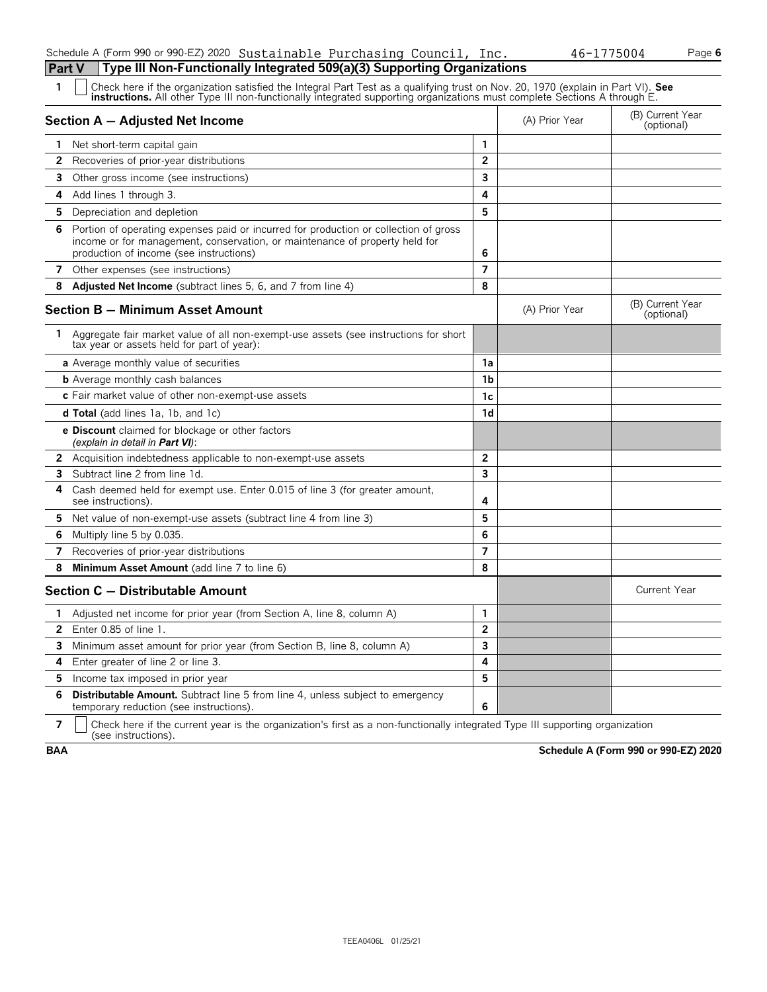#### Schedule A (Form 990 or 990-EZ) 2020 Sustainable Purchasing Council, Inc.  $46-1775004$  Page **6 Part V Type III Non-Functionally Integrated 509(a)(3) Supporting Organizations**

|                                                                                                                                                                                                                |                                                                                                                                                                                                                                                                                                                                                                                                                                                                                                                                                                                                                                                       | (A) Prior Year | (B) Current Year<br>(optional)                                                                                                                                                                                                                                       |
|----------------------------------------------------------------------------------------------------------------------------------------------------------------------------------------------------------------|-------------------------------------------------------------------------------------------------------------------------------------------------------------------------------------------------------------------------------------------------------------------------------------------------------------------------------------------------------------------------------------------------------------------------------------------------------------------------------------------------------------------------------------------------------------------------------------------------------------------------------------------------------|----------------|----------------------------------------------------------------------------------------------------------------------------------------------------------------------------------------------------------------------------------------------------------------------|
| Net short-term capital gain                                                                                                                                                                                    | 1                                                                                                                                                                                                                                                                                                                                                                                                                                                                                                                                                                                                                                                     |                |                                                                                                                                                                                                                                                                      |
| Recoveries of prior-year distributions                                                                                                                                                                         | $\overline{2}$                                                                                                                                                                                                                                                                                                                                                                                                                                                                                                                                                                                                                                        |                |                                                                                                                                                                                                                                                                      |
| Other gross income (see instructions)                                                                                                                                                                          | 3                                                                                                                                                                                                                                                                                                                                                                                                                                                                                                                                                                                                                                                     |                |                                                                                                                                                                                                                                                                      |
| Add lines 1 through 3.                                                                                                                                                                                         | 4                                                                                                                                                                                                                                                                                                                                                                                                                                                                                                                                                                                                                                                     |                |                                                                                                                                                                                                                                                                      |
| Depreciation and depletion                                                                                                                                                                                     | 5                                                                                                                                                                                                                                                                                                                                                                                                                                                                                                                                                                                                                                                     |                |                                                                                                                                                                                                                                                                      |
| Portion of operating expenses paid or incurred for production or collection of gross<br>income or for management, conservation, or maintenance of property held for<br>production of income (see instructions) | 6                                                                                                                                                                                                                                                                                                                                                                                                                                                                                                                                                                                                                                                     |                |                                                                                                                                                                                                                                                                      |
| Other expenses (see instructions)                                                                                                                                                                              | $\overline{7}$                                                                                                                                                                                                                                                                                                                                                                                                                                                                                                                                                                                                                                        |                |                                                                                                                                                                                                                                                                      |
| Adjusted Net Income (subtract lines 5, 6, and 7 from line 4)                                                                                                                                                   | 8                                                                                                                                                                                                                                                                                                                                                                                                                                                                                                                                                                                                                                                     |                |                                                                                                                                                                                                                                                                      |
|                                                                                                                                                                                                                |                                                                                                                                                                                                                                                                                                                                                                                                                                                                                                                                                                                                                                                       | (A) Prior Year | (B) Current Year<br>(optional)                                                                                                                                                                                                                                       |
| tax year or assets held for part of year):                                                                                                                                                                     |                                                                                                                                                                                                                                                                                                                                                                                                                                                                                                                                                                                                                                                       |                |                                                                                                                                                                                                                                                                      |
|                                                                                                                                                                                                                | 1a                                                                                                                                                                                                                                                                                                                                                                                                                                                                                                                                                                                                                                                    |                |                                                                                                                                                                                                                                                                      |
|                                                                                                                                                                                                                | 1 <sub>b</sub>                                                                                                                                                                                                                                                                                                                                                                                                                                                                                                                                                                                                                                        |                |                                                                                                                                                                                                                                                                      |
|                                                                                                                                                                                                                | 1c                                                                                                                                                                                                                                                                                                                                                                                                                                                                                                                                                                                                                                                    |                |                                                                                                                                                                                                                                                                      |
|                                                                                                                                                                                                                | 1 <sub>d</sub>                                                                                                                                                                                                                                                                                                                                                                                                                                                                                                                                                                                                                                        |                |                                                                                                                                                                                                                                                                      |
| (explain in detail in Part VI):                                                                                                                                                                                |                                                                                                                                                                                                                                                                                                                                                                                                                                                                                                                                                                                                                                                       |                |                                                                                                                                                                                                                                                                      |
|                                                                                                                                                                                                                | $\overline{2}$                                                                                                                                                                                                                                                                                                                                                                                                                                                                                                                                                                                                                                        |                |                                                                                                                                                                                                                                                                      |
| Subtract line 2 from line 1d.                                                                                                                                                                                  | $\overline{\mathbf{3}}$                                                                                                                                                                                                                                                                                                                                                                                                                                                                                                                                                                                                                               |                |                                                                                                                                                                                                                                                                      |
| Cash deemed held for exempt use. Enter 0.015 of line 3 (for greater amount,<br>see instructions).                                                                                                              | 4                                                                                                                                                                                                                                                                                                                                                                                                                                                                                                                                                                                                                                                     |                |                                                                                                                                                                                                                                                                      |
|                                                                                                                                                                                                                | 5                                                                                                                                                                                                                                                                                                                                                                                                                                                                                                                                                                                                                                                     |                |                                                                                                                                                                                                                                                                      |
| Multiply line 5 by 0.035.                                                                                                                                                                                      | 6                                                                                                                                                                                                                                                                                                                                                                                                                                                                                                                                                                                                                                                     |                |                                                                                                                                                                                                                                                                      |
| Recoveries of prior-year distributions                                                                                                                                                                         | $\overline{7}$                                                                                                                                                                                                                                                                                                                                                                                                                                                                                                                                                                                                                                        |                |                                                                                                                                                                                                                                                                      |
| Minimum Asset Amount (add line 7 to line 6)                                                                                                                                                                    | 8                                                                                                                                                                                                                                                                                                                                                                                                                                                                                                                                                                                                                                                     |                |                                                                                                                                                                                                                                                                      |
|                                                                                                                                                                                                                |                                                                                                                                                                                                                                                                                                                                                                                                                                                                                                                                                                                                                                                       |                | <b>Current Year</b>                                                                                                                                                                                                                                                  |
| Adjusted net income for prior year (from Section A, line 8, column A)                                                                                                                                          | 1                                                                                                                                                                                                                                                                                                                                                                                                                                                                                                                                                                                                                                                     |                |                                                                                                                                                                                                                                                                      |
| Enter 0.85 of line 1.                                                                                                                                                                                          | $\overline{2}$                                                                                                                                                                                                                                                                                                                                                                                                                                                                                                                                                                                                                                        |                |                                                                                                                                                                                                                                                                      |
| Minimum asset amount for prior year (from Section B, line 8, column A)                                                                                                                                         | 3                                                                                                                                                                                                                                                                                                                                                                                                                                                                                                                                                                                                                                                     |                |                                                                                                                                                                                                                                                                      |
| Enter greater of line 2 or line 3.                                                                                                                                                                             | 4                                                                                                                                                                                                                                                                                                                                                                                                                                                                                                                                                                                                                                                     |                |                                                                                                                                                                                                                                                                      |
|                                                                                                                                                                                                                | 5                                                                                                                                                                                                                                                                                                                                                                                                                                                                                                                                                                                                                                                     |                |                                                                                                                                                                                                                                                                      |
| <b>Distributable Amount.</b> Subtract line 5 from line 4, unless subject to emergency<br>temporary reduction (see instructions).                                                                               | 6                                                                                                                                                                                                                                                                                                                                                                                                                                                                                                                                                                                                                                                     |                |                                                                                                                                                                                                                                                                      |
|                                                                                                                                                                                                                | Section A - Adjusted Net Income<br><b>Section B - Minimum Asset Amount</b><br>1 Aggregate fair market value of all non-exempt-use assets (see instructions for short<br>a Average monthly value of securities<br><b>b</b> Average monthly cash balances<br>c Fair market value of other non-exempt-use assets<br><b>d Total</b> (add lines 1a, 1b, and 1c)<br><b>e Discount</b> claimed for blockage or other factors<br><b>2</b> Acquisition indebtedness applicable to non-exempt-use assets<br>5 Net value of non-exempt-use assets (subtract line 4 from line 3)<br>Section C - Distributable Amount<br><b>5</b> Income tax imposed in prior year |                | Check here if the organization satisfied the Integral Part Test as a qualifying trust on Nov. 20, 1970 (explain in Part VI). See<br><b>instructions.</b> All other Type III non-functionally integrated supporting organizations must complete Sections A through E. |

**7**  $\mid$  Check here if the current year is the organization's first as a non-functionally integrated Type III supporting organization (see instructions).

**BAA Schedule A (Form 990 or 990-EZ) 2020**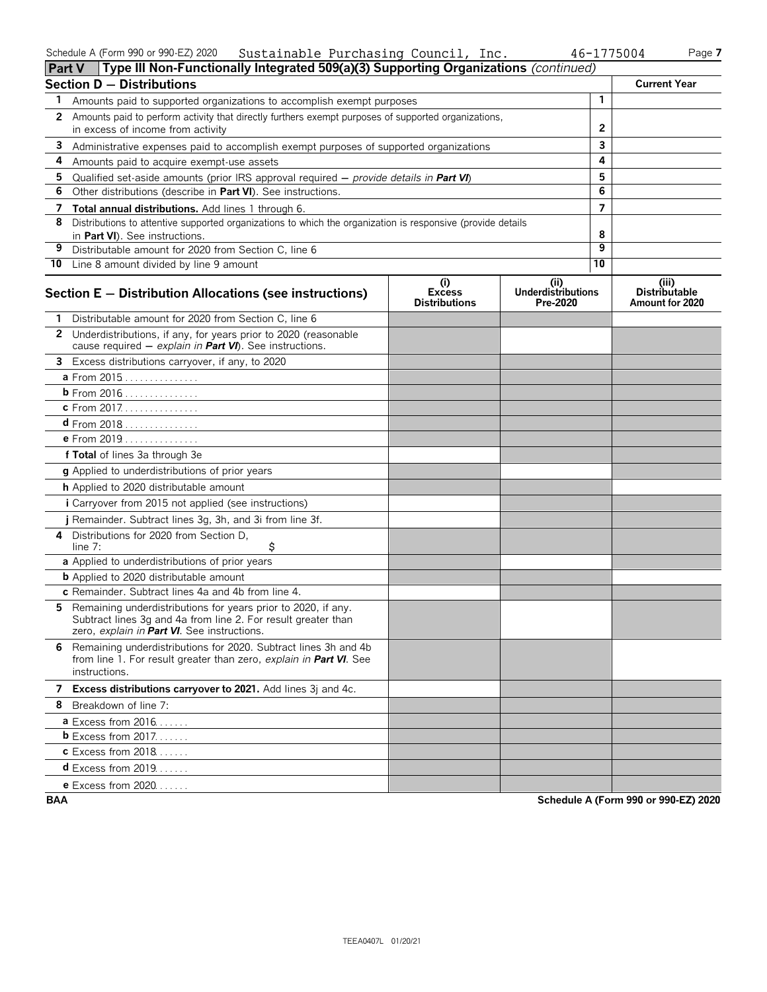| Schedule A (Form 990 or 990-EZ) 2020 |  |  |  |  |
|--------------------------------------|--|--|--|--|
|--------------------------------------|--|--|--|--|

| Schedule A (Form 990 or 990-EZ) 2020 | Sustainable Purchasing Council, | Inc. | -1775004<br>46-1 | $\circ$ age. |
|--------------------------------------|---------------------------------|------|------------------|--------------|
|--------------------------------------|---------------------------------|------|------------------|--------------|

|              | Type III Non-Functionally Integrated 509(a)(3) Supporting Organizations (continued)<br><b>Part V</b>                                                                          |                                              |                                              |    |                                                  |
|--------------|-------------------------------------------------------------------------------------------------------------------------------------------------------------------------------|----------------------------------------------|----------------------------------------------|----|--------------------------------------------------|
|              | <b>Section D - Distributions</b>                                                                                                                                              |                                              |                                              |    | <b>Current Year</b>                              |
| 1            | Amounts paid to supported organizations to accomplish exempt purposes                                                                                                         | $\mathbf{1}$                                 |                                              |    |                                                  |
| 2            | Amounts paid to perform activity that directly furthers exempt purposes of supported organizations,<br>in excess of income from activity                                      | 2                                            |                                              |    |                                                  |
| 3            | Administrative expenses paid to accomplish exempt purposes of supported organizations                                                                                         |                                              |                                              | 3  |                                                  |
| 4            | Amounts paid to acquire exempt-use assets                                                                                                                                     |                                              |                                              | 4  |                                                  |
| 5.           | Qualified set-aside amounts (prior IRS approval required $-$ provide details in Part VI)                                                                                      |                                              |                                              | 5  |                                                  |
| 6            | Other distributions (describe in Part VI). See instructions.                                                                                                                  |                                              |                                              | 6  |                                                  |
|              | Total annual distributions. Add lines 1 through 6.                                                                                                                            |                                              |                                              | 7  |                                                  |
| 8            | Distributions to attentive supported organizations to which the organization is responsive (provide details<br>in Part VI). See instructions.                                 |                                              |                                              | 8  |                                                  |
| 9            | Distributable amount for 2020 from Section C, line 6                                                                                                                          |                                              |                                              | 9  |                                                  |
|              | 10 Line 8 amount divided by line 9 amount                                                                                                                                     |                                              |                                              | 10 |                                                  |
|              | Section E - Distribution Allocations (see instructions)                                                                                                                       | (i)<br><b>Excess</b><br><b>Distributions</b> | (i)<br><b>Underdistributions</b><br>Pre-2020 |    | (iii)<br><b>Distributable</b><br>Amount for 2020 |
| 1.           | Distributable amount for 2020 from Section C, line 6                                                                                                                          |                                              |                                              |    |                                                  |
| $\mathbf{2}$ | Underdistributions, if any, for years prior to 2020 (reasonable<br>cause required - explain in Part VI). See instructions.                                                    |                                              |                                              |    |                                                  |
|              | 3 Excess distributions carryover, if any, to 2020                                                                                                                             |                                              |                                              |    |                                                  |
|              | a From 2015                                                                                                                                                                   |                                              |                                              |    |                                                  |
|              | b From 2016                                                                                                                                                                   |                                              |                                              |    |                                                  |
|              | <b>c</b> From 2017.                                                                                                                                                           |                                              |                                              |    |                                                  |
|              | d From 2018                                                                                                                                                                   |                                              |                                              |    |                                                  |
|              | e From 2019                                                                                                                                                                   |                                              |                                              |    |                                                  |
|              | f Total of lines 3a through 3e                                                                                                                                                |                                              |                                              |    |                                                  |
|              | g Applied to underdistributions of prior years                                                                                                                                |                                              |                                              |    |                                                  |
|              | <b>h</b> Applied to 2020 distributable amount                                                                                                                                 |                                              |                                              |    |                                                  |
|              | <i>i</i> Carryover from 2015 not applied (see instructions)                                                                                                                   |                                              |                                              |    |                                                  |
|              | j Remainder. Subtract lines 3g, 3h, and 3i from line 3f.                                                                                                                      |                                              |                                              |    |                                                  |
| 4            | Distributions for 2020 from Section D,<br>line 7:                                                                                                                             |                                              |                                              |    |                                                  |
|              | a Applied to underdistributions of prior years                                                                                                                                |                                              |                                              |    |                                                  |
|              | <b>b</b> Applied to 2020 distributable amount                                                                                                                                 |                                              |                                              |    |                                                  |
|              | c Remainder. Subtract lines 4a and 4b from line 4.                                                                                                                            |                                              |                                              |    |                                                  |
| 5.           | Remaining underdistributions for years prior to 2020, if any.<br>Subtract lines 3g and 4a from line 2. For result greater than<br>zero, explain in Part VI. See instructions. |                                              |                                              |    |                                                  |
|              | 6 Remaining underdistributions for 2020. Subtract lines 3h and 4b<br>from line 1. For result greater than zero, explain in Part VI. See<br>instructions.                      |                                              |                                              |    |                                                  |
|              | 7 Excess distributions carryover to 2021. Add lines 3j and 4c.                                                                                                                |                                              |                                              |    |                                                  |
|              | 8 Breakdown of line 7:                                                                                                                                                        |                                              |                                              |    |                                                  |
|              | <b>a</b> Excess from 2016                                                                                                                                                     |                                              |                                              |    |                                                  |
|              | <b>b</b> Excess from $2017$                                                                                                                                                   |                                              |                                              |    |                                                  |
|              | <b>c</b> Excess from 2018                                                                                                                                                     |                                              |                                              |    |                                                  |
|              | $d$ Excess from 2019.                                                                                                                                                         |                                              |                                              |    |                                                  |
|              | <b>e</b> Excess from 2020.                                                                                                                                                    |                                              |                                              |    |                                                  |

**BAA Schedule A (Form 990 or 990-EZ) 2020**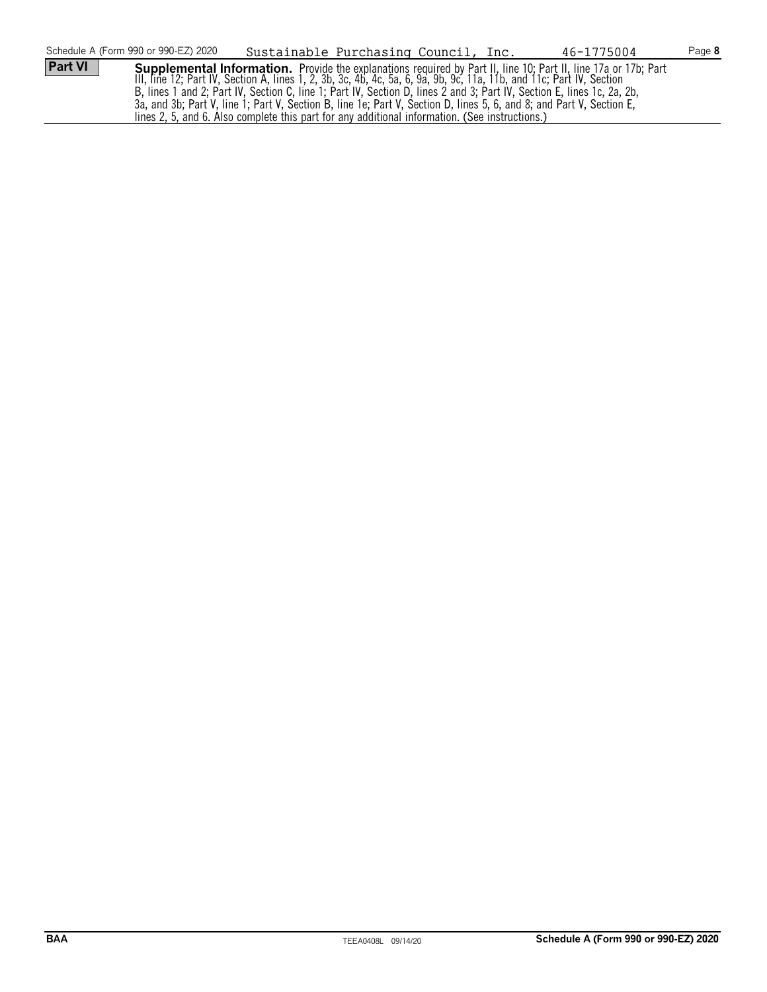|                | Schedule A (Form 990 or 990-EZ) 2020                                                                                 | Sustainable Purchasing Council, Inc. |  | 46-1775004                                                                                                             | Page 8 |
|----------------|----------------------------------------------------------------------------------------------------------------------|--------------------------------------|--|------------------------------------------------------------------------------------------------------------------------|--------|
| <b>Part VI</b> |                                                                                                                      |                                      |  | <b>Supplemental Information.</b> Provide the explanations required by Part II, line 10; Part II, line 17a or 17b; Part |        |
|                | III, line 12; Part IV, Section A, lines 1, 2, 3b, 3c, 4b, 4c, 5a, 6, 9a, 9b, 9c, 11a, 11b, and 11c; Part IV, Section |                                      |  |                                                                                                                        |        |
|                |                                                                                                                      |                                      |  | B, lines 1 and 2; Part IV, Section C, line 1; Part IV, Section D, lines 2 and 3; Part IV, Section E, lines 1c, 2a, 2b, |        |
|                |                                                                                                                      |                                      |  | 3a, and 3b; Part V, line 1; Part V, Section B, line 1e; Part V, Section D, lines 5, 6, and 8; and Part V, Section E,   |        |
|                | lines 2, 5, and 6. Also complete this part for any additional information. (See instructions.)                       |                                      |  |                                                                                                                        |        |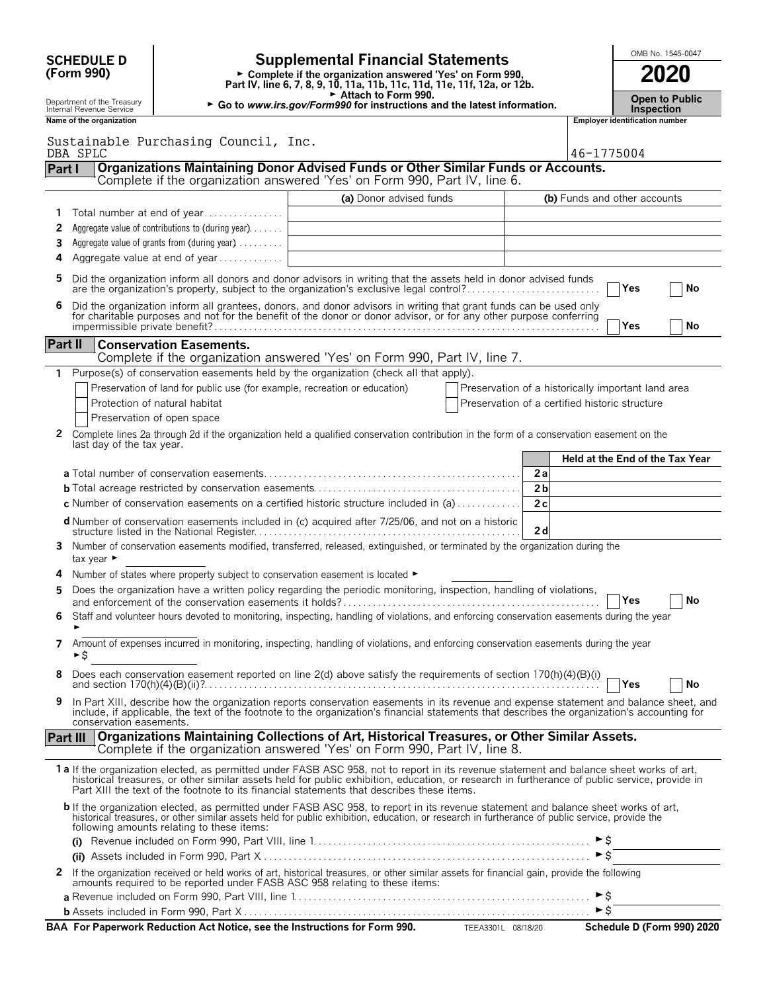| <b>SCHEDULE D</b><br>(Form 990)                                                    |                                                                                | <b>Supplemental Financial Statements</b><br>► Complete if the organization answered 'Yes' on Form 990,                                                                                                                                                                                                                                                                                  |                                                    | OMB No. 1545-0047<br>2020                                                           |    |
|------------------------------------------------------------------------------------|--------------------------------------------------------------------------------|-----------------------------------------------------------------------------------------------------------------------------------------------------------------------------------------------------------------------------------------------------------------------------------------------------------------------------------------------------------------------------------------|----------------------------------------------------|-------------------------------------------------------------------------------------|----|
|                                                                                    |                                                                                | Part IV, line 6, 7, 8, 9, 10, 11a, 11b, 11c, 11d, 11e, 11f, 12a, or 12b.<br>Attach to Form 990.                                                                                                                                                                                                                                                                                         |                                                    |                                                                                     |    |
| Department of the Treasury<br>Internal Revenue Service<br>Name of the organization |                                                                                | ► Go to www.irs.gov/Form990 for instructions and the latest information.                                                                                                                                                                                                                                                                                                                |                                                    | <b>Open to Public</b><br><b>Inspection</b><br><b>Employer identification number</b> |    |
| Sustainable Purchasing Council, Inc.                                               |                                                                                |                                                                                                                                                                                                                                                                                                                                                                                         |                                                    |                                                                                     |    |
| DBA SPLC<br>Part I                                                                 |                                                                                | Organizations Maintaining Donor Advised Funds or Other Similar Funds or Accounts.                                                                                                                                                                                                                                                                                                       | 46-1775004                                         |                                                                                     |    |
|                                                                                    |                                                                                | Complete if the organization answered 'Yes' on Form 990, Part IV, line 6.                                                                                                                                                                                                                                                                                                               |                                                    |                                                                                     |    |
| 1                                                                                  | Total number at end of year                                                    | (a) Donor advised funds                                                                                                                                                                                                                                                                                                                                                                 | (b) Funds and other accounts                       |                                                                                     |    |
| 2                                                                                  | Aggregate value of contributions to (during year)                              |                                                                                                                                                                                                                                                                                                                                                                                         |                                                    |                                                                                     |    |
| 3<br>4                                                                             | Aggregate value of grants from (during year)<br>Aggregate value at end of year |                                                                                                                                                                                                                                                                                                                                                                                         |                                                    |                                                                                     |    |
| 5                                                                                  |                                                                                | Did the organization inform all donors and donor advisors in writing that the assets held in donor advised funds                                                                                                                                                                                                                                                                        |                                                    |                                                                                     |    |
| 6                                                                                  |                                                                                | are the organization's property, subject to the organization's exclusive legal control?<br>Did the organization inform all grantees, donors, and donor advisors in writing that grant funds can be used only                                                                                                                                                                            |                                                    | Yes                                                                                 | No |
|                                                                                    |                                                                                | for charitable purposes and not for the benefit of the donor or donor advisor, or for any other purpose conferring                                                                                                                                                                                                                                                                      |                                                    | Yes                                                                                 | No |
| Part II                                                                            | <b>Conservation Easements.</b>                                                 |                                                                                                                                                                                                                                                                                                                                                                                         |                                                    |                                                                                     |    |
|                                                                                    |                                                                                | Complete if the organization answered 'Yes' on Form 990, Part IV, line 7.<br>Purpose(s) of conservation easements held by the organization (check all that apply).                                                                                                                                                                                                                      |                                                    |                                                                                     |    |
|                                                                                    |                                                                                | Preservation of land for public use (for example, recreation or education)                                                                                                                                                                                                                                                                                                              | Preservation of a historically important land area |                                                                                     |    |
| Protection of natural habitat<br>Preservation of open space                        |                                                                                |                                                                                                                                                                                                                                                                                                                                                                                         | Preservation of a certified historic structure     |                                                                                     |    |
| $\mathbf{2}$<br>last day of the tax year.                                          |                                                                                | Complete lines 2a through 2d if the organization held a qualified conservation contribution in the form of a conservation easement on the                                                                                                                                                                                                                                               |                                                    |                                                                                     |    |
|                                                                                    |                                                                                |                                                                                                                                                                                                                                                                                                                                                                                         |                                                    | Held at the End of the Tax Year                                                     |    |
|                                                                                    |                                                                                |                                                                                                                                                                                                                                                                                                                                                                                         | 2a<br>2 <sub>b</sub>                               |                                                                                     |    |
|                                                                                    |                                                                                | <b>c</b> Number of conservation easements on a certified historic structure included in (a) $\dots$                                                                                                                                                                                                                                                                                     | 2c                                                 |                                                                                     |    |
|                                                                                    |                                                                                | d Number of conservation easements included in (c) acquired after 7/25/06, and not on a historic                                                                                                                                                                                                                                                                                        | 2d                                                 |                                                                                     |    |
| 3<br>tax year $\blacktriangleright$                                                |                                                                                | Number of conservation easements modified, transferred, released, extinguished, or terminated by the organization during the                                                                                                                                                                                                                                                            |                                                    |                                                                                     |    |
| 4                                                                                  |                                                                                | Number of states where property subject to conservation easement is located ►                                                                                                                                                                                                                                                                                                           |                                                    |                                                                                     |    |
|                                                                                    | and enforcement of the conservation easements it holds?                        | Does the organization have a written policy regarding the periodic monitoring, inspection, handling of violations,                                                                                                                                                                                                                                                                      |                                                    | <b>Yes</b>                                                                          | No |
| 6                                                                                  |                                                                                | Staff and volunteer hours devoted to monitoring, inspecting, handling of violations, and enforcing conservation easements during the year                                                                                                                                                                                                                                               |                                                    |                                                                                     |    |
| 7<br>►\$                                                                           |                                                                                | Amount of expenses incurred in monitoring, inspecting, handling of violations, and enforcing conservation easements during the year                                                                                                                                                                                                                                                     |                                                    |                                                                                     |    |
| 8                                                                                  |                                                                                | Does each conservation easement reported on line 2(d) above satisfy the requirements of section 170(h)(4)(B)(i)                                                                                                                                                                                                                                                                         |                                                    | Yes                                                                                 | No |
| 9                                                                                  |                                                                                | In Part XIII, describe how the organization reports conservation easements in its revenue and expense statement and balance sheet, and<br>include, if applicable, the text of the footnote to the organization's financial statements that describes the organization's accounting for                                                                                                  |                                                    |                                                                                     |    |
| conservation easements.                                                            |                                                                                | Part III   Organizations Maintaining Collections of Art, Historical Treasures, or Other Similar Assets.<br>Complete if the organization answered 'Yes' on Form 990, Part IV, line 8.                                                                                                                                                                                                    |                                                    |                                                                                     |    |
|                                                                                    |                                                                                | 1 a If the organization elected, as permitted under FASB ASC 958, not to report in its revenue statement and balance sheet works of art,<br>historical treasures, or other similar assets held for public exhibition, education, or research in furtherance of public service, provide in<br>Part XIII the text of the footnote to its financial statements that describes these items. |                                                    |                                                                                     |    |
|                                                                                    | following amounts relating to these items:                                     | b If the organization elected, as permitted under FASB ASC 958, to report in its revenue statement and balance sheet works of art, historical treasures, or other similar assets held for public exhibition, education, or res                                                                                                                                                          |                                                    |                                                                                     |    |
|                                                                                    |                                                                                |                                                                                                                                                                                                                                                                                                                                                                                         | $\blacktriangleright$ \$                           |                                                                                     |    |
| 2                                                                                  |                                                                                |                                                                                                                                                                                                                                                                                                                                                                                         |                                                    |                                                                                     |    |
|                                                                                    |                                                                                | If the organization received or held works of art, historical treasures, or other similar assets for financial gain, provide the following<br>amounts required to be reported under FASB ASC 958 relating to these items:                                                                                                                                                               |                                                    |                                                                                     |    |
|                                                                                    |                                                                                |                                                                                                                                                                                                                                                                                                                                                                                         |                                                    |                                                                                     |    |
|                                                                                    |                                                                                | BAA For Paperwork Reduction Act Notice, see the Instructions for Form 990. TEEA3301L 08/18/20 Schedule D (Form 990) 2020                                                                                                                                                                                                                                                                |                                                    |                                                                                     |    |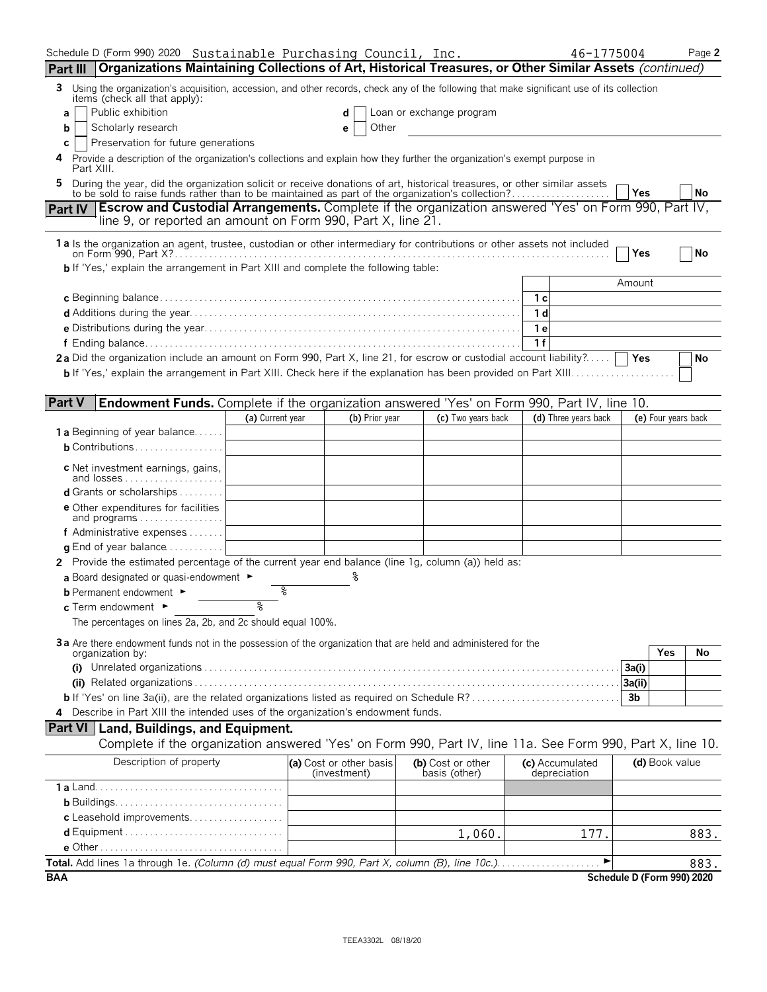| Schedule D (Form 990) 2020 Sustainable Purchasing Council, Inc.                                                                                                                                                           |                  |                                         |                |                                    | 46-1775004                      |                            | Page 2 |
|---------------------------------------------------------------------------------------------------------------------------------------------------------------------------------------------------------------------------|------------------|-----------------------------------------|----------------|------------------------------------|---------------------------------|----------------------------|--------|
| Organizations Maintaining Collections of Art, Historical Treasures, or Other Similar Assets (continued)<br><b>Part III</b>                                                                                                |                  |                                         |                |                                    |                                 |                            |        |
| Using the organization's acquisition, accession, and other records, check any of the following that make significant use of its collection<br>3<br>items (check all that apply):                                          |                  |                                         |                |                                    |                                 |                            |        |
| Public exhibition<br>a                                                                                                                                                                                                    |                  |                                         |                | Loan or exchange program           |                                 |                            |        |
| Scholarly research<br>b                                                                                                                                                                                                   |                  | е                                       | Other          |                                    |                                 |                            |        |
| Preservation for future generations<br>C                                                                                                                                                                                  |                  |                                         |                |                                    |                                 |                            |        |
| Provide a description of the organization's collections and explain how they further the organization's exempt purpose in<br>Part XIII.                                                                                   |                  |                                         |                |                                    |                                 |                            |        |
| During the year, did the organization solicit or receive donations of art, historical treasures, or other similar assets to be sold to raise funds rather than to be maintained as part of the organization's collection? |                  |                                         |                |                                    |                                 | Yes                        | No     |
| <b>Escrow and Custodial Arrangements.</b> Complete if the organization answered 'Yes' on Form 990, Part IV,<br><b>Part IV</b><br>line 9, or reported an amount on Form 990, Part X, line 21.                              |                  |                                         |                |                                    |                                 |                            |        |
|                                                                                                                                                                                                                           |                  |                                         |                |                                    |                                 |                            |        |
| 1 a Is the organization an agent, trustee, custodian or other intermediary for contributions or other assets not included                                                                                                 |                  |                                         |                |                                    |                                 | Yes                        | No     |
| <b>b</b> If 'Yes,' explain the arrangement in Part XIII and complete the following table:                                                                                                                                 |                  |                                         |                |                                    |                                 |                            |        |
|                                                                                                                                                                                                                           |                  |                                         |                |                                    |                                 | Amount                     |        |
|                                                                                                                                                                                                                           |                  |                                         |                |                                    | 1с                              |                            |        |
|                                                                                                                                                                                                                           |                  |                                         |                |                                    | 1 d                             |                            |        |
|                                                                                                                                                                                                                           |                  |                                         |                |                                    | 1 e<br>1f                       |                            |        |
| 2a Did the organization include an amount on Form 990, Part X, line 21, for escrow or custodial account liability?                                                                                                        |                  |                                         |                |                                    |                                 |                            |        |
|                                                                                                                                                                                                                           |                  |                                         |                |                                    |                                 |                            | No     |
|                                                                                                                                                                                                                           |                  |                                         |                |                                    |                                 |                            |        |
| <b>Part V</b><br><b>Endowment Funds.</b> Complete if the organization answered 'Yes' on Form 990, Part IV, line 10.                                                                                                       |                  |                                         |                |                                    |                                 |                            |        |
|                                                                                                                                                                                                                           | (a) Current year |                                         | (b) Prior year | (c) Two years back                 | (d) Three years back            | (e) Four years back        |        |
| <b>1a</b> Beginning of year balance                                                                                                                                                                                       |                  |                                         |                |                                    |                                 |                            |        |
| <b>b</b> Contributions                                                                                                                                                                                                    |                  |                                         |                |                                    |                                 |                            |        |
| c Net investment earnings, gains,<br>and losses                                                                                                                                                                           |                  |                                         |                |                                    |                                 |                            |        |
| d Grants or scholarships                                                                                                                                                                                                  |                  |                                         |                |                                    |                                 |                            |        |
| <b>e</b> Other expenditures for facilities                                                                                                                                                                                |                  |                                         |                |                                    |                                 |                            |        |
| and programs<br>f Administrative expenses                                                                                                                                                                                 |                  |                                         |                |                                    |                                 |                            |        |
| <b>g</b> End of year balance $\ldots$ , $\ldots$                                                                                                                                                                          |                  |                                         |                |                                    |                                 |                            |        |
| 2 Provide the estimated percentage of the current year end balance (line 1g, column (a)) held as:                                                                                                                         |                  |                                         |                |                                    |                                 |                            |        |
| a Board designated or quasi-endowment $\blacktriangleright$                                                                                                                                                               |                  |                                         |                |                                    |                                 |                            |        |
| <b>b</b> Permanent endowment $\blacktriangleright$                                                                                                                                                                        | ిం               |                                         |                |                                    |                                 |                            |        |
| c Term endowment $\blacktriangleright$                                                                                                                                                                                    | ž                |                                         |                |                                    |                                 |                            |        |
| The percentages on lines 2a, 2b, and 2c should equal 100%.                                                                                                                                                                |                  |                                         |                |                                    |                                 |                            |        |
|                                                                                                                                                                                                                           |                  |                                         |                |                                    |                                 |                            |        |
| 3a Are there endowment funds not in the possession of the organization that are held and administered for the<br>organization by:                                                                                         |                  |                                         |                |                                    |                                 | Yes                        | No     |
|                                                                                                                                                                                                                           |                  |                                         |                |                                    |                                 | 3a(i)                      |        |
|                                                                                                                                                                                                                           |                  |                                         |                |                                    |                                 | 3a(ii)                     |        |
|                                                                                                                                                                                                                           |                  |                                         |                |                                    |                                 | 3b                         |        |
| 4 Describe in Part XIII the intended uses of the organization's endowment funds.                                                                                                                                          |                  |                                         |                |                                    |                                 |                            |        |
| <b>Part VI   Land, Buildings, and Equipment.</b>                                                                                                                                                                          |                  |                                         |                |                                    |                                 |                            |        |
| Complete if the organization answered 'Yes' on Form 990, Part IV, line 11a. See Form 990, Part X, line 10.                                                                                                                |                  |                                         |                |                                    |                                 |                            |        |
| Description of property                                                                                                                                                                                                   |                  | (a) Cost or other basis<br>(investment) |                | (b) Cost or other<br>basis (other) | (c) Accumulated<br>depreciation | (d) Book value             |        |
|                                                                                                                                                                                                                           |                  |                                         |                |                                    |                                 |                            |        |
|                                                                                                                                                                                                                           |                  |                                         |                |                                    |                                 |                            |        |
| c Leasehold improvements                                                                                                                                                                                                  |                  |                                         |                |                                    |                                 |                            |        |
|                                                                                                                                                                                                                           |                  |                                         |                | 1,060.                             | 177.                            |                            | 883.   |
|                                                                                                                                                                                                                           |                  |                                         |                |                                    |                                 |                            |        |
|                                                                                                                                                                                                                           |                  |                                         |                |                                    | ►                               |                            | 883.   |
| <b>BAA</b>                                                                                                                                                                                                                |                  |                                         |                |                                    |                                 | Schedule D (Form 990) 2020 |        |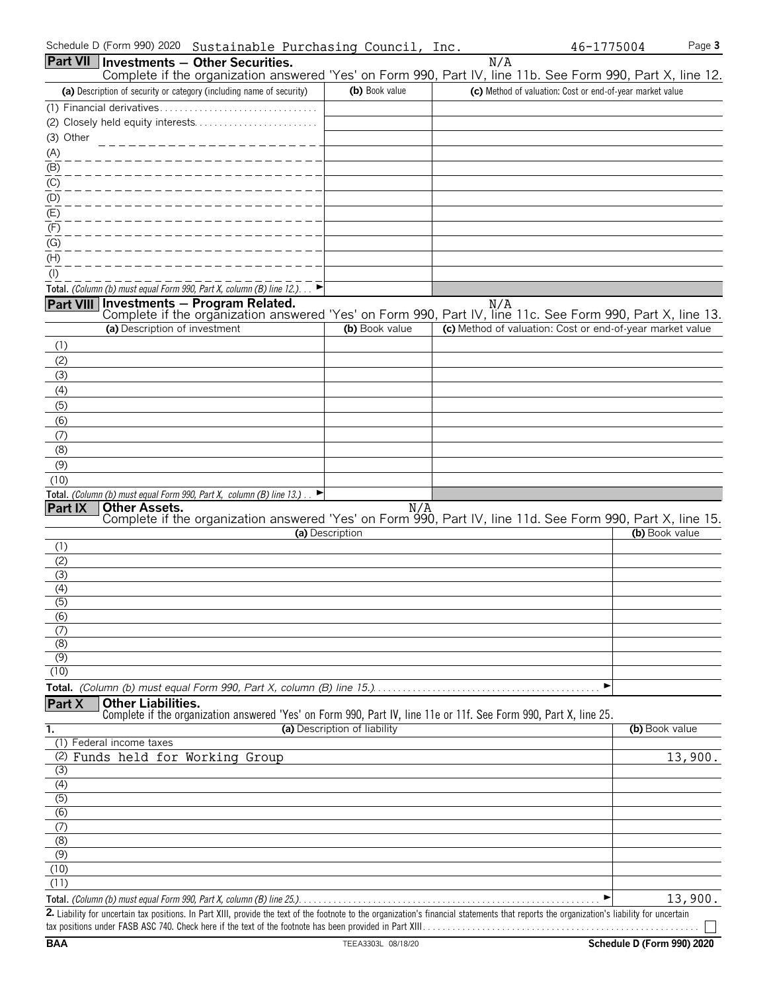| Schedule D (Form 990) 2020<br>Sustainable Purchasing Council, Inc.                                                                                            |                |     | 46-1775004                                                | Page 3 |
|---------------------------------------------------------------------------------------------------------------------------------------------------------------|----------------|-----|-----------------------------------------------------------|--------|
| <b>Part VII Investments - Other Securities.</b><br>Complete if the organization answered 'Yes' on Form 990, Part IV, line 11b. See Form 990, Part X, line 12. |                | N/A |                                                           |        |
| (a) Description of security or category (including name of security)                                                                                          | (b) Book value |     | (c) Method of valuation: Cost or end-of-year market value |        |
|                                                                                                                                                               |                |     |                                                           |        |
|                                                                                                                                                               |                |     |                                                           |        |
| (3) Other<br>___________________                                                                                                                              |                |     |                                                           |        |
| $\underline{(\mathsf{A})}$<br>_____________________                                                                                                           |                |     |                                                           |        |
| (B)                                                                                                                                                           |                |     |                                                           |        |
| (C)                                                                                                                                                           |                |     |                                                           |        |
| (D)                                                                                                                                                           |                |     |                                                           |        |
| (E)                                                                                                                                                           |                |     |                                                           |        |
| (F)<br>_________________                                                                                                                                      |                |     |                                                           |        |
| (G)                                                                                                                                                           |                |     |                                                           |        |
| (H)                                                                                                                                                           |                |     |                                                           |        |
| (1)                                                                                                                                                           |                |     |                                                           |        |
| Total. (Column (b) must equal Form 990, Part X, column (B) line $12.$ )                                                                                       |                |     |                                                           |        |
| <b>Part VIII</b> Investments - Program Related.<br>Complete if the organization answered 'Yes' on Form 990, Part IV, line 11c. See Form 990, Part X, line 13. |                |     |                                                           |        |
| (a) Description of investment                                                                                                                                 | (b) Book value |     | (c) Method of valuation: Cost or end-of-year market value |        |
| (1)                                                                                                                                                           |                |     |                                                           |        |
| (2)                                                                                                                                                           |                |     |                                                           |        |
| (3)                                                                                                                                                           |                |     |                                                           |        |
| (4)                                                                                                                                                           |                |     |                                                           |        |

#### (10) Total. (Column (b) must equal Form 990, Part X, column (B) line 13.). ► **Part IX Other Assets.**

| Part IX | <b>Other Assets.</b>                                                                                                               |                |
|---------|------------------------------------------------------------------------------------------------------------------------------------|----------------|
|         | <b>Other Assets.</b><br>Complete if the organization answered 'Yes' on Form 990, Part IV, line 11d. See Form 990, Part X, line 15. |                |
|         | (a) Description                                                                                                                    | (b) Book value |
|         |                                                                                                                                    |                |
| (2)     |                                                                                                                                    |                |
| (3)     |                                                                                                                                    |                |
| (4)     |                                                                                                                                    |                |
| (5)     |                                                                                                                                    |                |
| (6)     |                                                                                                                                    |                |
| (7)     |                                                                                                                                    |                |
| (8)     |                                                                                                                                    |                |
| (9)     |                                                                                                                                    |                |
| (10)    |                                                                                                                                    |                |
|         |                                                                                                                                    |                |

## **Part X Other Liabilities.**

Complete if the organization answered 'Yes' on Form 990, Part IV, line 11e or 11f. See Form 990, Part X, line 25.

| (a) Description of liability     | (b) Book value |
|----------------------------------|----------------|
| (1) Federal income taxes         |                |
| (2) Funds held for Working Group | 13,900.        |
| (3)                              |                |
| $\overline{(4)}$                 |                |
| $\overline{(5)}$                 |                |
| (6)                              |                |
| (7)                              |                |
| (8)                              |                |
| (9)                              |                |
| (10)                             |                |
| (11)                             |                |
|                                  | 13,900.        |

**2.** Liability for uncertain tax positions. In Part XIII, provide the text of the footnote to the organization's financial statements that reports the organization's liability for uncertain tax positions under FASB ASC 740. Check here if the text of the footnote has been provided in Part XIII. . . . . . . . . . . . . . . . . . . . . . . . . . . . . . . . . . . . . . . . . . . . . . . . . . . . . . . .

(5) (6) (7) (8) (9)

 $\Box$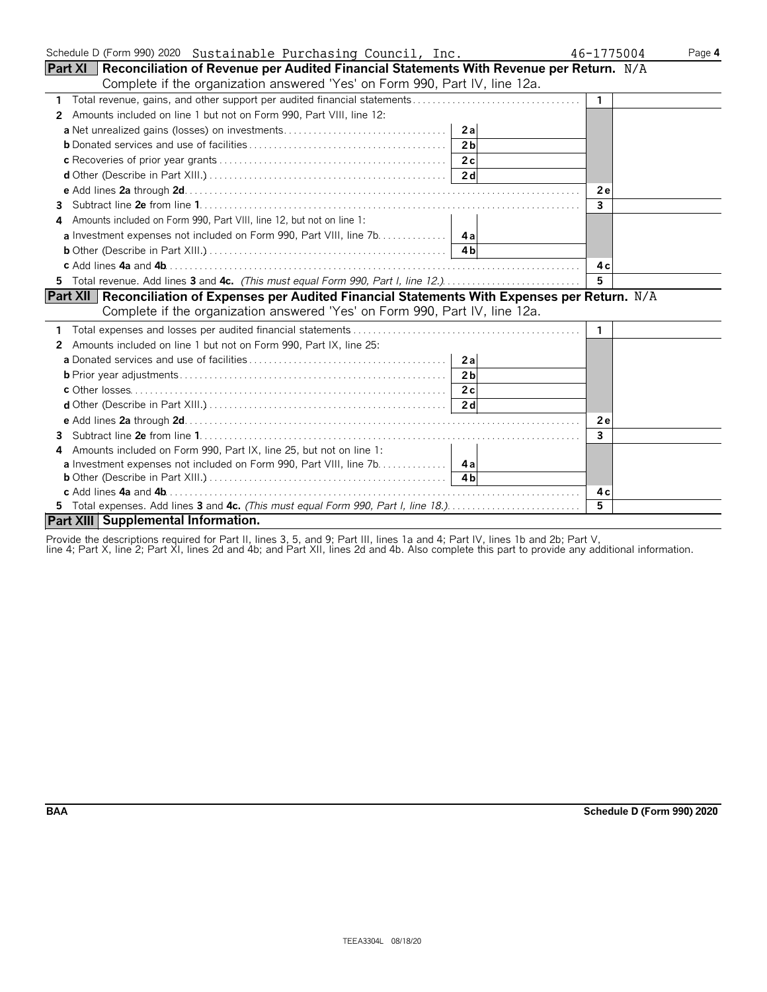| Schedule D (Form 990) 2020 Sustainable Purchasing Council, Inc.                                      | 46-1775004<br>Page 4 |
|------------------------------------------------------------------------------------------------------|----------------------|
| Part XI   Reconciliation of Revenue per Audited Financial Statements With Revenue per Return. $ N/A$ |                      |
| Complete if the organization answered 'Yes' on Form 990, Part IV, line 12a.                          |                      |
|                                                                                                      | $\mathbf{1}$         |
| Amounts included on line 1 but not on Form 990, Part VIII, line 12:<br>2                             |                      |
| 2al                                                                                                  |                      |
| 2 <sub>b</sub>                                                                                       |                      |
|                                                                                                      |                      |
|                                                                                                      |                      |
|                                                                                                      | 2e                   |
| 3.                                                                                                   | 3                    |
| Amounts included on Form 990, Part VIII, line 12, but not on line 1:<br>4                            |                      |
| <b>a</b> Investment expenses not included on Form 990, Part VIII, line 7b. 4a                        |                      |
|                                                                                                      |                      |
|                                                                                                      | 4 c                  |
| 5 Total revenue. Add lines 3 and 4c. (This must equal Form 990, Part I, line 12.)                    | 5                    |
| Part XII Reconciliation of Expenses per Audited Financial Statements With Expenses per Return. N/A   |                      |
| Complete if the organization answered 'Yes' on Form 990, Part IV, line 12a.                          |                      |
|                                                                                                      | 1.                   |
| Amounts included on line 1 but not on Form 990, Part IX, line 25:<br>$\mathbf{2}$                    |                      |
| 2a                                                                                                   |                      |
|                                                                                                      |                      |
|                                                                                                      |                      |
|                                                                                                      |                      |
|                                                                                                      | 2e                   |
| 3                                                                                                    | $\mathbf{3}$         |
| Amounts included on Form 990, Part IX, line 25, but not on line 1:<br>4                              |                      |
| a Investment expenses not included on Form 990, Part VIII, line 7b.   4a                             |                      |
|                                                                                                      |                      |
|                                                                                                      | 4 c                  |
| 5 Total expenses. Add lines 3 and 4c. (This must equal Form 990, Part I, line 18.)                   | 5.                   |
| Part XIII Supplemental Information.                                                                  |                      |

Provide the descriptions required for Part II, lines 3, 5, and 9; Part III, lines 1a and 4; Part IV, lines 1b and 2b; Part V,

line 4; Part X, line 2; Part XI, lines 2d and 4b; and Part XII, lines 2d and 4b. Also complete this part to provide any additional information.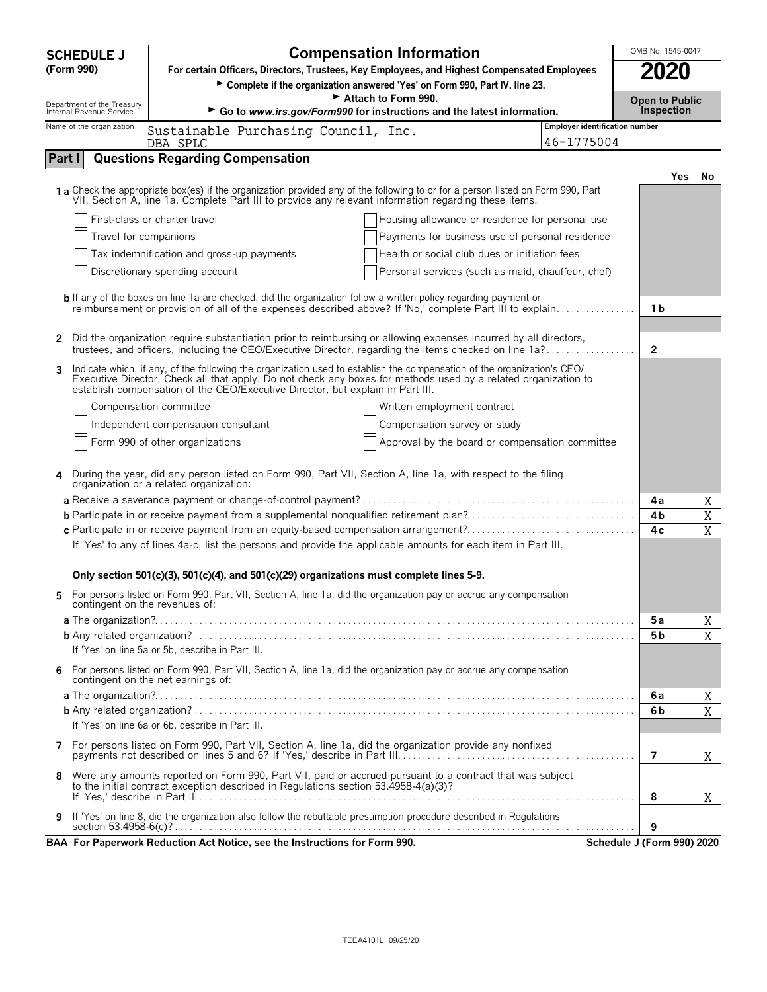| <b>SCHEDULE J</b>                                      | OMB No. 1545-0047<br><b>Compensation Information</b>                                                                                                                                                                                                                                                                        |                                                     |                |     |             |  |  |  |
|--------------------------------------------------------|-----------------------------------------------------------------------------------------------------------------------------------------------------------------------------------------------------------------------------------------------------------------------------------------------------------------------------|-----------------------------------------------------|----------------|-----|-------------|--|--|--|
| (Form 990)                                             | 2020<br>For certain Officers, Directors, Trustees, Key Employees, and Highest Compensated Employees<br>Complete if the organization answered 'Yes' on Form 990, Part IV, line 23.                                                                                                                                           |                                                     |                |     |             |  |  |  |
|                                                        | Attach to Form 990.<br><b>Open to Public</b>                                                                                                                                                                                                                                                                                |                                                     |                |     |             |  |  |  |
| Department of the Treasury<br>Internal Revenue Service | <b>Inspection</b><br>Go to www.irs.gov/Form990 for instructions and the latest information.                                                                                                                                                                                                                                 |                                                     |                |     |             |  |  |  |
| Name of the organization                               | Sustainable Purchasing Council, Inc.                                                                                                                                                                                                                                                                                        | <b>Employer identification number</b><br>46-1775004 |                |     |             |  |  |  |
| Part I                                                 | DBA SPLC<br><b>Questions Regarding Compensation</b>                                                                                                                                                                                                                                                                         |                                                     |                |     |             |  |  |  |
|                                                        |                                                                                                                                                                                                                                                                                                                             |                                                     |                | Yes | No          |  |  |  |
|                                                        | 1a Check the appropriate box(es) if the organization provided any of the following to or for a person listed on Form 990, Part<br>VII, Section A, line 1a. Complete Part III to provide any relevant information regarding these items.                                                                                     |                                                     |                |     |             |  |  |  |
|                                                        | First-class or charter travel<br>Housing allowance or residence for personal use                                                                                                                                                                                                                                            |                                                     |                |     |             |  |  |  |
| Travel for companions                                  | Payments for business use of personal residence                                                                                                                                                                                                                                                                             |                                                     |                |     |             |  |  |  |
|                                                        | Health or social club dues or initiation fees<br>Tax indemnification and gross-up payments                                                                                                                                                                                                                                  |                                                     |                |     |             |  |  |  |
|                                                        | Discretionary spending account<br>Personal services (such as maid, chauffeur, chef)                                                                                                                                                                                                                                         |                                                     |                |     |             |  |  |  |
|                                                        | <b>b</b> If any of the boxes on line 1a are checked, did the organization follow a written policy regarding payment or<br>reimbursement or provision of all of the expenses described above? If 'No,' complete Part III to explain                                                                                          |                                                     | 1 b            |     |             |  |  |  |
| 2                                                      | Did the organization require substantiation prior to reimbursing or allowing expenses incurred by all directors,<br>trustees, and officers, including the CEO/Executive Director, regarding the items checked on line 1a?                                                                                                   |                                                     | $\overline{2}$ |     |             |  |  |  |
| 3                                                      | Indicate which, if any, of the following the organization used to establish the compensation of the organization's CEO/<br>Executive Director. Check all that apply. Do not check any boxes for methods used by a related organization to<br>establish compensation of the CEO/Executive Director, but explain in Part III. |                                                     |                |     |             |  |  |  |
|                                                        | Compensation committee<br>Written employment contract                                                                                                                                                                                                                                                                       |                                                     |                |     |             |  |  |  |
|                                                        | Independent compensation consultant<br>Compensation survey or study                                                                                                                                                                                                                                                         |                                                     |                |     |             |  |  |  |
|                                                        | Form 990 of other organizations<br>Approval by the board or compensation committee                                                                                                                                                                                                                                          |                                                     |                |     |             |  |  |  |
|                                                        | During the year, did any person listed on Form 990, Part VII, Section A, line 1a, with respect to the filing<br>organization or a related organization:                                                                                                                                                                     |                                                     |                |     |             |  |  |  |
|                                                        |                                                                                                                                                                                                                                                                                                                             |                                                     | 4а             |     | Χ           |  |  |  |
|                                                        | <b>b</b> Participate in or receive payment from a supplemental nonqualified retirement plan?                                                                                                                                                                                                                                |                                                     | 4b             |     | $\mathbf X$ |  |  |  |
|                                                        |                                                                                                                                                                                                                                                                                                                             |                                                     | 4 c            |     | X           |  |  |  |
|                                                        | If 'Yes' to any of lines 4a-c, list the persons and provide the applicable amounts for each item in Part III.                                                                                                                                                                                                               |                                                     |                |     |             |  |  |  |
|                                                        | Only section 501(c)(3), 501(c)(4), and 501(c)(29) organizations must complete lines 5-9.                                                                                                                                                                                                                                    |                                                     |                |     |             |  |  |  |
| contingent on the revenues of:                         | For persons listed on Form 990, Part VII, Section A, line 1a, did the organization pay or accrue any compensation                                                                                                                                                                                                           |                                                     |                |     |             |  |  |  |
|                                                        |                                                                                                                                                                                                                                                                                                                             |                                                     | 5 a            |     | Χ           |  |  |  |
|                                                        | If 'Yes' on line 5a or 5b, describe in Part III.                                                                                                                                                                                                                                                                            |                                                     | 5 <sub>b</sub> |     | X           |  |  |  |
|                                                        | 6 For persons listed on Form 990, Part VII, Section A, line 1a, did the organization pay or accrue any compensation<br>contingent on the net earnings of:                                                                                                                                                                   |                                                     |                |     |             |  |  |  |
|                                                        |                                                                                                                                                                                                                                                                                                                             |                                                     | 6а             |     | Χ           |  |  |  |
|                                                        |                                                                                                                                                                                                                                                                                                                             |                                                     | 6b             |     | X           |  |  |  |
|                                                        | If 'Yes' on line 6a or 6b, describe in Part III.                                                                                                                                                                                                                                                                            |                                                     |                |     |             |  |  |  |
|                                                        | 7 For persons listed on Form 990, Part VII, Section A, line 1a, did the organization provide any nonfixed                                                                                                                                                                                                                   |                                                     | 7              |     | X           |  |  |  |
|                                                        | 8 Were any amounts reported on Form 990, Part VII, paid or accrued pursuant to a contract that was subject<br>to the initial contract exception described in Regulations section 53.4958-4(a)(3)?                                                                                                                           |                                                     | 8              |     | X           |  |  |  |
| 9                                                      | If 'Yes' on line 8, did the organization also follow the rebuttable presumption procedure described in Regulations                                                                                                                                                                                                          |                                                     | 9              |     |             |  |  |  |
|                                                        | BAA For Paperwork Reduction Act Notice, see the Instructions for Form 990.                                                                                                                                                                                                                                                  | Schedule J (Form 990) 2020                          |                |     |             |  |  |  |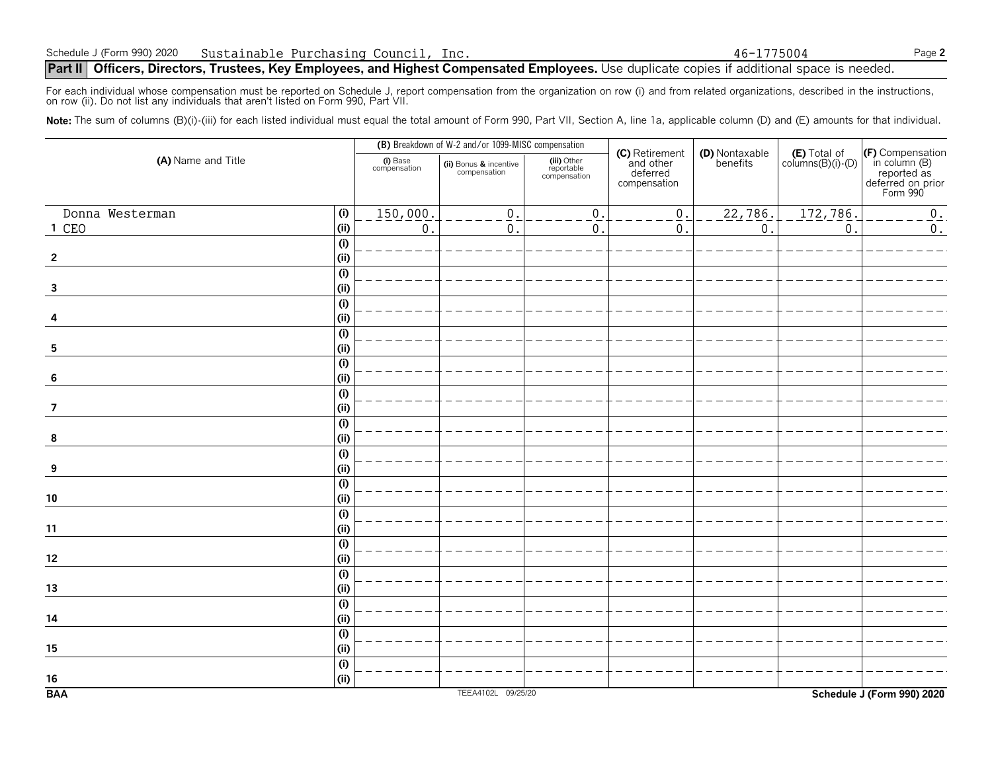#### **Part II** Officers, Directors, Trustees, Key Employees, and Highest Compensated Employees. Use duplicate copies if additional space is needed.

For each individual whose compensation must be reported on Schedule J, report compensation from the organization on row (i) and from related organizations, described in the instructions, on row (ii). Do not list any individuals that aren't listed on Form 990, Part VII.

Note: The sum of columns (B)(i)-(iii) for each listed individual must equal the total amount of Form 990, Part VII, Section A, line 1a, applicable column (D) and (E) amounts for that individual.

|                         |                           |                          | (B) Breakdown of W-2 and/or 1099-MISC compensation |                                           |                                                         |                            |                                            |                                                                                   |
|-------------------------|---------------------------|--------------------------|----------------------------------------------------|-------------------------------------------|---------------------------------------------------------|----------------------------|--------------------------------------------|-----------------------------------------------------------------------------------|
| (A) Name and Title      |                           | (i) Base<br>compensation | (ii) Bonus & incentive<br>compensation             | (iii) Other<br>reportable<br>compensation | (C) Retirement<br>and other<br>deferred<br>compensation | (D) Nontaxable<br>benefits | $(E)$ Total of<br>columns $(B)(i)$ - $(D)$ | (F) Compensation<br>in column (B)<br>reported as<br>deferred on prior<br>Form 990 |
| Donna Westerman         | (i)                       | 150,000.                 | $\mathsf 0$                                        | 0.                                        | $\overline{0}$ .                                        | 22,786.                    | 172,786.                                   | 0.                                                                                |
| 1 CEO                   | (i)                       | $\boldsymbol{0}$         | $\mathbf 0$                                        | $\mathbf{0}$                              | $\mathbf{0}$                                            | $0$ .                      | $\mathbf 0$                                | $\overline{0}$ .                                                                  |
|                         | (i)                       |                          |                                                    |                                           |                                                         |                            |                                            |                                                                                   |
| $\overline{2}$          | (i)                       |                          |                                                    |                                           |                                                         |                            |                                            |                                                                                   |
|                         | (i)                       |                          |                                                    |                                           |                                                         |                            |                                            |                                                                                   |
| $\overline{\mathbf{3}}$ | (i)                       |                          |                                                    |                                           |                                                         |                            |                                            |                                                                                   |
|                         | (i)                       |                          |                                                    |                                           |                                                         |                            |                                            |                                                                                   |
| 4                       | (i)                       |                          |                                                    |                                           |                                                         |                            |                                            |                                                                                   |
|                         | $\overline{(\mathsf{i})}$ |                          |                                                    |                                           |                                                         |                            |                                            |                                                                                   |
| 5                       | (i)                       |                          |                                                    |                                           |                                                         |                            |                                            |                                                                                   |
|                         | $\overline{(\mathsf{i})}$ |                          |                                                    |                                           |                                                         |                            |                                            |                                                                                   |
| 6                       | (i)                       |                          |                                                    |                                           |                                                         |                            |                                            |                                                                                   |
|                         | (i)                       |                          |                                                    |                                           |                                                         |                            |                                            |                                                                                   |
| $\overline{7}$          | (i)                       |                          |                                                    |                                           |                                                         |                            |                                            |                                                                                   |
|                         | $\overline{(\mathsf{i})}$ |                          |                                                    |                                           |                                                         |                            |                                            |                                                                                   |
| 8                       | (i)                       |                          |                                                    |                                           |                                                         |                            |                                            |                                                                                   |
|                         | $\overline{(\mathsf{i})}$ |                          |                                                    |                                           |                                                         |                            |                                            |                                                                                   |
| 9                       | (i)                       |                          |                                                    |                                           |                                                         |                            |                                            |                                                                                   |
|                         | $\overline{(\mathsf{i})}$ |                          |                                                    |                                           |                                                         |                            |                                            |                                                                                   |
| ${\bf 10}$              | (i)                       |                          |                                                    |                                           |                                                         |                            |                                            |                                                                                   |
|                         | (i)                       |                          |                                                    |                                           |                                                         |                            |                                            |                                                                                   |
| 11                      | (i)                       |                          |                                                    |                                           |                                                         |                            |                                            |                                                                                   |
|                         | (i)                       |                          |                                                    |                                           |                                                         |                            |                                            |                                                                                   |
| $12\,$                  | (i)                       |                          |                                                    |                                           |                                                         |                            |                                            |                                                                                   |
|                         | $\overline{(\mathsf{i})}$ |                          |                                                    |                                           |                                                         |                            |                                            |                                                                                   |
| 13                      | (i)                       |                          |                                                    |                                           |                                                         |                            |                                            |                                                                                   |
|                         | $\overline{(\mathsf{i})}$ |                          |                                                    |                                           |                                                         |                            |                                            |                                                                                   |
| 14                      | (i)                       |                          |                                                    |                                           |                                                         |                            |                                            |                                                                                   |
|                         | (i)                       |                          |                                                    |                                           |                                                         |                            |                                            |                                                                                   |
| 15                      | (i)                       |                          |                                                    |                                           |                                                         |                            |                                            |                                                                                   |
|                         | (i)                       |                          |                                                    |                                           |                                                         |                            |                                            |                                                                                   |
| $16\,$<br><b>BAA</b>    | (i)                       |                          |                                                    |                                           |                                                         |                            |                                            |                                                                                   |
|                         |                           |                          | TEEA4102L 09/25/20                                 |                                           |                                                         |                            |                                            | Schedule J (Form 990) 2020                                                        |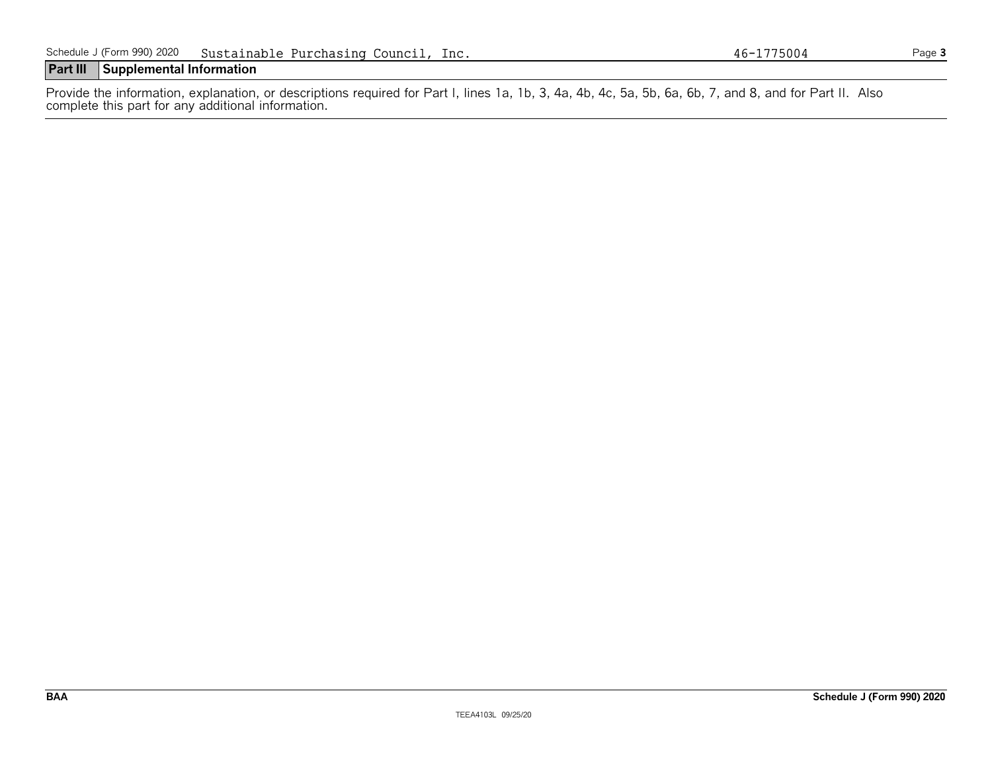### **Part III Supplemental Information**

Provide the information, explanation, or descriptions required for Part I, lines 1a, 1b, 3, 4a, 4b, 4c, 5a, 5b, 6a, 6b, 7, and 8, and for Part II. Also complete this part for any additional information.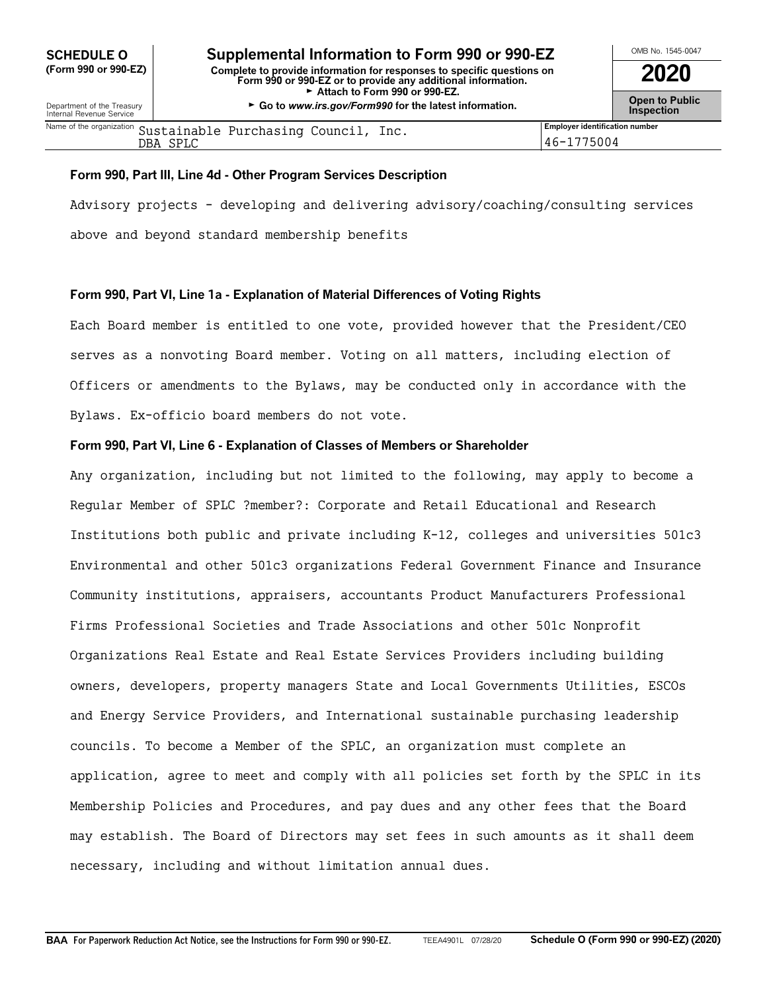Department of the Treasury<br>Internal Revenue Service

Public Department of the Treasury Graph of the Treasury Graph of the Treasury Graph of the Treasury Graph of the Internation. ▶ So to *by W.irs.gov/Form990* for the latest information.

| Name of the organization<br>Purchasing<br>inabl<br>∶ounci⊥<br>lnc.<br>$\sim$<br>$\overline{a}$<br>$\sim$ | .<br>Employer identification number |
|----------------------------------------------------------------------------------------------------------|-------------------------------------|
| $\sim$<br>DBA<br><b>PLTC</b>                                                                             | $16 -$<br>∪ בד                      |

#### **Form 990, Part III, Line 4d - Other Program Services Description**

Advisory projects - developing and delivering advisory/coaching/consulting services above and beyond standard membership benefits

#### **Form 990, Part VI, Line 1a - Explanation of Material Differences of Voting Rights**

Each Board member is entitled to one vote, provided however that the President/CEO serves as a nonvoting Board member. Voting on all matters, including election of Officers or amendments to the Bylaws, may be conducted only in accordance with the Bylaws. Ex-officio board members do not vote.

#### **Form 990, Part VI, Line 6 - Explanation of Classes of Members or Shareholder**

Any organization, including but not limited to the following, may apply to become a Regular Member of SPLC ?member?: Corporate and Retail Educational and Research Institutions both public and private including K-12, colleges and universities 501c3 Environmental and other 501c3 organizations Federal Government Finance and Insurance Community institutions, appraisers, accountants Product Manufacturers Professional Firms Professional Societies and Trade Associations and other 501c Nonprofit Organizations Real Estate and Real Estate Services Providers including building owners, developers, property managers State and Local Governments Utilities, ESCOs and Energy Service Providers, and International sustainable purchasing leadership councils. To become a Member of the SPLC, an organization must complete an application, agree to meet and comply with all policies set forth by the SPLC in its Membership Policies and Procedures, and pay dues and any other fees that the Board may establish. The Board of Directors may set fees in such amounts as it shall deem necessary, including and without limitation annual dues.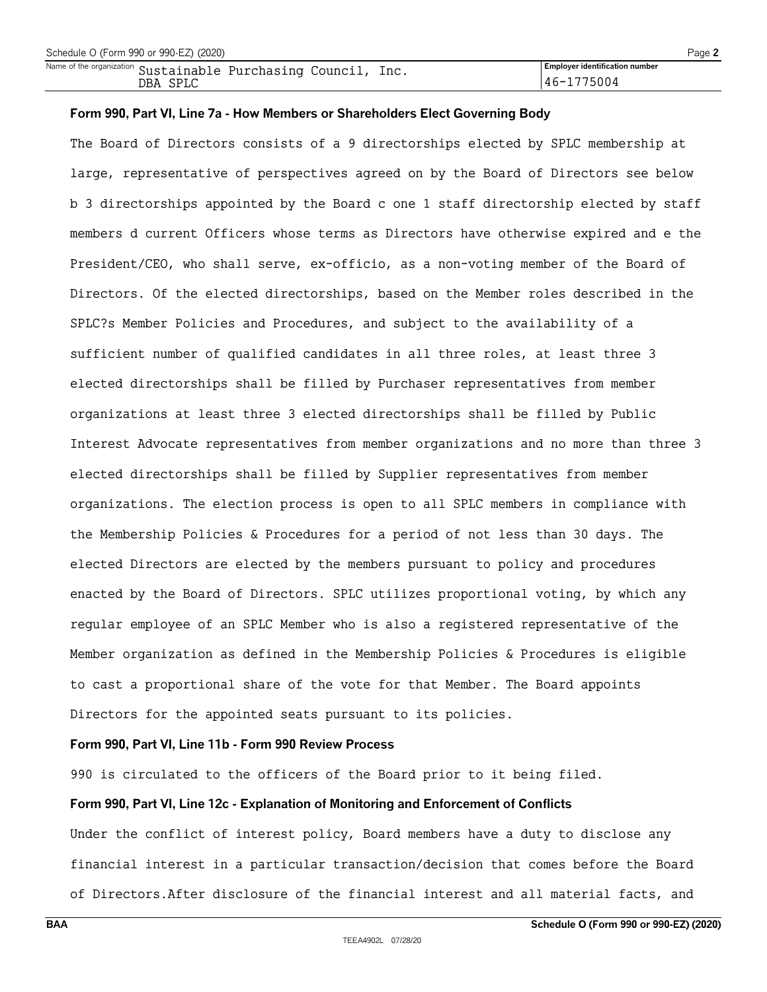| Schedule O (Form 990 or 990-EZ) (2020)                        | Page 2                                |
|---------------------------------------------------------------|---------------------------------------|
| Name of the organization Sustainable Purchasing Council, Inc. | <b>Employer identification number</b> |
| DBA SPLC                                                      | 46-1775004                            |

#### **Form 990, Part VI, Line 7a - How Members or Shareholders Elect Governing Body**

The Board of Directors consists of a 9 directorships elected by SPLC membership at large, representative of perspectives agreed on by the Board of Directors see below b 3 directorships appointed by the Board c one 1 staff directorship elected by staff members d current Officers whose terms as Directors have otherwise expired and e the President/CEO, who shall serve, ex-officio, as a non-voting member of the Board of Directors. Of the elected directorships, based on the Member roles described in the SPLC?s Member Policies and Procedures, and subject to the availability of a sufficient number of qualified candidates in all three roles, at least three 3 elected directorships shall be filled by Purchaser representatives from member organizations at least three 3 elected directorships shall be filled by Public Interest Advocate representatives from member organizations and no more than three 3 elected directorships shall be filled by Supplier representatives from member organizations. The election process is open to all SPLC members in compliance with the Membership Policies & Procedures for a period of not less than 30 days. The elected Directors are elected by the members pursuant to policy and procedures enacted by the Board of Directors. SPLC utilizes proportional voting, by which any regular employee of an SPLC Member who is also a registered representative of the Member organization as defined in the Membership Policies & Procedures is eligible to cast a proportional share of the vote for that Member. The Board appoints Directors for the appointed seats pursuant to its policies.

#### **Form 990, Part VI, Line 11b - Form 990 Review Process**

990 is circulated to the officers of the Board prior to it being filed.

#### **Form 990, Part VI, Line 12c - Explanation of Monitoring and Enforcement of Conflicts**

Under the conflict of interest policy, Board members have a duty to disclose any financial interest in a particular transaction/decision that comes before the Board of Directors.After disclosure of the financial interest and all material facts, and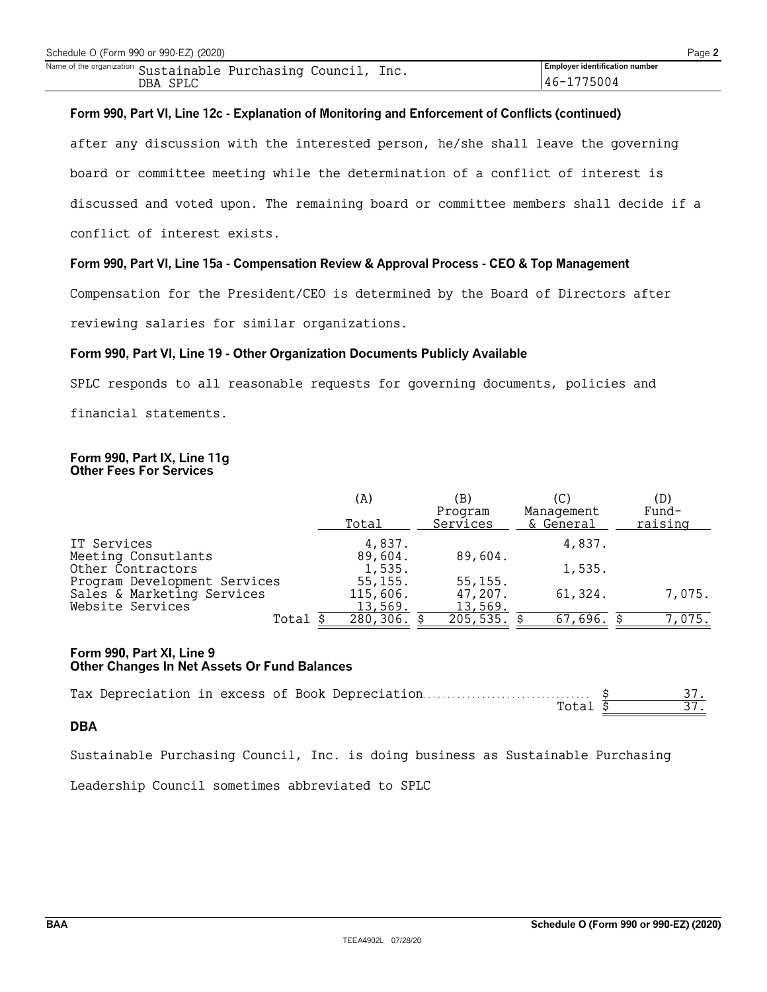| Schedule O (Form 990 or 990-EZ) (2020)                        | Page 2                         |
|---------------------------------------------------------------|--------------------------------|
| Name of the organization Sustainable Purchasing Council, Inc. | Employer identification number |
| DBA SPLC                                                      | 46-1775004                     |

#### **Form 990, Part VI, Line 12c - Explanation of Monitoring and Enforcement of Conflicts (continued)**

after any discussion with the interested person, he/she shall leave the governing board or committee meeting while the determination of a conflict of interest is discussed and voted upon. The remaining board or committee members shall decide if a conflict of interest exists.

#### **Form 990, Part VI, Line 15a - Compensation Review & Approval Process - CEO & Top Management**

Compensation for the President/CEO is determined by the Board of Directors after

reviewing salaries for similar organizations.

#### **Form 990, Part VI, Line 19 - Other Organization Documents Publicly Available**

SPLC responds to all reasonable requests for governing documents, policies and

financial statements.

#### **Form 990, Part IX, Line 11g Other Fees For Services**

|                              | (A)      | (B)                 | (C)                     | (D)                |
|------------------------------|----------|---------------------|-------------------------|--------------------|
|                              | Total    | Program<br>Services | Management<br>& General | $Fund-$<br>raising |
| IT Services                  | 4,837.   |                     | 4,837.                  |                    |
| Meeting Consutlants          | 89,604.  | 89,604.             |                         |                    |
| Other Contractors            | 1,535.   |                     | 1,535.                  |                    |
| Program Development Services | 55, 155. | 55, 155.            |                         |                    |
| Sales & Marketing Services   | 115,606. | 47,207.             | 61,324.                 | 7,075.             |
| Website Services             | 13,569.  | 13,569.             |                         |                    |
| Total                        | 280,306. | 205, 535.           | 67,696                  | .075.              |

#### **Form 990, Part XI, Line 9 Other Changes In Net Assets Or Fund Balances**

|  |  |  | Total \$ |  |
|--|--|--|----------|--|

### **DBA**

Sustainable Purchasing Council, Inc. is doing business as Sustainable Purchasing

Leadership Council sometimes abbreviated to SPLC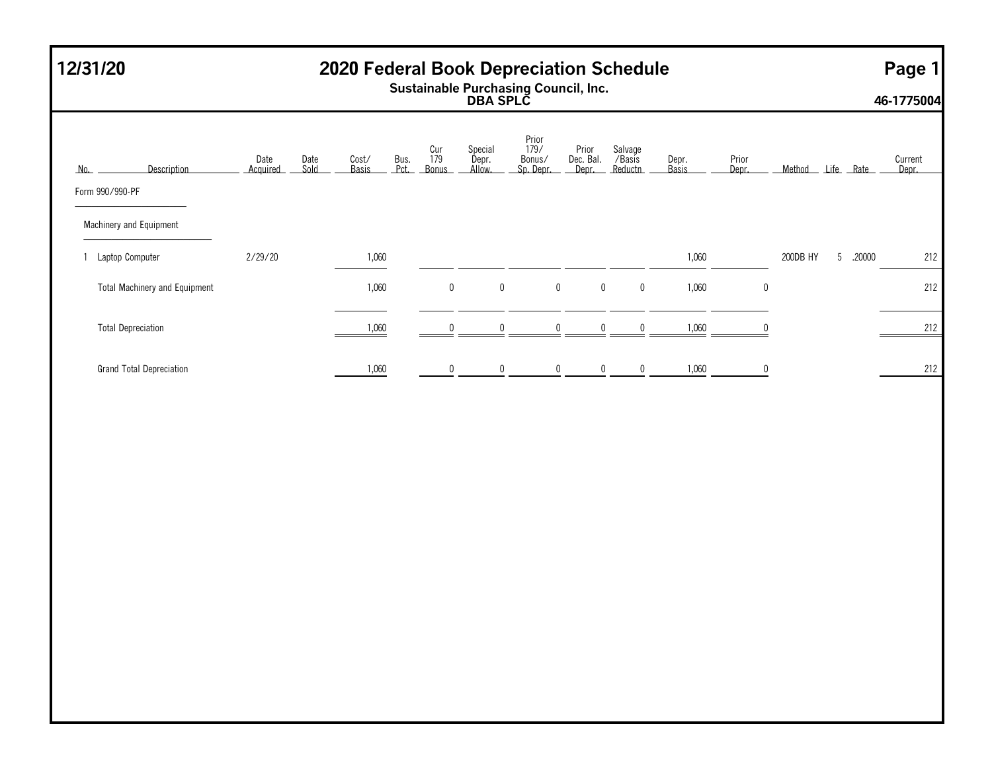# **12/31/20 2020 Federal Book Depreciation Schedule Page 1**

**Sustainable Purchasing Council, Inc.**

| Prior<br>179/<br>Bonus/<br>Sp. Depr.<br>Salvage<br>/Basis<br>Reductn<br>$_{179}^{\text{Cur}}$<br>Special<br>Depr.<br>Allow.<br>Prior<br>Dec. Bal.<br>Depr.<br>Bus.<br>Prior<br>Depr.<br>Date<br>Acquired<br>Date<br>Sold<br>Cost/<br>Basis<br>Depr.<br>Basis<br><b>Description</b><br>Bonus<br>Method Life Rate<br>No.<br>Pct. | Current<br>Depr. |
|--------------------------------------------------------------------------------------------------------------------------------------------------------------------------------------------------------------------------------------------------------------------------------------------------------------------------------|------------------|
|                                                                                                                                                                                                                                                                                                                                |                  |
| Form 990/990-PF                                                                                                                                                                                                                                                                                                                |                  |
| Machinery and Equipment                                                                                                                                                                                                                                                                                                        |                  |
| 1 Laptop Computer<br>2/29/20<br>1,060<br>1,060<br>200DB HY<br>5 .20000                                                                                                                                                                                                                                                         | 212              |
| Total Machinery and Equipment<br>1,060<br>$\boldsymbol{0}$<br>$\boldsymbol{0}$<br>$\mathbf 0$<br>1,060<br>$\pmb{0}$<br>$\mathbf 0$<br>$\mathbf 0$                                                                                                                                                                              | 212              |
| <b>Total Depreciation</b><br>$\overline{0}$<br>$\mathbf 0$<br>$\mathbf 0$<br>1,060<br>1,060<br>$\mathbf 0$<br>$\mathbf 0$<br>$\mathbf 0$                                                                                                                                                                                       | 212              |
| <b>Grand Total Depreciation</b><br>1,060<br>$\pmb{0}$<br>$\mathbf 0$<br>$\mathbf 0$<br>$\overline{0}$<br>$\overline{0}$<br>1,060<br>$\overline{0}$                                                                                                                                                                             | 212              |
|                                                                                                                                                                                                                                                                                                                                |                  |